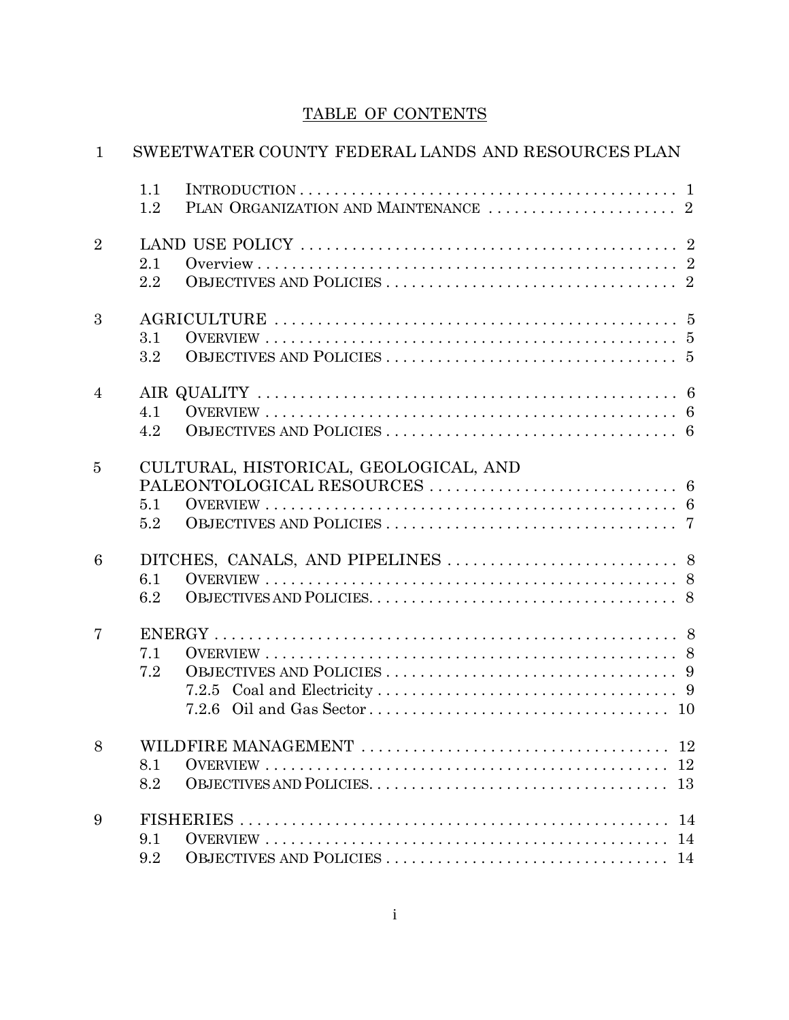## TABLE OF CONTENTS

| $\mathbf{1}$   | SWEETWATER COUNTY FEDERAL LANDS AND RESOURCES PLAN |  |  |  |  |
|----------------|----------------------------------------------------|--|--|--|--|
|                | 1.1                                                |  |  |  |  |
|                | 1.2                                                |  |  |  |  |
| $\overline{2}$ |                                                    |  |  |  |  |
|                | 2.1                                                |  |  |  |  |
|                | 2.2                                                |  |  |  |  |
| 3              |                                                    |  |  |  |  |
|                | 3.1                                                |  |  |  |  |
|                | $3.2\,$                                            |  |  |  |  |
| $\overline{4}$ |                                                    |  |  |  |  |
|                | 4.1                                                |  |  |  |  |
|                | 4.2                                                |  |  |  |  |
| 5              | CULTURAL, HISTORICAL, GEOLOGICAL, AND              |  |  |  |  |
|                |                                                    |  |  |  |  |
|                | 5.1                                                |  |  |  |  |
|                | 5.2                                                |  |  |  |  |
| 6              |                                                    |  |  |  |  |
|                | 6.1                                                |  |  |  |  |
|                | 6.2                                                |  |  |  |  |
| 7              |                                                    |  |  |  |  |
|                | 7.1                                                |  |  |  |  |
|                | 7.2                                                |  |  |  |  |
|                |                                                    |  |  |  |  |
|                |                                                    |  |  |  |  |
| 8              |                                                    |  |  |  |  |
|                | 8.1                                                |  |  |  |  |
|                | 8.2                                                |  |  |  |  |
| 9              |                                                    |  |  |  |  |
|                | 9.1                                                |  |  |  |  |
|                | 9.2                                                |  |  |  |  |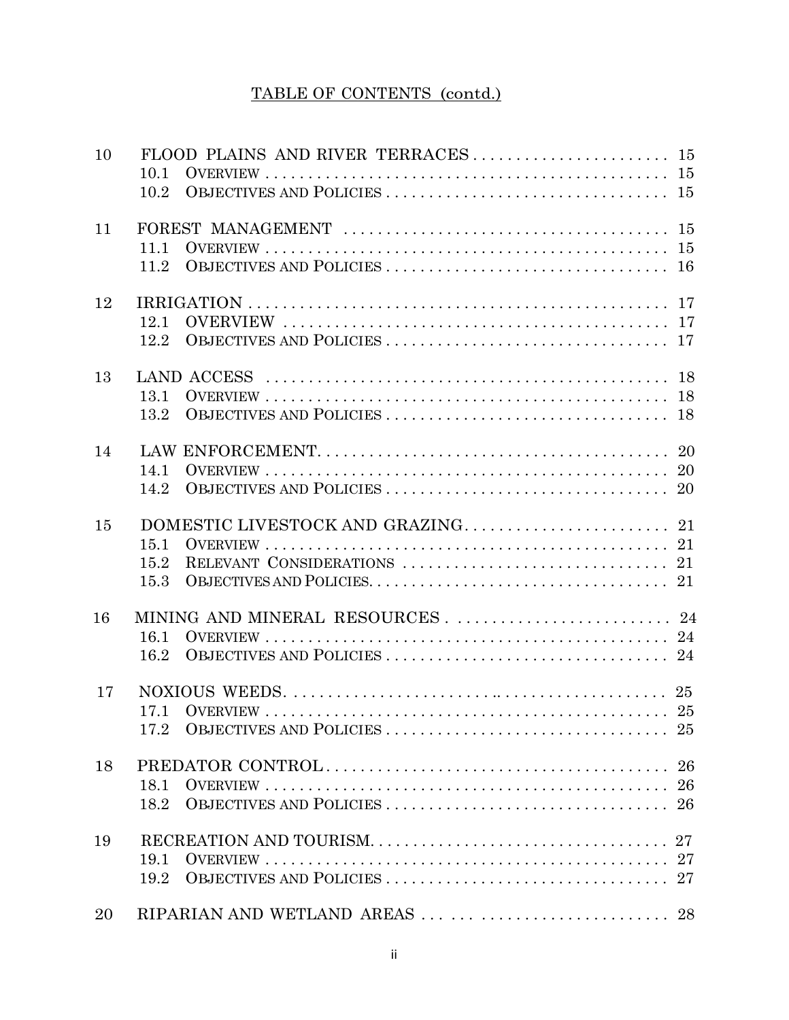## TABLE OF CONTENTS (contd.)

| 10 | 10.1<br>10.2                           |  |
|----|----------------------------------------|--|
| 11 | 11.1                                   |  |
| 12 | 12.1<br>12.2                           |  |
| 13 | 13.1<br>13.2                           |  |
| 14 | 14.1<br>14.2                           |  |
| 15 | 15.1<br>15.2<br>15.3                   |  |
| 16 | 16.1<br>16.2                           |  |
| 17 | 17.1<br>17.2<br>25                     |  |
| 18 | 18.1<br>18.2                           |  |
| 19 | 19.1<br>19.2                           |  |
| 20 | RIPARIAN AND WETLAND AREAS          28 |  |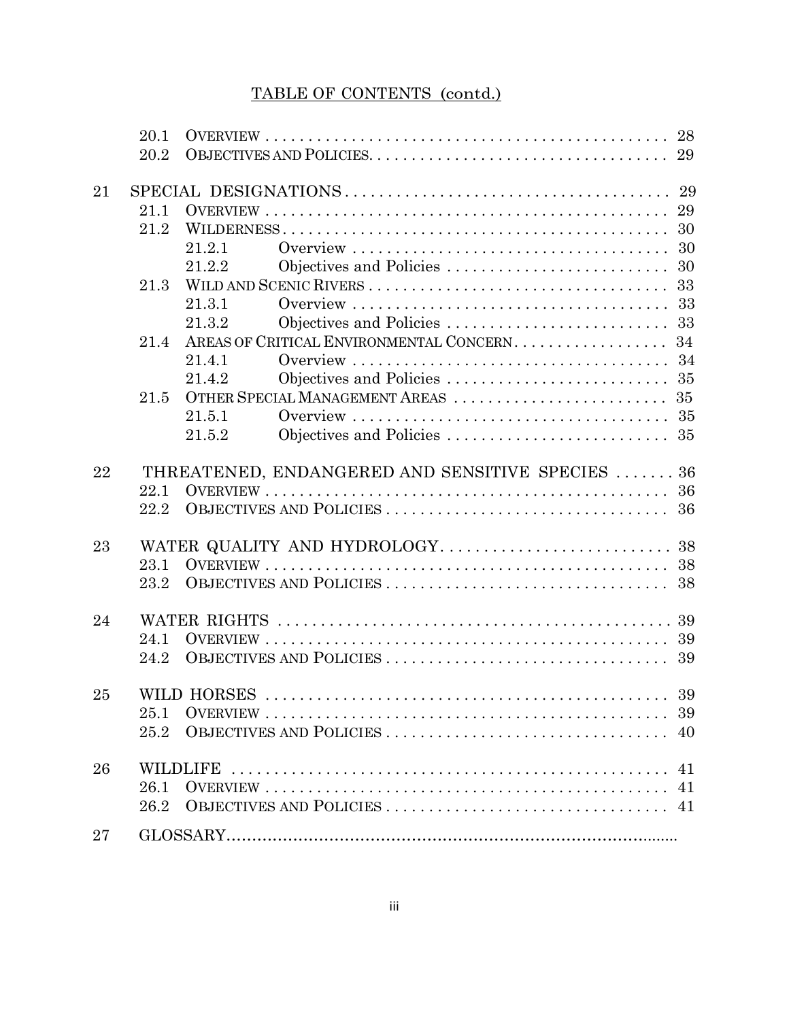# TABLE OF CONTENTS (contd.)

|    | 20.1 |                                                  |
|----|------|--------------------------------------------------|
|    | 20.2 |                                                  |
| 21 |      |                                                  |
|    | 21.1 |                                                  |
|    | 21.2 | 30                                               |
|    |      | 21.2.1                                           |
|    |      | Objectives and Policies<br>30<br>21.2.2          |
|    | 21.3 | 33                                               |
|    |      | 21.3.1                                           |
|    |      | 33<br>21.3.2<br>Objectives and Policies          |
|    | 21.4 | AREAS OF CRITICAL ENVIRONMENTAL CONCERN.<br>34   |
|    |      | 21.4.1                                           |
|    |      | 21.4.2                                           |
|    | 21.5 |                                                  |
|    |      | 21.5.1                                           |
|    |      | 21.5.2                                           |
| 22 |      | THREATENED, ENDANGERED AND SENSITIVE SPECIES  36 |
|    | 22.1 |                                                  |
|    | 22.2 |                                                  |
| 23 |      |                                                  |
|    | 23.1 |                                                  |
|    | 23.2 |                                                  |
| 24 |      |                                                  |
|    | 24.1 |                                                  |
|    | 24.2 | OBJECTIVES AND POLICIES<br>39                    |
| 25 |      |                                                  |
|    | 25.1 |                                                  |
|    | 25.2 |                                                  |
| 26 |      | 41                                               |
|    | 26.1 |                                                  |
|    | 26.2 |                                                  |
| 27 |      |                                                  |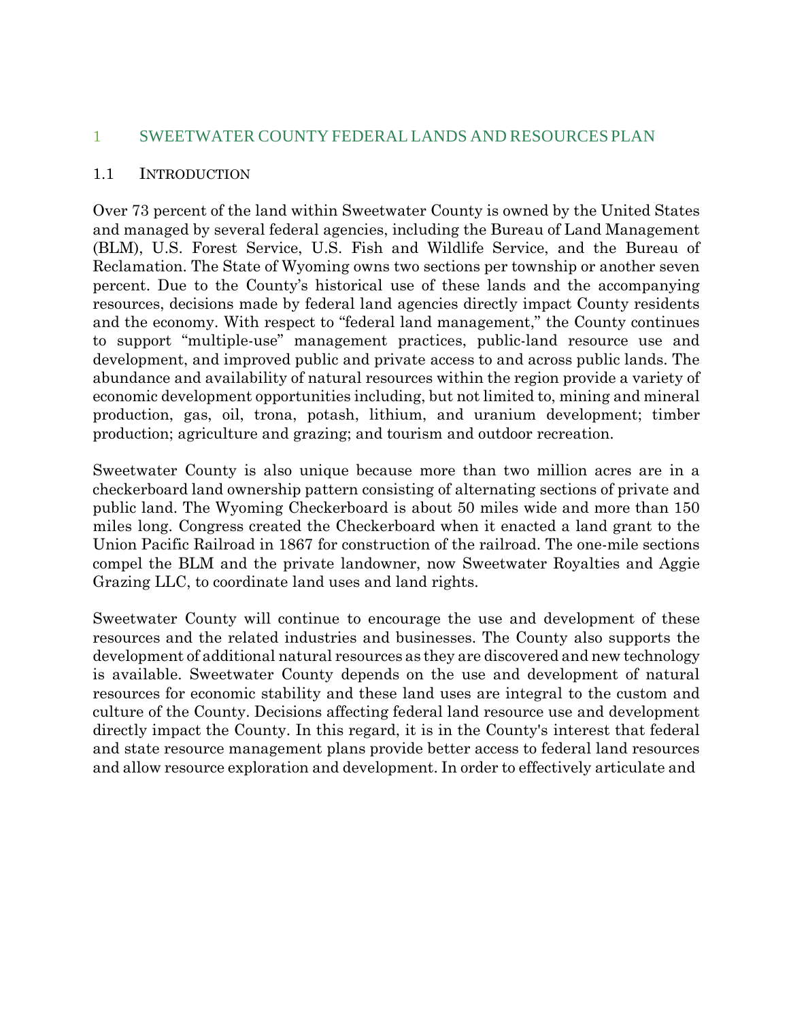#### 1 SWEETWATER COUNTY FEDERAL LANDS AND RESOURCES PLAN

#### 1.1 INTRODUCTION

Over 73 percent of the land within Sweetwater County is owned by the United States and managed by several federal agencies, including the Bureau of Land Management (BLM), U.S. Forest Service, U.S. Fish and Wildlife Service, and the Bureau of Reclamation. The State of Wyoming owns two sections per township or another seven percent. Due to the County's historical use of these lands and the accompanying resources, decisions made by federal land agencies directly impact County residents and the economy. With respect to "federal land management," the County continues to support "multiple-use" management practices, public-land resource use and development, and improved public and private access to and across public lands. The abundance and availability of natural resources within the region provide a variety of economic development opportunities including, but not limited to, mining and mineral production, gas, oil, trona, potash, lithium, and uranium development; timber production; agriculture and grazing; and tourism and outdoor recreation.

Sweetwater County is also unique because more than two million acres are in a checkerboard land ownership pattern consisting of alternating sections of private and public land. The Wyoming Checkerboard is about 50 miles wide and more than 150 miles long. Congress created the Checkerboard when it enacted a land grant to the Union Pacific Railroad in 1867 for construction of the railroad. The one-mile sections compel the BLM and the private landowner, now Sweetwater Royalties and Aggie Grazing LLC, to coordinate land uses and land rights.

Sweetwater County will continue to encourage the use and development of these resources and the related industries and businesses. The County also supports the development of additional natural resources as they are discovered and new technology is available. Sweetwater County depends on the use and development of natural resources for economic stability and these land uses are integral to the custom and culture of the County. Decisions affecting federal land resource use and development directly impact the County. In this regard, it is in the County's interest that federal and state resource management plans provide better access to federal land resources and allow resource exploration and development. In order to effectively articulate and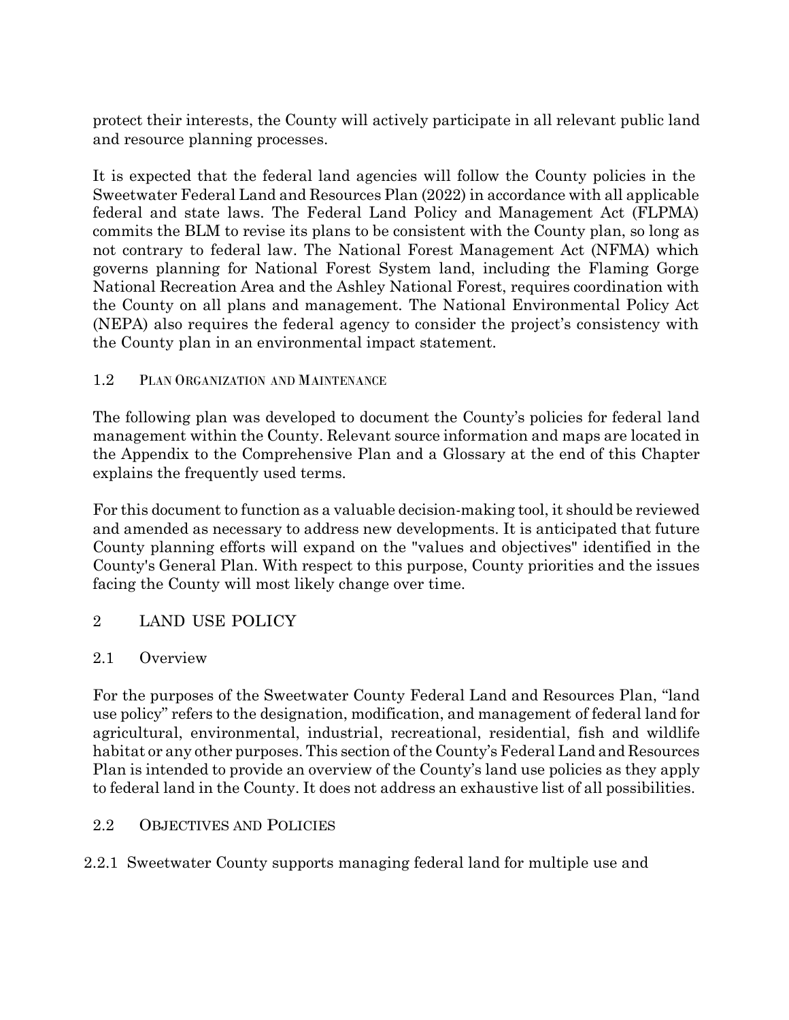protect their interests, the County will actively participate in all relevant public land and resource planning processes.

It is expected that the federal land agencies will follow the County policies in the Sweetwater Federal Land and Resources Plan (2022) in accordance with all applicable federal and state laws. The Federal Land Policy and Management Act (FLPMA) commits the BLM to revise its plans to be consistent with the County plan, so long as not contrary to federal law. The National Forest Management Act (NFMA) which governs planning for National Forest System land, including the Flaming Gorge National Recreation Area and the Ashley National Forest, requires coordination with the County on all plans and management. The National Environmental Policy Act (NEPA) also requires the federal agency to consider the project's consistency with the County plan in an environmental impact statement.

## 1.2 PLAN ORGANIZATION AND MAINTENANCE

The following plan was developed to document the County's policies for federal land management within the County. Relevant source information and maps are located in the Appendix to the Comprehensive Plan and a Glossary at the end of this Chapter explains the frequently used terms.

For this document to function as a valuable decision-making tool, it should be reviewed and amended as necessary to address new developments. It is anticipated that future County planning efforts will expand on the "values and objectives" identified in the County's General Plan. With respect to this purpose, County priorities and the issues facing the County will most likely change over time.

## 2 LAND USE POLICY

#### 2.1 Overview

For the purposes of the Sweetwater County Federal Land and Resources Plan, "land use policy" refers to the designation, modification, and management of federal land for agricultural, environmental, industrial, recreational, residential, fish and wildlife habitat or any other purposes. This section ofthe County's Federal Land and Resources Plan is intended to provide an overview of the County's land use policies as they apply to federal land in the County. It does not address an exhaustive list of all possibilities.

## 2.2 OBJECTIVES AND POLICIES

2.2.1 Sweetwater County supports managing federal land for multiple use and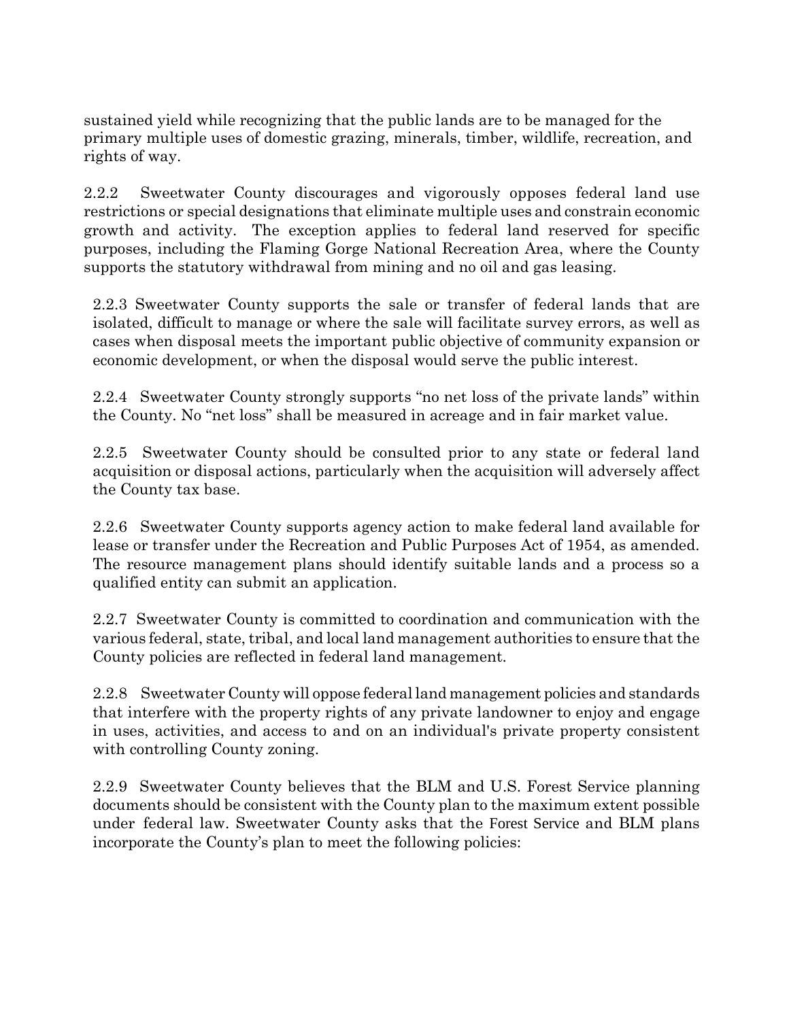sustained yield while recognizing that the public lands are to be managed for the primary multiple uses of domestic grazing, minerals, timber, wildlife, recreation, and rights of way.

2.2.2 Sweetwater County discourages and vigorously opposes federal land use restrictions or special designations that eliminate multiple uses and constrain economic growth and activity. The exception applies to federal land reserved for specific purposes, including the Flaming Gorge National Recreation Area, where the County supports the statutory withdrawal from mining and no oil and gas leasing.

2.2.3 Sweetwater County supports the sale or transfer of federal lands that are isolated, difficult to manage or where the sale will facilitate survey errors, as well as cases when disposal meets the important public objective of community expansion or economic development, or when the disposal would serve the public interest.

2.2.4 Sweetwater County strongly supports "no net loss of the private lands" within the County. No "net loss" shall be measured in acreage and in fair market value.

2.2.5 Sweetwater County should be consulted prior to any state or federal land acquisition or disposal actions, particularly when the acquisition will adversely affect the County tax base.

2.2.6 Sweetwater County supports agency action to make federal land available for lease or transfer under the Recreation and Public Purposes Act of 1954, as amended. The resource management plans should identify suitable lands and a process so a qualified entity can submit an application.

2.2.7 Sweetwater County is committed to coordination and communication with the various federal, state, tribal, and local land management authorities to ensure that the County policies are reflected in federal land management.

2.2.8 Sweetwater County will oppose federal land management policies and standards that interfere with the property rights of any private landowner to enjoy and engage in uses, activities, and access to and on an individual's private property consistent with controlling County zoning.

2.2.9 Sweetwater County believes that the BLM and U.S. Forest Service planning documents should be consistent with the County plan to the maximum extent possible under federal law. Sweetwater County asks that the Forest Service and BLM plans incorporate the County's plan to meet the following policies: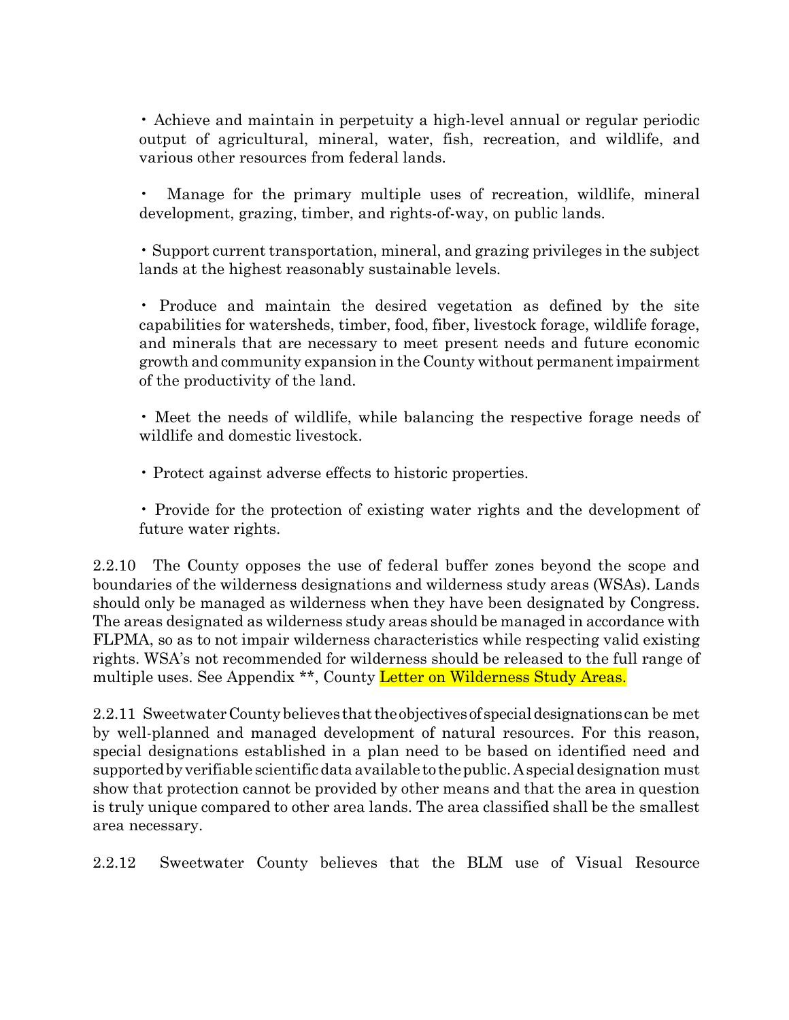• Achieve and maintain in perpetuity a high-level annual or regular periodic output of agricultural, mineral, water, fish, recreation, and wildlife, and various other resources from federal lands.

• Manage for the primary multiple uses of recreation, wildlife, mineral development, grazing, timber, and rights-of-way, on public lands.

• Support current transportation, mineral, and grazing privileges in the subject lands at the highest reasonably sustainable levels.

• Produce and maintain the desired vegetation as defined by the site capabilities for watersheds, timber, food, fiber, livestock forage, wildlife forage, and minerals that are necessary to meet present needs and future economic growth and community expansion in the County without permanentimpairment of the productivity of the land.

• Meet the needs of wildlife, while balancing the respective forage needs of wildlife and domestic livestock.

• Protect against adverse effects to historic properties.

• Provide for the protection of existing water rights and the development of future water rights.

2.2.10 The County opposes the use of federal buffer zones beyond the scope and boundaries of the wilderness designations and wilderness study areas (WSAs). Lands should only be managed as wilderness when they have been designated by Congress. The areas designated as wilderness study areas should be managed in accordance with FLPMA, so as to not impair wilderness characteristics while respecting valid existing rights. WSA's not recommended for wilderness should be released to the full range of multiple uses. See Appendix \*\*, County Letter on Wilderness Study Areas.

2.2.11 SweetwaterCountybelieves thattheobjectivesof specialdesignations can be met by well-planned and managed development of natural resources. For this reason, special designations established in a plan need to be based on identified need and supportedbyverifiable scientificdata available to thepublic.Aspecialdesignation must show that protection cannot be provided by other means and that the area in question is truly unique compared to other area lands. The area classified shall be the smallest area necessary.

2.2.12 Sweetwater County believes that the BLM use of Visual Resource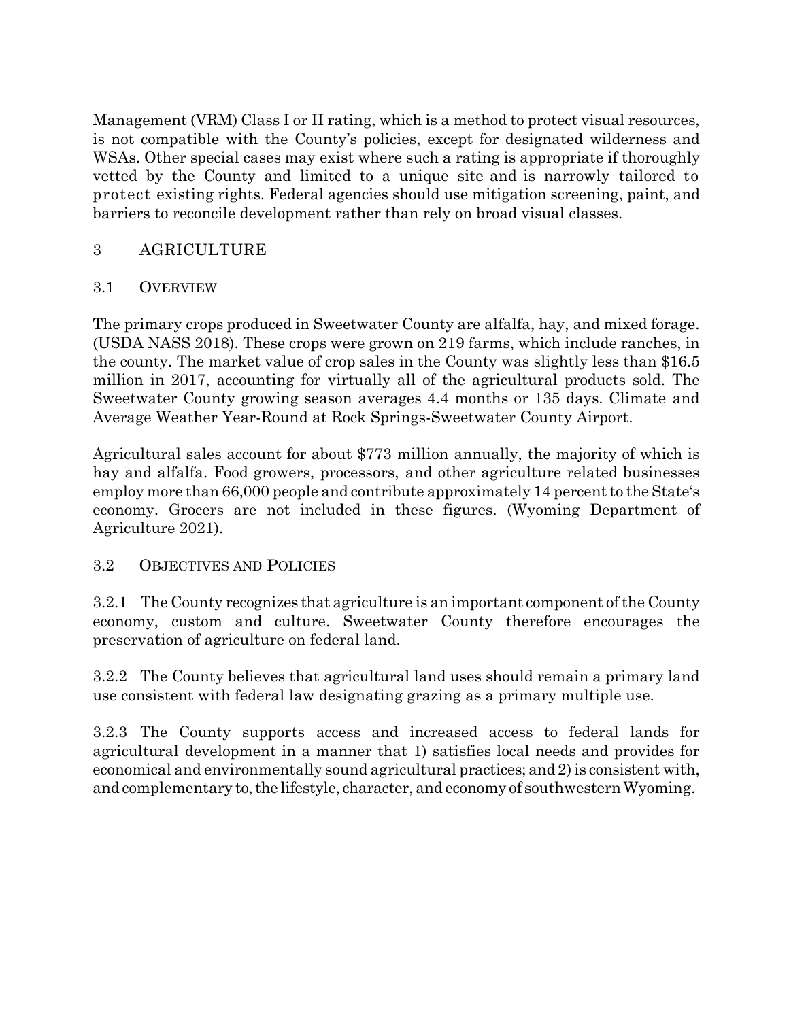Management (VRM) Class I or II rating, which is a method to protect visual resources, is not compatible with the County's policies, except for designated wilderness and WSAs. Other special cases may exist where such a rating is appropriate if thoroughly vetted by the County and limited to a unique site and is narrowly tailored to protect existing rights. Federal agencies should use mitigation screening, paint, and barriers to reconcile development rather than rely on broad visual classes.

## 3 AGRICULTURE

#### 3.1 OVERVIEW

The primary crops produced in Sweetwater County are alfalfa, hay, and mixed forage. (USDA NASS 2018). These crops were grown on 219 farms, which include ranches, in the county. The market value of crop sales in the County was slightly less than \$16.5 million in 2017, accounting for virtually all of the agricultural products sold. The Sweetwater County growing season averages 4.4 months or 135 days. Climate and Average Weather Year-Round at Rock Springs-Sweetwater County Airport.

Agricultural sales account for about \$773 million annually, the majority of which is hay and alfalfa. Food growers, processors, and other agriculture related businesses employ more than 66,000 people and contribute approximately 14 percent to the State's economy. Grocers are not included in these figures. (Wyoming Department of Agriculture 2021).

#### 3.2 OBJECTIVES AND POLICIES

3.2.1 The County recognizes that agriculture is an important component ofthe County economy, custom and culture. Sweetwater County therefore encourages the preservation of agriculture on federal land.

3.2.2 The County believes that agricultural land uses should remain a primary land use consistent with federal law designating grazing as a primary multiple use.

3.2.3 The County supports access and increased access to federal lands for agricultural development in a manner that 1) satisfies local needs and provides for economical and environmentally sound agricultural practices; and 2) is consistent with, and complementary to, the lifestyle, character, and economy of southwestern Wyoming.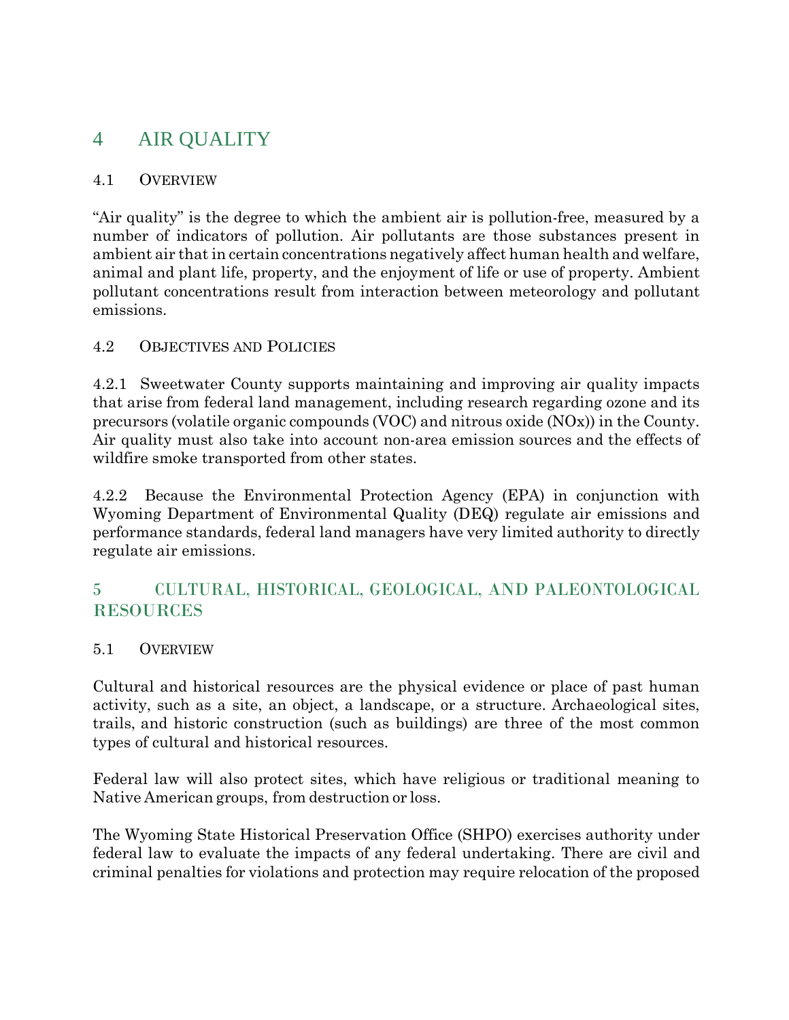# 4 AIR QUALITY

#### 4.1 OVERVIEW

"Air quality" is the degree to which the ambient air is pollution-free, measured by a number of indicators of pollution. Air pollutants are those substances present in ambient air that in certain concentrations negatively affect human health and welfare, animal and plant life, property, and the enjoyment of life or use of property. Ambient pollutant concentrations result from interaction between meteorology and pollutant emissions.

## 4.2 OBJECTIVES AND POLICIES

4.2.1 Sweetwater County supports maintaining and improving air quality impacts that arise from federal land management, including research regarding ozone and its precursors (volatile organic compounds (VOC) and nitrous oxide (NOx)) in the County. Air quality must also take into account non-area emission sources and the effects of wildfire smoke transported from other states.

4.2.2 Because the Environmental Protection Agency (EPA) in conjunction with Wyoming Department of Environmental Quality (DEQ) regulate air emissions and performance standards, federal land managers have very limited authority to directly regulate air emissions.

## 5 CULTURAL, HISTORICAL, GEOLOGICAL, AND PALEONTOLOGICAL RESOURCES

## 5.1 OVERVIEW

Cultural and historical resources are the physical evidence or place of past human activity, such as a site, an object, a landscape, or a structure. Archaeological sites, trails, and historic construction (such as buildings) are three of the most common types of cultural and historical resources.

Federal law will also protect sites, which have religious or traditional meaning to Native American groups, from destruction or loss.

The Wyoming State Historical Preservation Office (SHPO) exercises authority under federal law to evaluate the impacts of any federal undertaking. There are civil and criminal penalties for violations and protection may require relocation of the proposed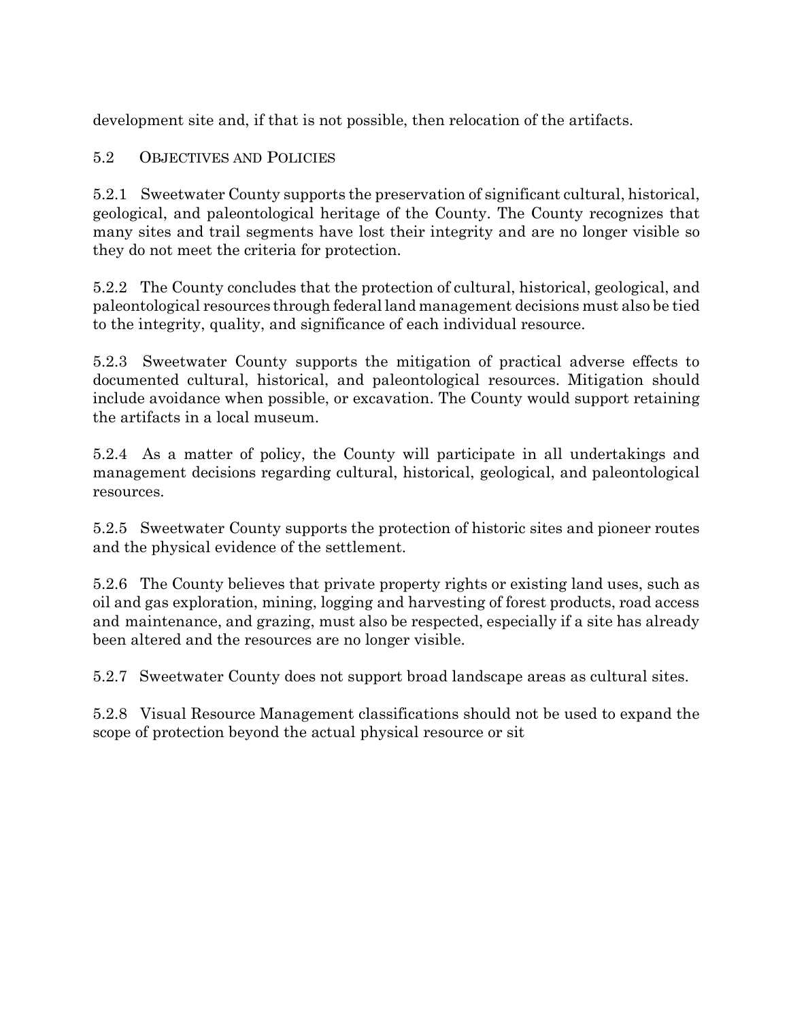development site and, if that is not possible, then relocation of the artifacts.

## 5.2 OBJECTIVES AND POLICIES

5.2.1 Sweetwater County supports the preservation of significant cultural, historical, geological, and paleontological heritage of the County. The County recognizes that many sites and trail segments have lost their integrity and are no longer visible so they do not meet the criteria for protection.

5.2.2 The County concludes that the protection of cultural, historical, geological, and paleontological resources through federal land management decisions must also be tied to the integrity, quality, and significance of each individual resource.

5.2.3 Sweetwater County supports the mitigation of practical adverse effects to documented cultural, historical, and paleontological resources. Mitigation should include avoidance when possible, or excavation. The County would support retaining the artifacts in a local museum.

5.2.4 As a matter of policy, the County will participate in all undertakings and management decisions regarding cultural, historical, geological, and paleontological resources.

5.2.5 Sweetwater County supports the protection of historic sites and pioneer routes and the physical evidence of the settlement.

5.2.6 The County believes that private property rights or existing land uses, such as oil and gas exploration, mining, logging and harvesting of forest products, road access and maintenance, and grazing, must also be respected, especially if a site has already been altered and the resources are no longer visible.

5.2.7 Sweetwater County does not support broad landscape areas as cultural sites.

5.2.8 Visual Resource Management classifications should not be used to expand the scope of protection beyond the actual physical resource or sit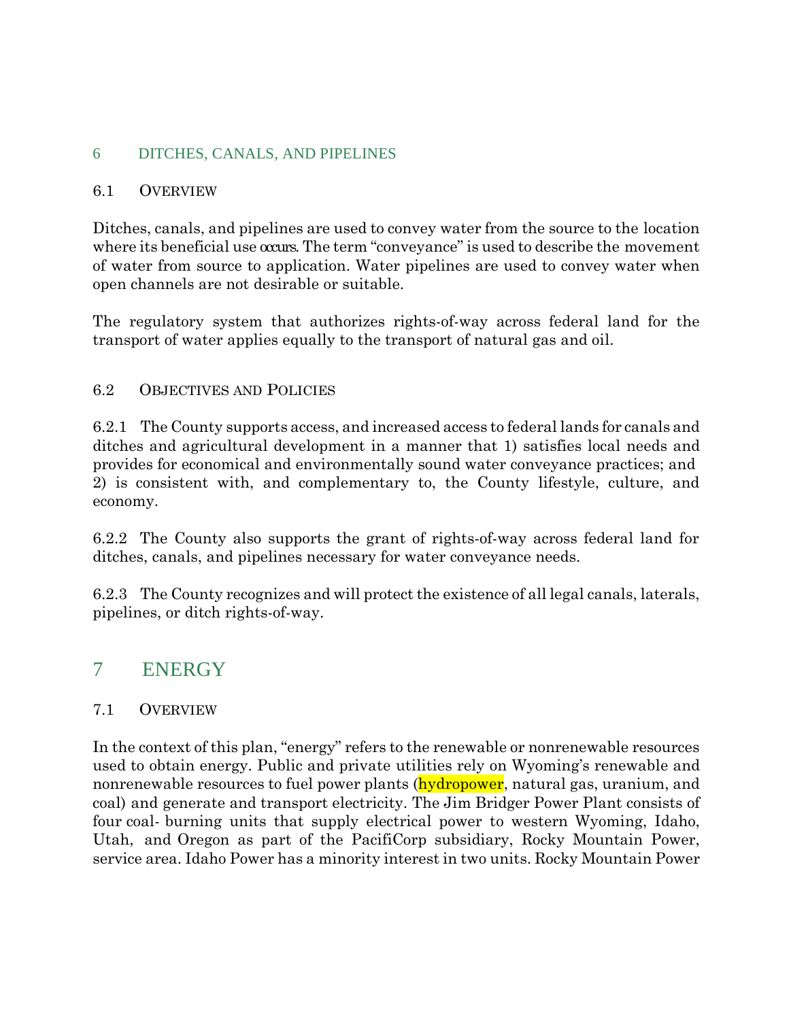#### 6 DITCHES, CANALS, AND PIPELINES

#### 6.1 OVERVIEW

Ditches, canals, and pipelines are used to convey water from the source to the location where its beneficial use occurs. The term "conveyance" is used to describe the movement of water from source to application. Water pipelines are used to convey water when open channels are not desirable or suitable.

The regulatory system that authorizes rights-of-way across federal land for the transport of water applies equally to the transport of natural gas and oil.

#### 6.2 OBJECTIVES AND POLICIES

6.2.1 The County supports access, and increased access to federal lands for canals and ditches and agricultural development in a manner that 1) satisfies local needs and provides for economical and environmentally sound water conveyance practices; and 2) is consistent with, and complementary to, the County lifestyle, culture, and economy.

6.2.2 The County also supports the grant of rights-of-way across federal land for ditches, canals, and pipelines necessary for water conveyance needs.

6.2.3 The County recognizes and will protect the existence of all legal canals, laterals, pipelines, or ditch rights-of-way.

## 7 ENERGY

#### 7.1 OVERVIEW

In the context of this plan, "energy" refers to the renewable or nonrenewable resources used to obtain energy. Public and private utilities rely on Wyoming's renewable and nonrenewable resources to fuel power plants (**hydropower**, natural gas, uranium, and coal) and generate and transport electricity. The Jim Bridger Power Plant consists of four coal- burning units that supply electrical power to western Wyoming, Idaho, Utah, and Oregon as part of the PacifiCorp subsidiary, Rocky Mountain Power, service area. Idaho Power has a minority interest in two units. Rocky Mountain Power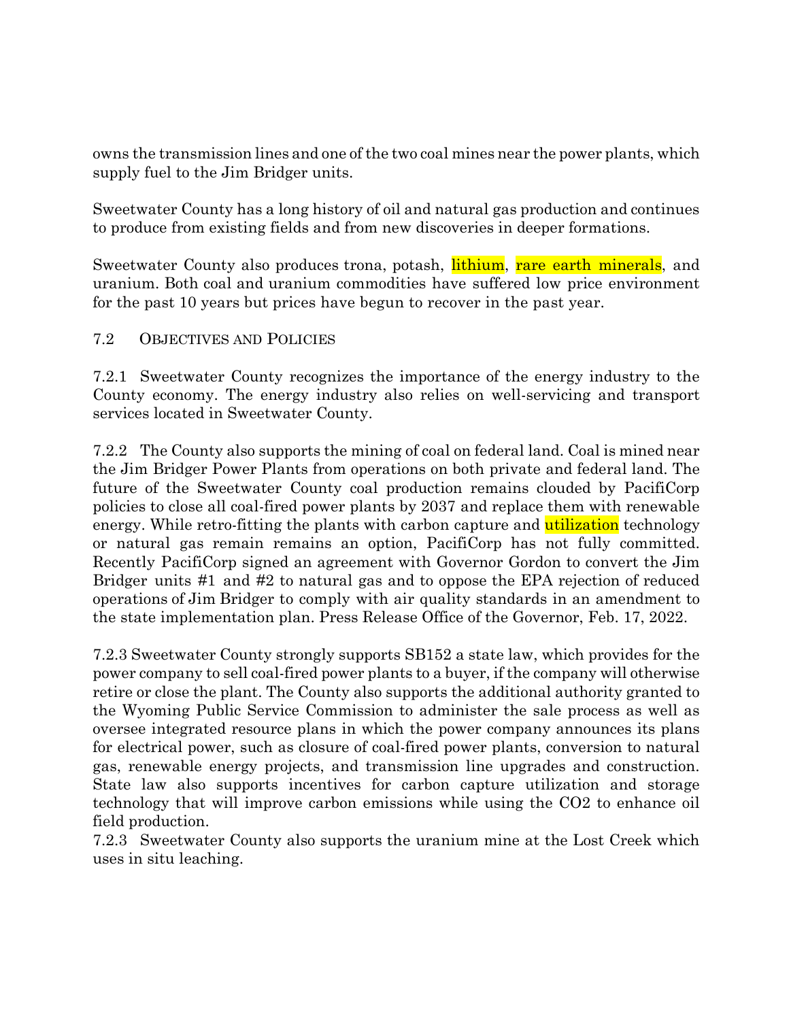owns the transmission lines and one of the two coal mines near the power plants, which supply fuel to the Jim Bridger units.

Sweetwater County has a long history of oil and natural gas production and continues to produce from existing fields and from new discoveries in deeper formations.

Sweetwater County also produces trona, potash, **lithium**, rare earth minerals, and uranium. Both coal and uranium commodities have suffered low price environment for the past 10 years but prices have begun to recover in the past year.

#### 7.2 OBJECTIVES AND POLICIES

7.2.1 Sweetwater County recognizes the importance of the energy industry to the County economy. The energy industry also relies on well-servicing and transport services located in Sweetwater County.

7.2.2 The County also supports the mining of coal on federal land. Coal is mined near the Jim Bridger Power Plants from operations on both private and federal land. The future of the Sweetwater County coal production remains clouded by PacifiCorp policies to close all coal-fired power plants by 2037 and replace them with renewable energy. While retro-fitting the plants with carbon capture and **utilization** technology or natural gas remain remains an option, PacifiCorp has not fully committed. Recently PacifiCorp signed an agreement with Governor Gordon to convert the Jim Bridger units #1 and #2 to natural gas and to oppose the EPA rejection of reduced operations of Jim Bridger to comply with air quality standards in an amendment to the state implementation plan. Press Release Office of the Governor, Feb. 17, 2022.

7.2.3 Sweetwater County strongly supports SB152 a state law, which provides for the power company to sell coal-fired power plants to a buyer, if the company will otherwise retire or close the plant. The County also supports the additional authority granted to the Wyoming Public Service Commission to administer the sale process as well as oversee integrated resource plans in which the power company announces its plans for electrical power, such as closure of coal-fired power plants, conversion to natural gas, renewable energy projects, and transmission line upgrades and construction. State law also supports incentives for carbon capture utilization and storage technology that will improve carbon emissions while using the CO2 to enhance oil field production.

7.2.3 Sweetwater County also supports the uranium mine at the Lost Creek which uses in situ leaching.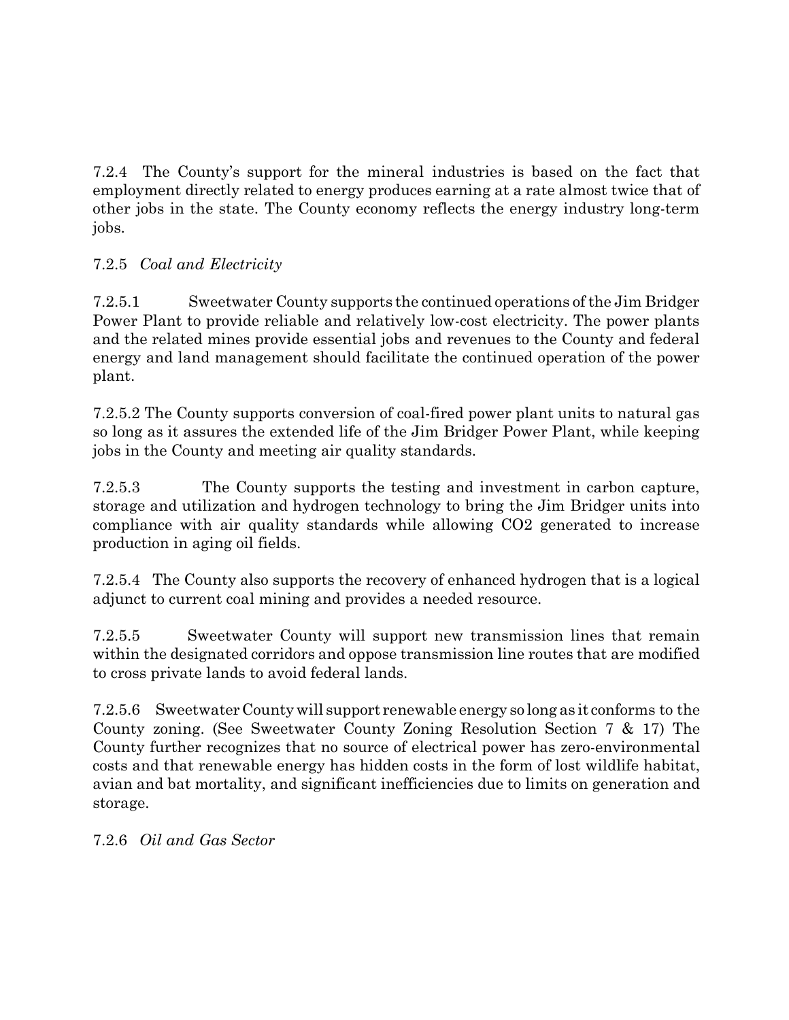7.2.4 The County's support for the mineral industries is based on the fact that employment directly related to energy produces earning at a rate almost twice that of other jobs in the state. The County economy reflects the energy industry long-term jobs.

## 7.2.5 *Coal and Electricity*

7.2.5.1 Sweetwater County supports the continued operations ofthe Jim Bridger Power Plant to provide reliable and relatively low-cost electricity. The power plants and the related mines provide essential jobs and revenues to the County and federal energy and land management should facilitate the continued operation of the power plant.

7.2.5.2 The County supports conversion of coal-fired power plant units to natural gas so long as it assures the extended life of the Jim Bridger Power Plant, while keeping jobs in the County and meeting air quality standards.

7.2.5.3 The County supports the testing and investment in carbon capture, storage and utilization and hydrogen technology to bring the Jim Bridger units into compliance with air quality standards while allowing CO2 generated to increase production in aging oil fields.

7.2.5.4 The County also supports the recovery of enhanced hydrogen that is a logical adjunct to current coal mining and provides a needed resource.

7.2.5.5 Sweetwater County will support new transmission lines that remain within the designated corridors and oppose transmission line routes that are modified to cross private lands to avoid federal lands.

7.2.5.6 SweetwaterCountywill support renewable energy so long as it conforms to the County zoning. (See Sweetwater County Zoning Resolution Section 7 & 17) The County further recognizes that no source of electrical power has zero-environmental costs and that renewable energy has hidden costs in the form of lost wildlife habitat, avian and bat mortality, and significant inefficiencies due to limits on generation and storage.

7.2.6 *Oil and Gas Sector*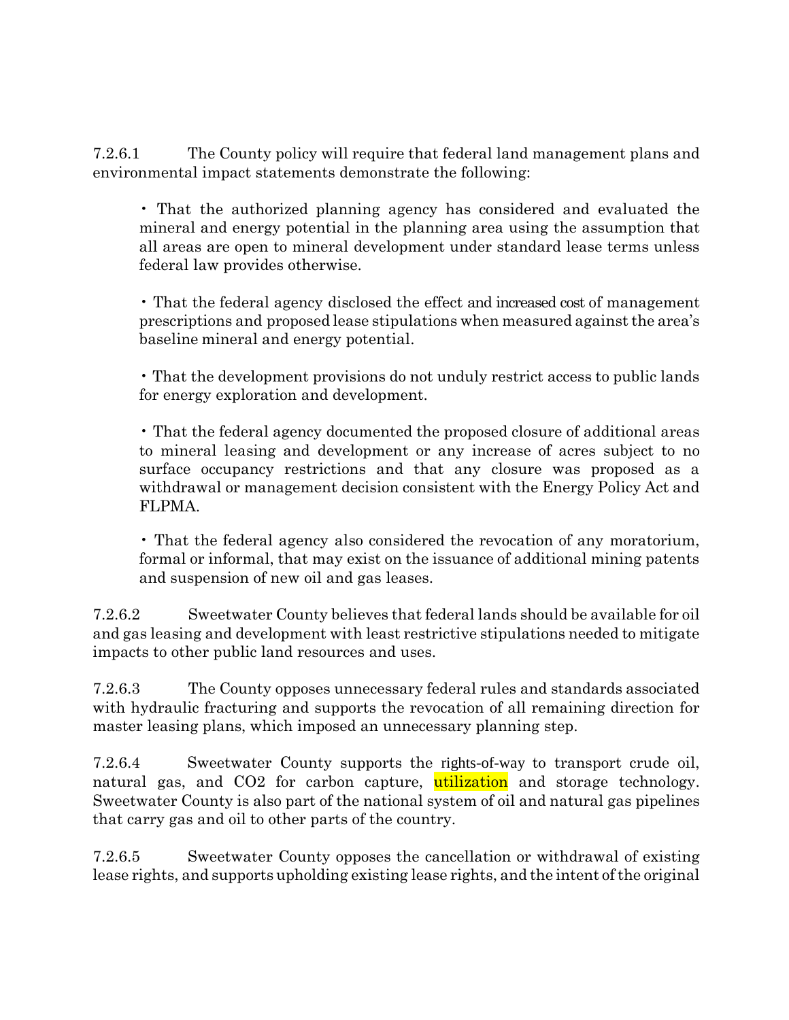7.2.6.1 The County policy will require that federal land management plans and environmental impact statements demonstrate the following:

• That the authorized planning agency has considered and evaluated the mineral and energy potential in the planning area using the assumption that all areas are open to mineral development under standard lease terms unless federal law provides otherwise.

• That the federal agency disclosed the effect and increased cost of management prescriptions and proposed lease stipulations when measured against the area's baseline mineral and energy potential.

• That the development provisions do not unduly restrict access to public lands for energy exploration and development.

• That the federal agency documented the proposed closure of additional areas to mineral leasing and development or any increase of acres subject to no surface occupancy restrictions and that any closure was proposed as a withdrawal or management decision consistent with the Energy Policy Act and FLPMA.

• That the federal agency also considered the revocation of any moratorium, formal or informal, that may exist on the issuance of additional mining patents and suspension of new oil and gas leases.

7.2.6.2 Sweetwater County believes that federal lands should be available for oil and gas leasing and development with least restrictive stipulations needed to mitigate impacts to other public land resources and uses.

7.2.6.3 The County opposes unnecessary federal rules and standards associated with hydraulic fracturing and supports the revocation of all remaining direction for master leasing plans, which imposed an unnecessary planning step.

7.2.6.4 Sweetwater County supports the rights-of-way to transport crude oil, natural gas, and CO2 for carbon capture, utilization and storage technology. Sweetwater County is also part of the national system of oil and natural gas pipelines that carry gas and oil to other parts of the country.

7.2.6.5 Sweetwater County opposes the cancellation or withdrawal of existing lease rights, and supports upholding existing lease rights, and the intent of the original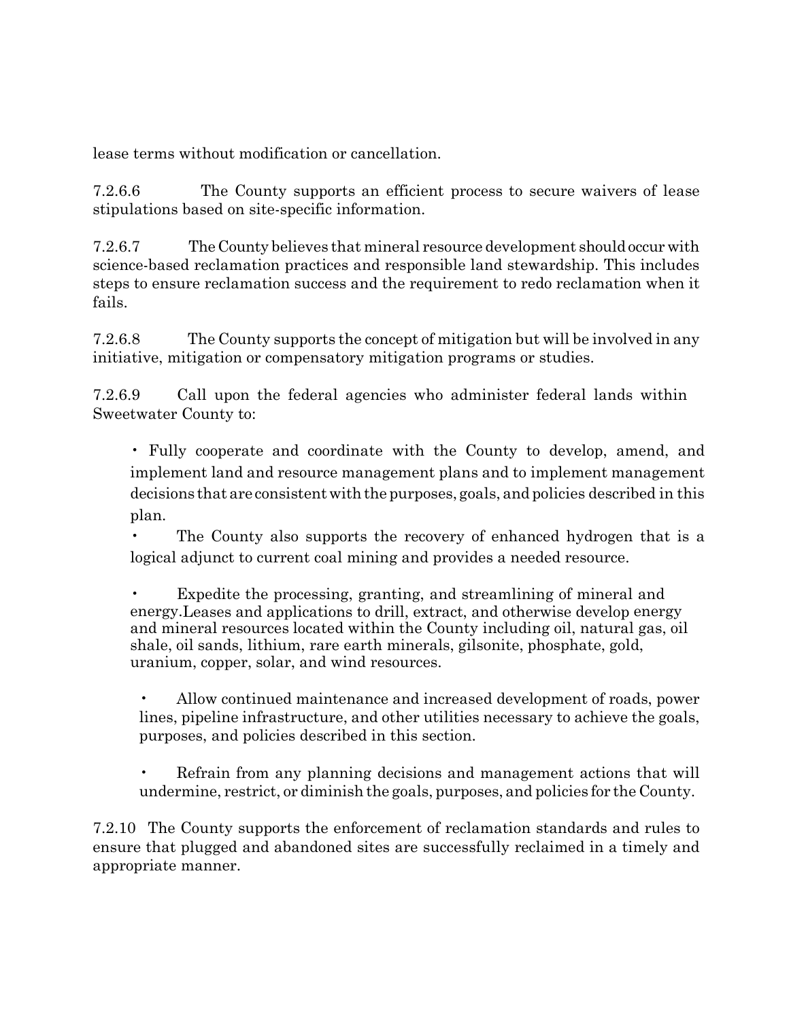lease terms without modification or cancellation.

7.2.6.6 The County supports an efficient process to secure waivers of lease stipulations based on site-specific information.

7.2.6.7 The County believes that mineral resource development should occur with science-based reclamation practices and responsible land stewardship. This includes steps to ensure reclamation success and the requirement to redo reclamation when it fails.

7.2.6.8 The County supports the concept of mitigation but will be involved in any initiative, mitigation or compensatory mitigation programs or studies.

7.2.6.9 Call upon the federal agencies who administer federal lands within Sweetwater County to:

• Fully cooperate and coordinate with the County to develop, amend, and implement land and resource management plans and to implement management decisions that are consistent with the purposes, goals, and policies described in this plan.

• The County also supports the recovery of enhanced hydrogen that is a logical adjunct to current coal mining and provides a needed resource.

Expedite the processing, granting, and streamlining of mineral and energy.Leases and applications to drill, extract, and otherwise develop energy and mineral resources located within the County including oil, natural gas, oil shale, oil sands, lithium, rare earth minerals, gilsonite, phosphate, gold, uranium, copper, solar, and wind resources.

• Allow continued maintenance and increased development of roads, power lines, pipeline infrastructure, and other utilities necessary to achieve the goals, purposes, and policies described in this section.

• Refrain from any planning decisions and management actions that will undermine, restrict, or diminish the goals, purposes, and policies for the County.

7.2.10 The County supports the enforcement of reclamation standards and rules to ensure that plugged and abandoned sites are successfully reclaimed in a timely and appropriate manner.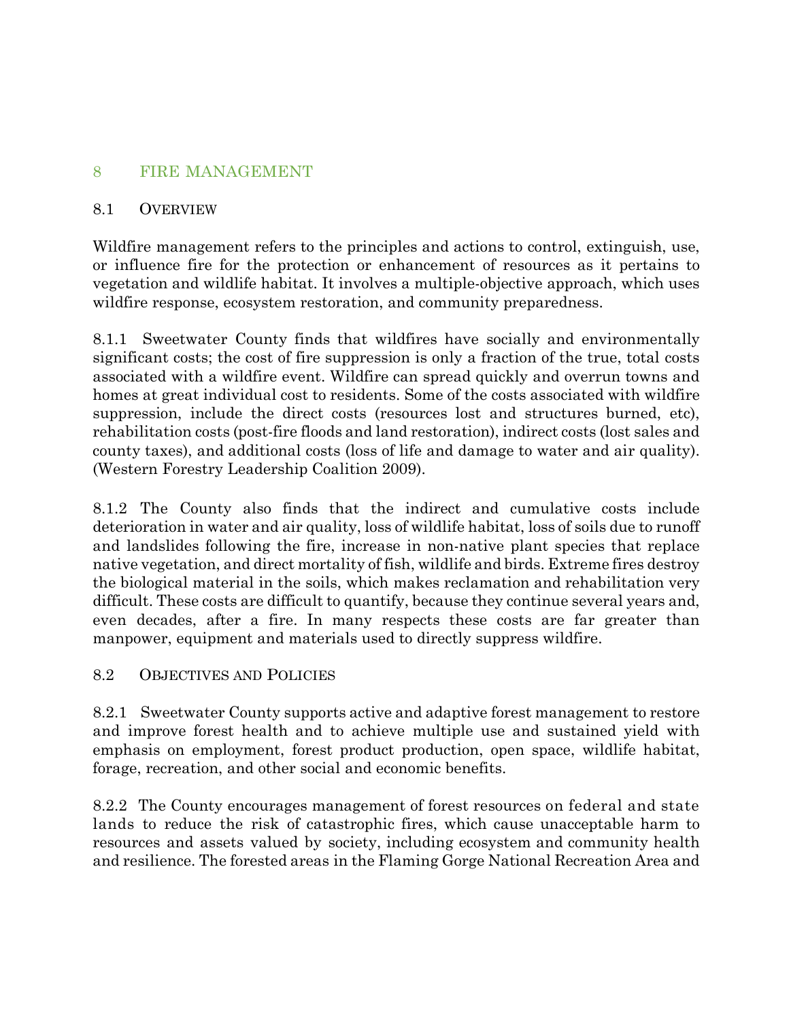#### 8 FIRE MANAGEMENT

#### 8.1 OVERVIEW

Wildfire management refers to the principles and actions to control, extinguish, use, or influence fire for the protection or enhancement of resources as it pertains to vegetation and wildlife habitat. It involves a multiple-objective approach, which uses wildfire response, ecosystem restoration, and community preparedness.

8.1.1 Sweetwater County finds that wildfires have socially and environmentally significant costs; the cost of fire suppression is only a fraction of the true, total costs associated with a wildfire event. Wildfire can spread quickly and overrun towns and homes at great individual cost to residents. Some of the costs associated with wildfire suppression, include the direct costs (resources lost and structures burned, etc), rehabilitation costs (post-fire floods and land restoration), indirect costs (lost sales and county taxes), and additional costs (loss of life and damage to water and air quality). (Western Forestry Leadership Coalition 2009).

8.1.2 The County also finds that the indirect and cumulative costs include deterioration in water and air quality, loss of wildlife habitat, loss of soils due to runoff and landslides following the fire, increase in non-native plant species that replace native vegetation, and direct mortality of fish, wildlife and birds. Extreme fires destroy the biological material in the soils, which makes reclamation and rehabilitation very difficult. These costs are difficult to quantify, because they continue several years and, even decades, after a fire. In many respects these costs are far greater than manpower, equipment and materials used to directly suppress wildfire.

#### 8.2 OBJECTIVES AND POLICIES

8.2.1 Sweetwater County supports active and adaptive forest management to restore and improve forest health and to achieve multiple use and sustained yield with emphasis on employment, forest product production, open space, wildlife habitat, forage, recreation, and other social and economic benefits.

8.2.2 The County encourages management of forest resources on federal and state lands to reduce the risk of catastrophic fires, which cause unacceptable harm to resources and assets valued by society, including ecosystem and community health and resilience. The forested areas in the Flaming Gorge National Recreation Area and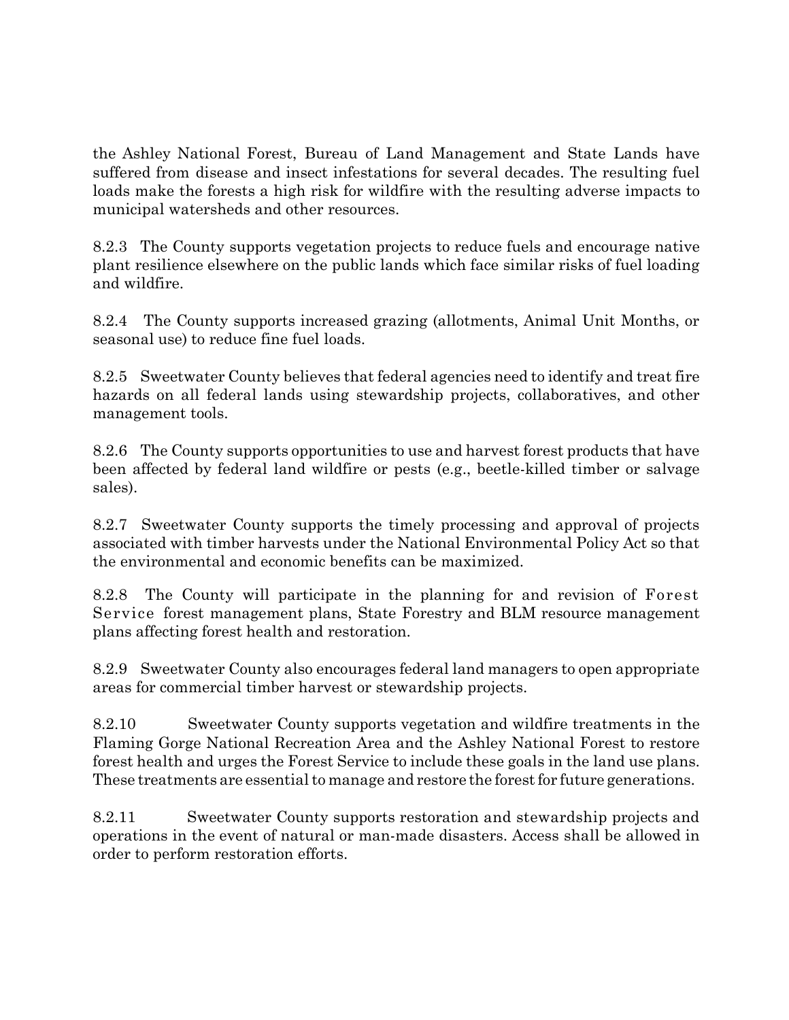the Ashley National Forest, Bureau of Land Management and State Lands have suffered from disease and insect infestations for several decades. The resulting fuel loads make the forests a high risk for wildfire with the resulting adverse impacts to municipal watersheds and other resources.

8.2.3 The County supports vegetation projects to reduce fuels and encourage native plant resilience elsewhere on the public lands which face similar risks of fuel loading and wildfire.

8.2.4 The County supports increased grazing (allotments, Animal Unit Months, or seasonal use) to reduce fine fuel loads.

8.2.5 Sweetwater County believes that federal agencies need to identify and treat fire hazards on all federal lands using stewardship projects, collaboratives, and other management tools.

8.2.6 The County supports opportunities to use and harvest forest products that have been affected by federal land wildfire or pests (e.g., beetle-killed timber or salvage sales).

8.2.7 Sweetwater County supports the timely processing and approval of projects associated with timber harvests under the National Environmental Policy Act so that the environmental and economic benefits can be maximized.

8.2.8 The County will participate in the planning for and revision of Forest Service forest management plans, State Forestry and BLM resource management plans affecting forest health and restoration.

8.2.9 Sweetwater County also encourages federal land managers to open appropriate areas for commercial timber harvest or stewardship projects.

8.2.10 Sweetwater County supports vegetation and wildfire treatments in the Flaming Gorge National Recreation Area and the Ashley National Forest to restore forest health and urges the Forest Service to include these goals in the land use plans. These treatments are essential to manage and restore the forest for future generations.

8.2.11 Sweetwater County supports restoration and stewardship projects and operations in the event of natural or man-made disasters. Access shall be allowed in order to perform restoration efforts.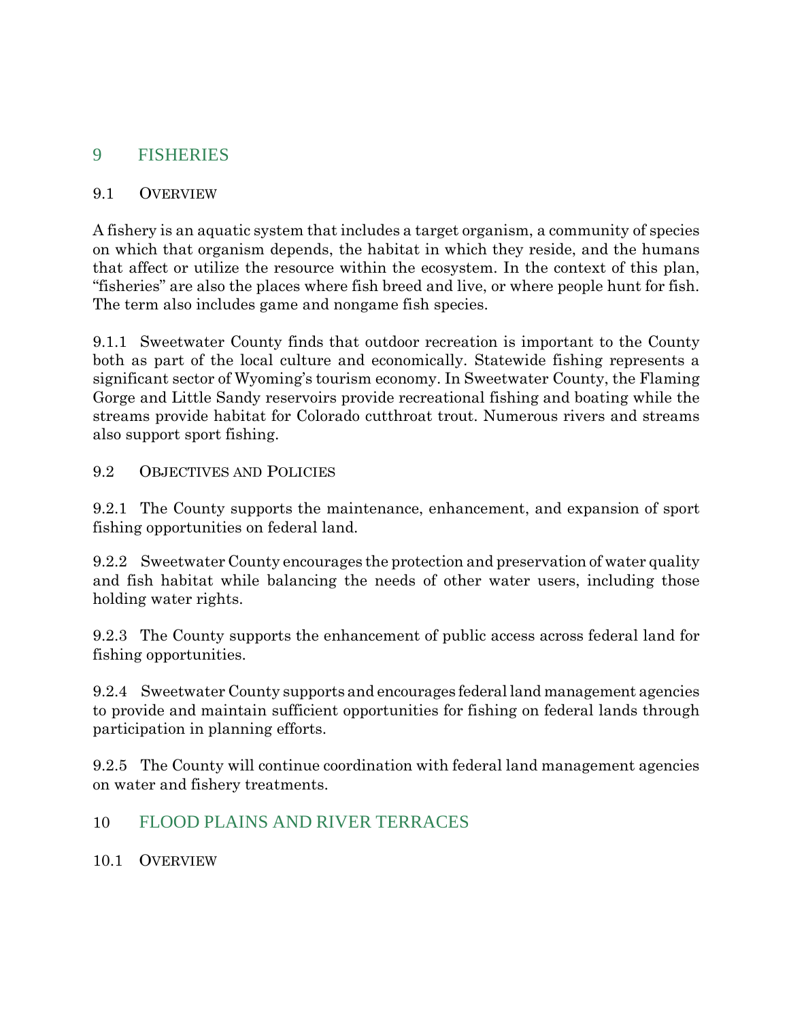## 9 FISHERIES

#### 9.1 OVERVIEW

A fishery is an aquatic system that includes a target organism, a community of species on which that organism depends, the habitat in which they reside, and the humans that affect or utilize the resource within the ecosystem. In the context of this plan, "fisheries" are also the places where fish breed and live, or where people hunt for fish. The term also includes game and nongame fish species.

9.1.1 Sweetwater County finds that outdoor recreation is important to the County both as part of the local culture and economically. Statewide fishing represents a significant sector of Wyoming's tourism economy. In Sweetwater County, the Flaming Gorge and Little Sandy reservoirs provide recreational fishing and boating while the streams provide habitat for Colorado cutthroat trout. Numerous rivers and streams also support sport fishing.

#### 9.2 OBJECTIVES AND POLICIES

9.2.1 The County supports the maintenance, enhancement, and expansion of sport fishing opportunities on federal land.

9.2.2 Sweetwater County encourages the protection and preservation of water quality and fish habitat while balancing the needs of other water users, including those holding water rights.

9.2.3 The County supports the enhancement of public access across federal land for fishing opportunities.

9.2.4 Sweetwater County supports and encourages federal land management agencies to provide and maintain sufficient opportunities for fishing on federal lands through participation in planning efforts.

9.2.5 The County will continue coordination with federal land management agencies on water and fishery treatments.

## 10 FLOOD PLAINS AND RIVER TERRACES

#### 10.1 OVERVIEW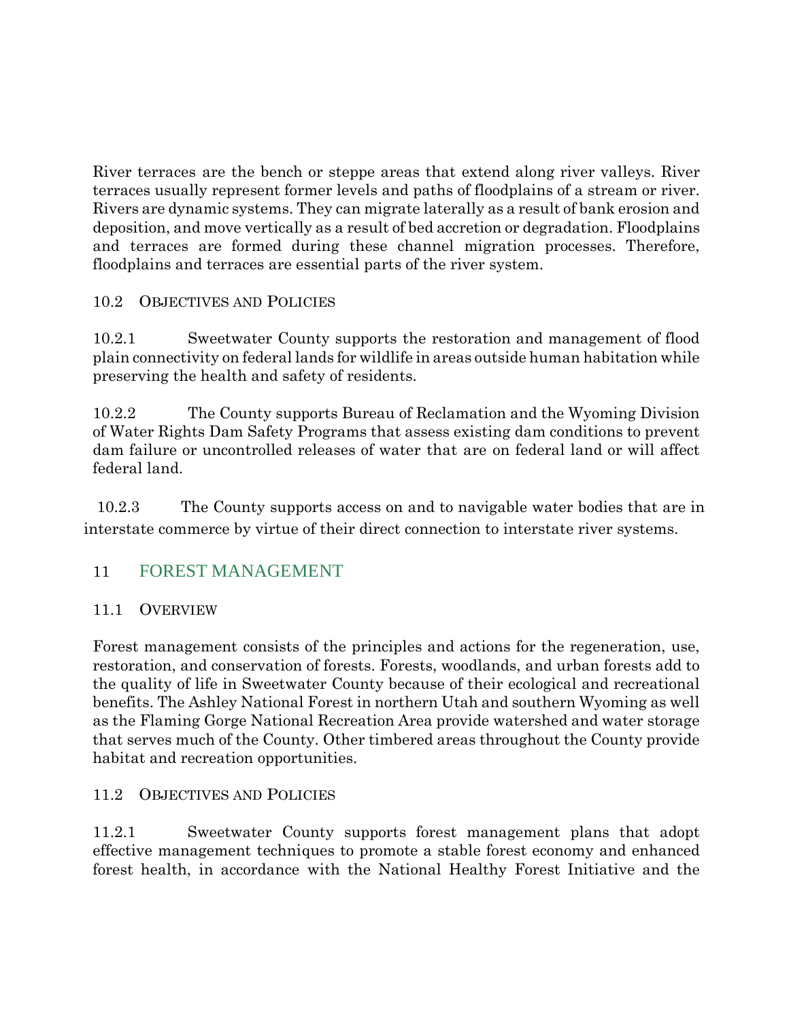River terraces are the bench or steppe areas that extend along river valleys. River terraces usually represent former levels and paths of floodplains of a stream or river. Rivers are dynamic systems. They can migrate laterally as a result of bank erosion and deposition, and move vertically as a result of bed accretion or degradation. Floodplains and terraces are formed during these channel migration processes. Therefore, floodplains and terraces are essential parts of the river system.

## 10.2 OBJECTIVES AND POLICIES

10.2.1 Sweetwater County supports the restoration and management of flood plain connectivity on federal lands for wildlife in areas outside human habitation while preserving the health and safety of residents.

10.2.2 The County supports Bureau of Reclamation and the Wyoming Division of Water Rights Dam Safety Programs that assess existing dam conditions to prevent dam failure or uncontrolled releases of water that are on federal land or will affect federal land.

 10.2.3 The County supports access on and to navigable water bodies that are in interstate commerce by virtue of their direct connection to interstate river systems.

## 11 FOREST MANAGEMENT

## 11.1 OVERVIEW

Forest management consists of the principles and actions for the regeneration, use, restoration, and conservation of forests. Forests, woodlands, and urban forests add to the quality of life in Sweetwater County because of their ecological and recreational benefits. The Ashley National Forest in northern Utah and southern Wyoming as well as the Flaming Gorge National Recreation Area provide watershed and water storage that serves much of the County. Other timbered areas throughout the County provide habitat and recreation opportunities.

## 11.2 OBJECTIVES AND POLICIES

11.2.1 Sweetwater County supports forest management plans that adopt effective management techniques to promote a stable forest economy and enhanced forest health, in accordance with the National Healthy Forest Initiative and the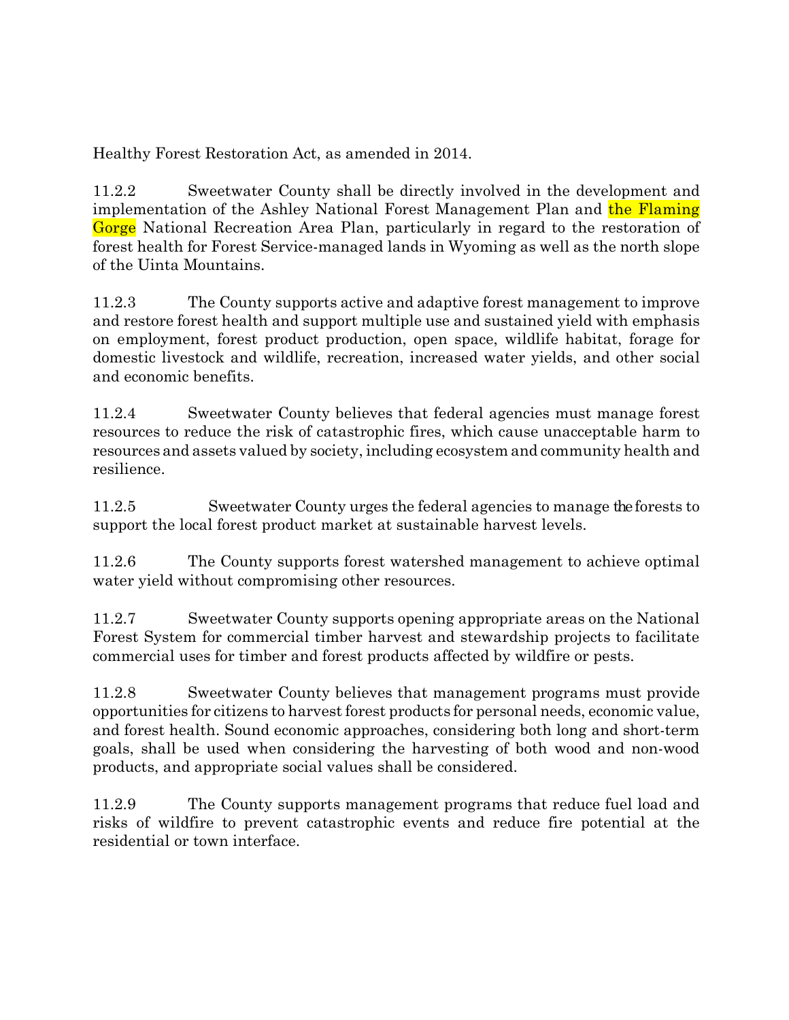Healthy Forest Restoration Act, as amended in 2014.

11.2.2 Sweetwater County shall be directly involved in the development and implementation of the Ashley National Forest Management Plan and the Flaming Gorge National Recreation Area Plan, particularly in regard to the restoration of forest health for Forest Service-managed lands in Wyoming as well as the north slope of the Uinta Mountains.

11.2.3 The County supports active and adaptive forest management to improve and restore forest health and support multiple use and sustained yield with emphasis on employment, forest product production, open space, wildlife habitat, forage for domestic livestock and wildlife, recreation, increased water yields, and other social and economic benefits.

11.2.4 Sweetwater County believes that federal agencies must manage forest resources to reduce the risk of catastrophic fires, which cause unacceptable harm to resources and assets valued by society, including ecosystem and community health and resilience.

11.2.5 Sweetwater County urges the federal agencies to manage the forests to support the local forest product market at sustainable harvest levels.

11.2.6 The County supports forest watershed management to achieve optimal water yield without compromising other resources.

11.2.7 Sweetwater County supports opening appropriate areas on the National Forest System for commercial timber harvest and stewardship projects to facilitate commercial uses for timber and forest products affected by wildfire or pests.

11.2.8 Sweetwater County believes that management programs must provide opportunities for citizens to harvest forest products for personal needs, economic value, and forest health. Sound economic approaches, considering both long and short-term goals, shall be used when considering the harvesting of both wood and non-wood products, and appropriate social values shall be considered.

11.2.9 The County supports management programs that reduce fuel load and risks of wildfire to prevent catastrophic events and reduce fire potential at the residential or town interface.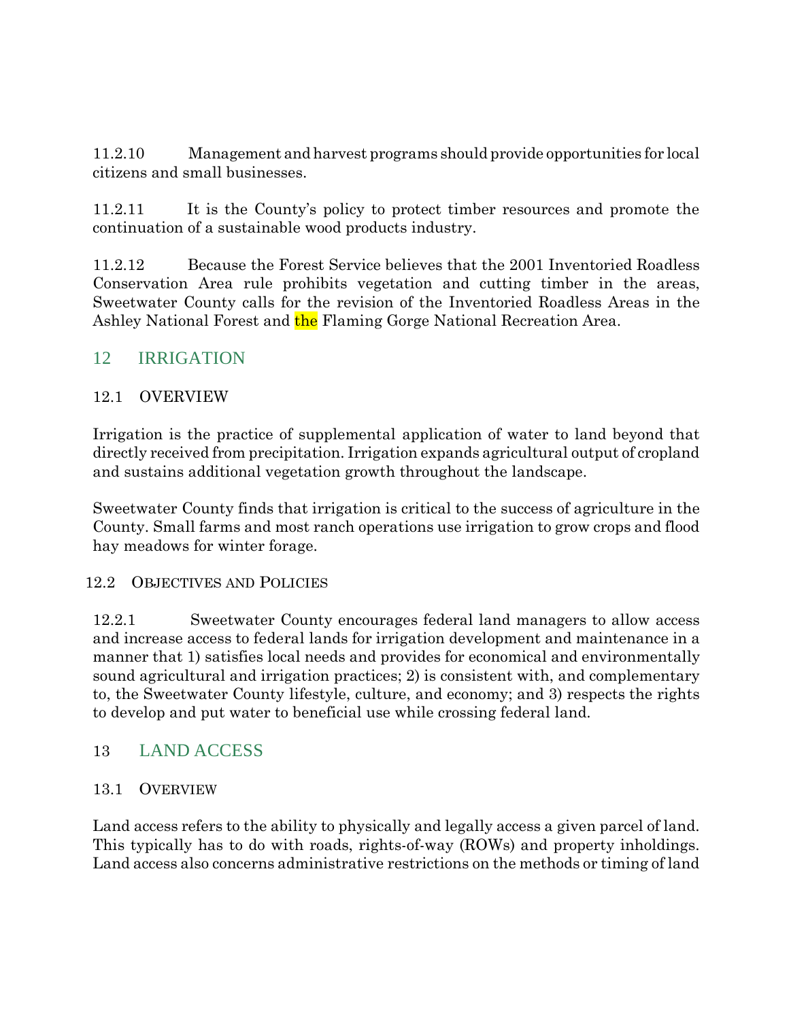11.2.10 Management and harvest programs should provide opportunities for local citizens and small businesses.

11.2.11 It is the County's policy to protect timber resources and promote the continuation of a sustainable wood products industry.

11.2.12 Because the Forest Service believes that the 2001 Inventoried Roadless Conservation Area rule prohibits vegetation and cutting timber in the areas, Sweetwater County calls for the revision of the Inventoried Roadless Areas in the Ashley National Forest and the Flaming Gorge National Recreation Area.

## 12 IRRIGATION

#### 12.1 OVERVIEW

Irrigation is the practice of supplemental application of water to land beyond that directly received from precipitation. Irrigation expands agricultural output of cropland and sustains additional vegetation growth throughout the landscape.

Sweetwater County finds that irrigation is critical to the success of agriculture in the County. Small farms and most ranch operations use irrigation to grow crops and flood hay meadows for winter forage.

#### 12.2 OBJECTIVES AND POLICIES

12.2.1 Sweetwater County encourages federal land managers to allow access and increase access to federal lands for irrigation development and maintenance in a manner that 1) satisfies local needs and provides for economical and environmentally sound agricultural and irrigation practices; 2) is consistent with, and complementary to, the Sweetwater County lifestyle, culture, and economy; and 3) respects the rights to develop and put water to beneficial use while crossing federal land.

## 13 LAND ACCESS

#### 13.1 OVERVIEW

Land access refers to the ability to physically and legally access a given parcel of land. This typically has to do with roads, rights-of-way (ROWs) and property inholdings. Land access also concerns administrative restrictions on the methods or timing of land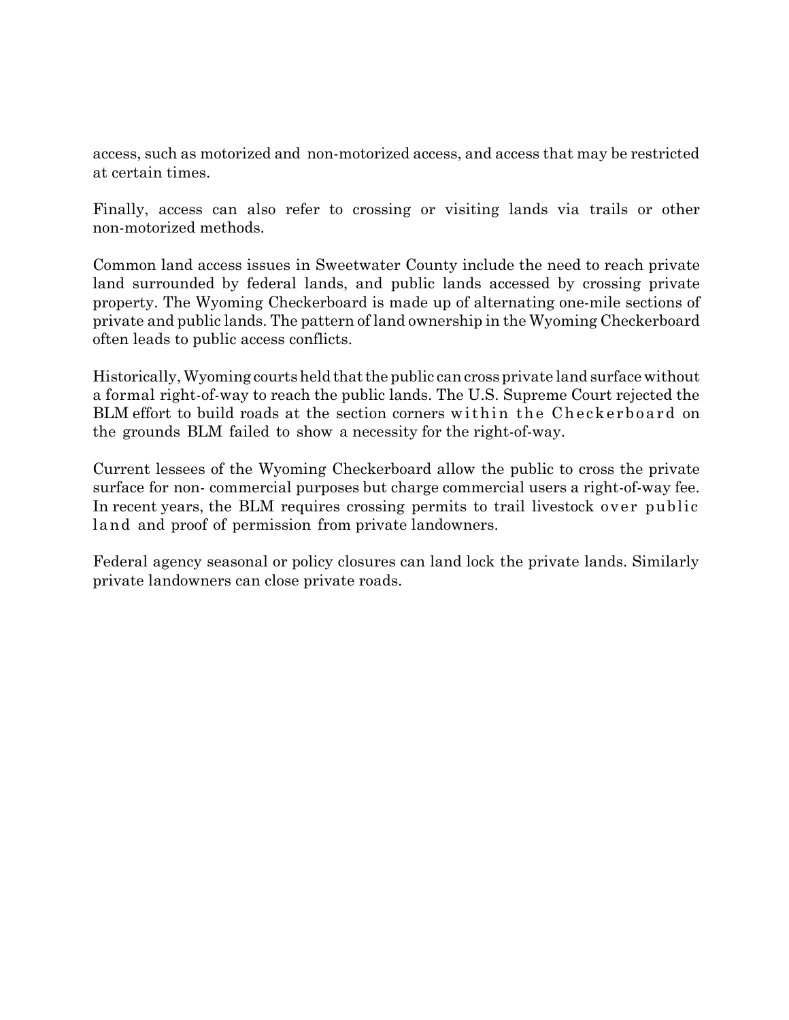access, such as motorized and non-motorized access, and access that may be restricted at certain times.

Finally, access can also refer to crossing or visiting lands via trails or other non-motorized methods.

Common land access issues in Sweetwater County include the need to reach private land surrounded by federal lands, and public lands accessed by crossing private property. The Wyoming Checkerboard is made up of alternating one-mile sections of private and public lands. The pattern of land ownership in the Wyoming Checkerboard often leads to public access conflicts.

Historically,Wyoming courtsheld thatthe public can cross private land surfacewithout a formal right-of-way to reach the public lands. The U.S. Supreme Court rejected the BLM effort to build roads at the section corners within the Checkerboard on the grounds BLM failed to show a necessity for the right-of-way.

Current lessees of the Wyoming Checkerboard allow the public to cross the private surface for non- commercial purposes but charge commercial users a right-of-way fee. In recent years, the BLM requires crossing permits to trail livestock over public land and proof of permission from private landowners.

Federal agency seasonal or policy closures can land lock the private lands. Similarly private landowners can close private roads.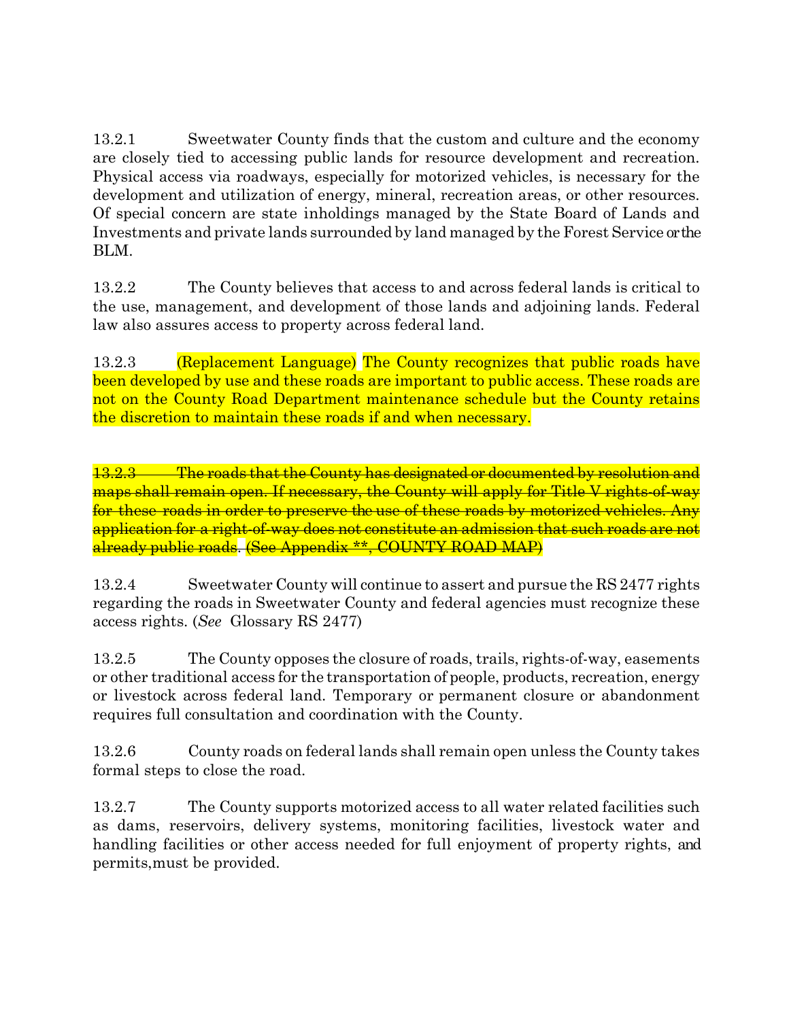13.2.1 Sweetwater County finds that the custom and culture and the economy are closely tied to accessing public lands for resource development and recreation. Physical access via roadways, especially for motorized vehicles, is necessary for the development and utilization of energy, mineral, recreation areas, or other resources. Of special concern are state inholdings managed by the State Board of Lands and Investments and private lands surrounded by land managed by the Forest Service or the BLM.

13.2.2 The County believes that access to and across federal lands is critical to the use, management, and development of those lands and adjoining lands. Federal law also assures access to property across federal land.

13.2.3 (Replacement Language) The County recognizes that public roads have been developed by use and these roads are important to public access. These roads are not on the County Road Department maintenance schedule but the County retains the discretion to maintain these roads if and when necessary.

13.2.3 The roads that the County has designated or documented by resolution and maps shall remain open. If necessary, the County will apply for Title V rights-of-way for these roads in order to preserve the use of these roads by motorized vehicles. Any application for a right-of-way does not constitute an admission that such roads are not already public roads. (See Appendix \*\*, COUNTY ROAD MAP)

13.2.4 Sweetwater County will continue to assert and pursue the RS 2477 rights regarding the roads in Sweetwater County and federal agencies must recognize these access rights. (*See* Glossary RS 2477)

13.2.5 The County opposes the closure of roads, trails, rights-of-way, easements or other traditional access for the transportation of people, products, recreation, energy or livestock across federal land. Temporary or permanent closure or abandonment requires full consultation and coordination with the County.

13.2.6 County roads on federal lands shall remain open unless the County takes formal steps to close the road.

13.2.7 The County supports motorized access to all water related facilities such as dams, reservoirs, delivery systems, monitoring facilities, livestock water and handling facilities or other access needed for full enjoyment of property rights, and permits,must be provided.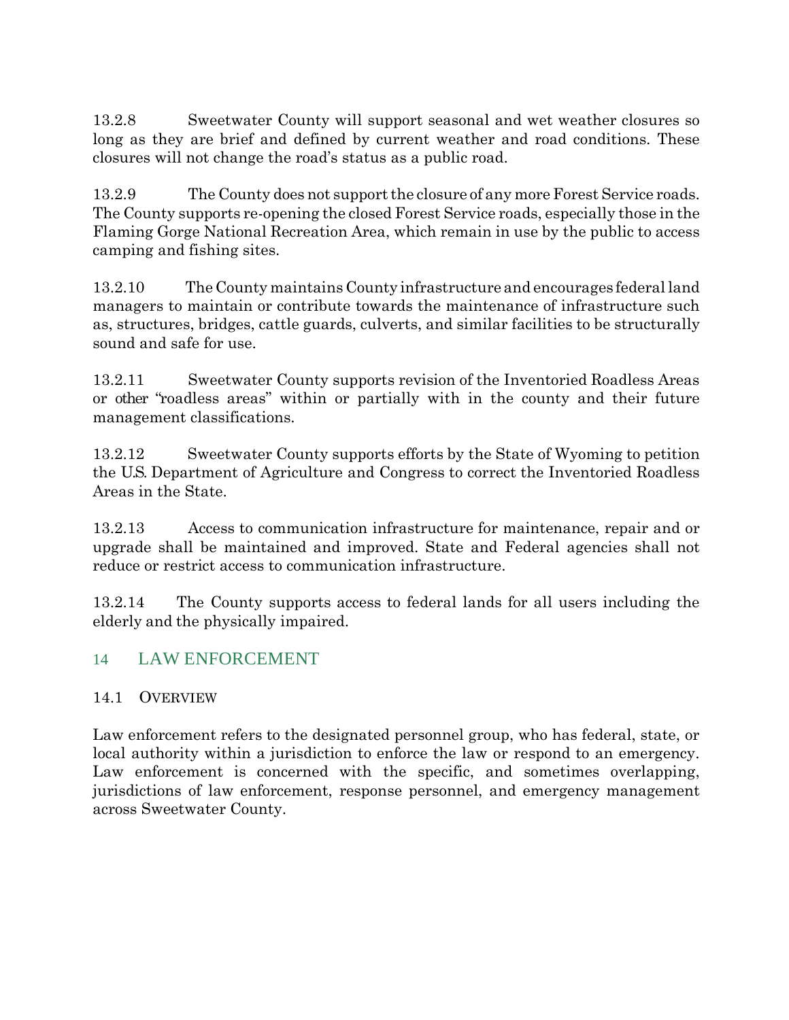13.2.8 Sweetwater County will support seasonal and wet weather closures so long as they are brief and defined by current weather and road conditions. These closures will not change the road's status as a public road.

13.2.9 The County does not support the closure of any more Forest Service roads. The County supports re-opening the closed Forest Service roads, especially those in the Flaming Gorge National Recreation Area, which remain in use by the public to access camping and fishing sites.

13.2.10 The County maintains County infrastructure and encourages federal land managers to maintain or contribute towards the maintenance of infrastructure such as, structures, bridges, cattle guards, culverts, and similar facilities to be structurally sound and safe for use.

13.2.11 Sweetwater County supports revision of the Inventoried Roadless Areas or other "roadless areas" within or partially with in the county and their future management classifications.

13.2.12 Sweetwater County supports efforts by the State of Wyoming to petition the U.S. Department of Agriculture and Congress to correct the Inventoried Roadless Areas in the State.

13.2.13 Access to communication infrastructure for maintenance, repair and or upgrade shall be maintained and improved. State and Federal agencies shall not reduce or restrict access to communication infrastructure.

13.2.14 The County supports access to federal lands for all users including the elderly and the physically impaired.

## 14 LAW ENFORCEMENT

#### 14.1 OVERVIEW

Law enforcement refers to the designated personnel group, who has federal, state, or local authority within a jurisdiction to enforce the law or respond to an emergency. Law enforcement is concerned with the specific, and sometimes overlapping, jurisdictions of law enforcement, response personnel, and emergency management across Sweetwater County.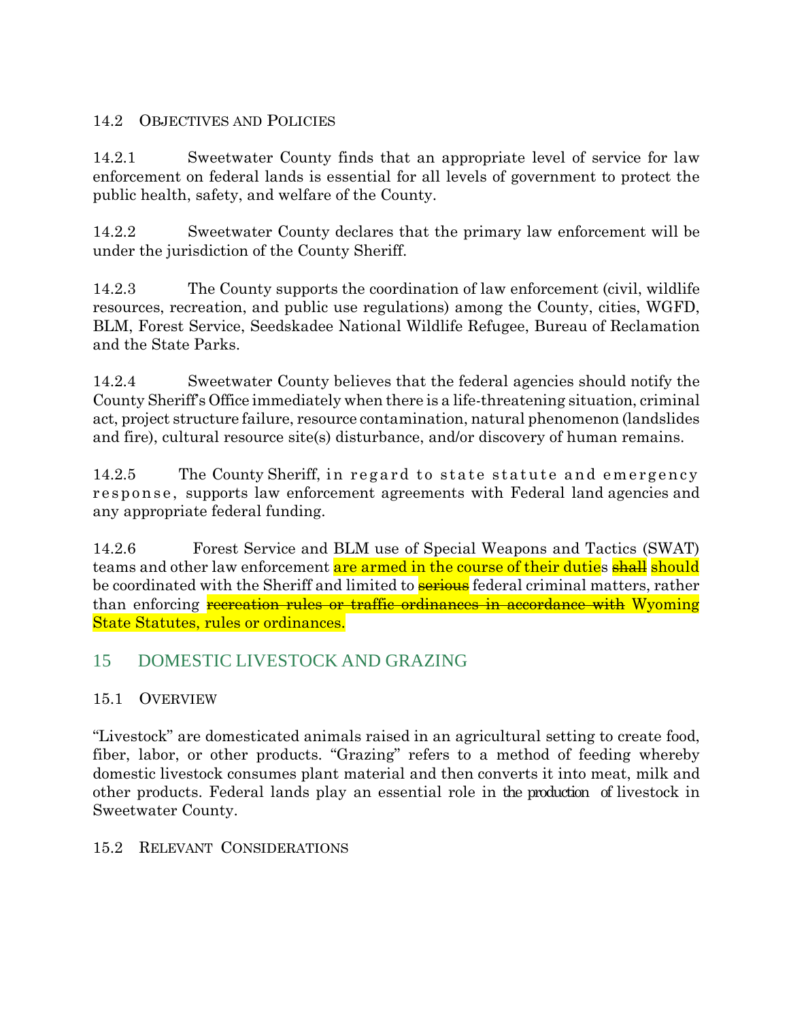## 14.2 OBJECTIVES AND POLICIES

14.2.1 Sweetwater County finds that an appropriate level of service for law enforcement on federal lands is essential for all levels of government to protect the public health, safety, and welfare of the County.

14.2.2 Sweetwater County declares that the primary law enforcement will be under the jurisdiction of the County Sheriff.

14.2.3 The County supports the coordination of law enforcement (civil, wildlife resources, recreation, and public use regulations) among the County, cities, WGFD, BLM, Forest Service, Seedskadee National Wildlife Refugee, Bureau of Reclamation and the State Parks.

14.2.4 Sweetwater County believes that the federal agencies should notify the County Sheriff's Office immediately when there is a life-threatening situation, criminal act, project structure failure, resource contamination, natural phenomenon (landslides and fire), cultural resource site(s) disturbance, and/or discovery of human remains.

14.2.5 The County Sheriff, in regard to state statute and emergency response, supports law enforcement agreements with Federal land agencies and any appropriate federal funding.

14.2.6 Forest Service and BLM use of Special Weapons and Tactics (SWAT) teams and other law enforcement are armed in the course of their duties shall should be coordinated with the Sheriff and limited to **serious** federal criminal matters, rather than enforcing recreation rules or traffic ordinances in accordance with Wyoming State Statutes, rules or ordinances.

## 15 DOMESTIC LIVESTOCK AND GRAZING

## 15.1 OVERVIEW

"Livestock" are domesticated animals raised in an agricultural setting to create food, fiber, labor, or other products. "Grazing" refers to a method of feeding whereby domestic livestock consumes plant material and then converts it into meat, milk and other products. Federal lands play an essential role in the production of livestock in Sweetwater County.

## 15.2 RELEVANT CONSIDERATIONS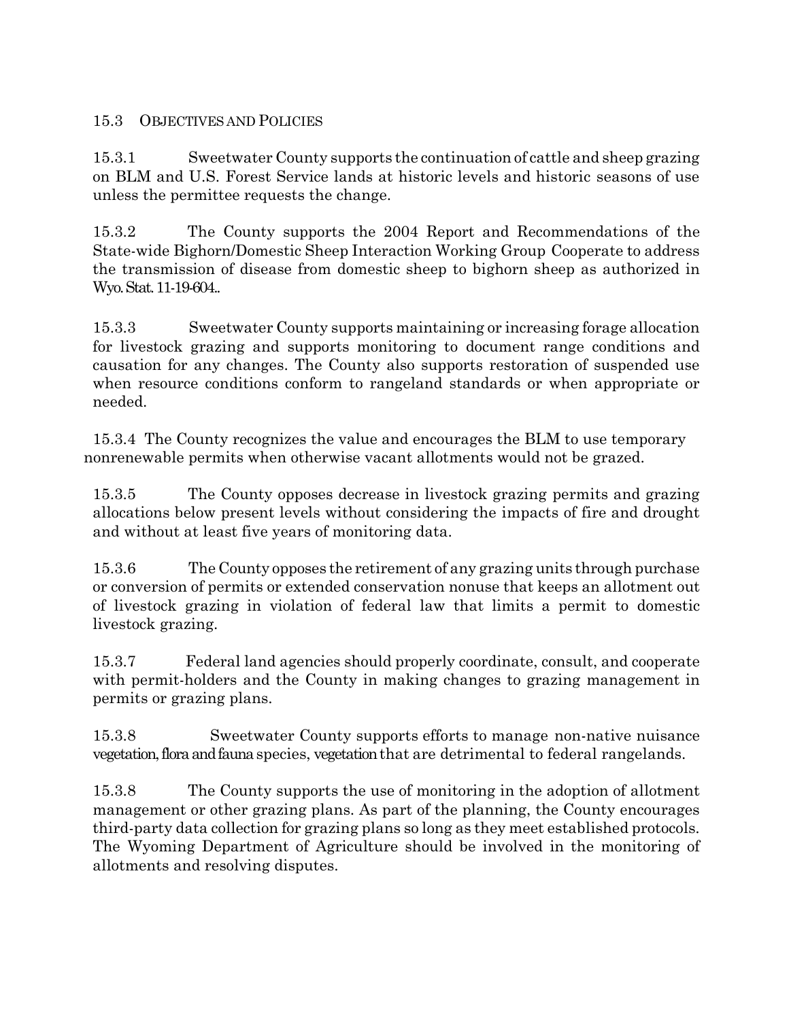## 15.3 OBJECTIVES AND POLICIES

15.3.1 Sweetwater County supports the continuation of cattle and sheep grazing on BLM and U.S. Forest Service lands at historic levels and historic seasons of use unless the permittee requests the change.

15.3.2 The County supports the 2004 Report and Recommendations of the State-wide Bighorn/Domestic Sheep Interaction Working Group Cooperate to address the transmission of disease from domestic sheep to bighorn sheep as authorized in Wyo. Stat. 11-19-604..

15.3.3 Sweetwater County supports maintaining or increasing forage allocation for livestock grazing and supports monitoring to document range conditions and causation for any changes. The County also supports restoration of suspended use when resource conditions conform to rangeland standards or when appropriate or needed.

15.3.4 The County recognizes the value and encourages the BLM to use temporary nonrenewable permits when otherwise vacant allotments would not be grazed.

15.3.5 The County opposes decrease in livestock grazing permits and grazing allocations below present levels without considering the impacts of fire and drought and without at least five years of monitoring data.

15.3.6 The County opposes the retirement of any grazing units through purchase or conversion of permits or extended conservation nonuse that keeps an allotment out of livestock grazing in violation of federal law that limits a permit to domestic livestock grazing.

15.3.7 Federal land agencies should properly coordinate, consult, and cooperate with permit-holders and the County in making changes to grazing management in permits or grazing plans.

15.3.8 Sweetwater County supports efforts to manage non-native nuisance vegetation, flora and faunaspecies, vegetation that are detrimental to federal rangelands.

15.3.8 The County supports the use of monitoring in the adoption of allotment management or other grazing plans. As part of the planning, the County encourages third-party data collection for grazing plans so long as they meet established protocols. The Wyoming Department of Agriculture should be involved in the monitoring of allotments and resolving disputes.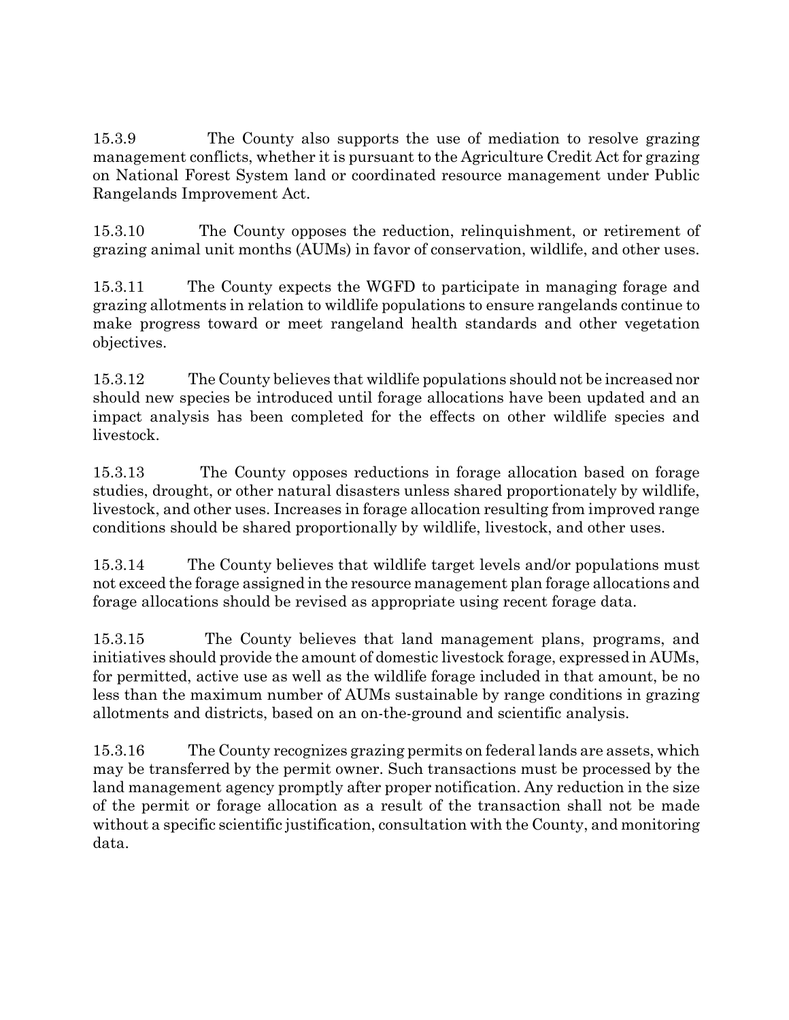15.3.9 The County also supports the use of mediation to resolve grazing management conflicts, whether it is pursuant to the Agriculture Credit Act for grazing on National Forest System land or coordinated resource management under Public Rangelands Improvement Act.

15.3.10 The County opposes the reduction, relinquishment, or retirement of grazing animal unit months (AUMs) in favor of conservation, wildlife, and other uses.

15.3.11 The County expects the WGFD to participate in managing forage and grazing allotments in relation to wildlife populations to ensure rangelands continue to make progress toward or meet rangeland health standards and other vegetation objectives.

15.3.12 The County believes that wildlife populations should not be increased nor should new species be introduced until forage allocations have been updated and an impact analysis has been completed for the effects on other wildlife species and livestock.

15.3.13 The County opposes reductions in forage allocation based on forage studies, drought, or other natural disasters unless shared proportionately by wildlife, livestock, and other uses. Increases in forage allocation resulting from improved range conditions should be shared proportionally by wildlife, livestock, and other uses.

15.3.14 The County believes that wildlife target levels and/or populations must not exceed the forage assigned in the resource management plan forage allocations and forage allocations should be revised as appropriate using recent forage data.

15.3.15 The County believes that land management plans, programs, and initiatives should provide the amount of domestic livestock forage, expressed in AUMs, for permitted, active use as well as the wildlife forage included in that amount, be no less than the maximum number of AUMs sustainable by range conditions in grazing allotments and districts, based on an on-the-ground and scientific analysis.

15.3.16 The County recognizes grazing permits on federal lands are assets, which may be transferred by the permit owner. Such transactions must be processed by the land management agency promptly after proper notification. Any reduction in the size of the permit or forage allocation as a result of the transaction shall not be made without a specific scientific justification, consultation with the County, and monitoring data.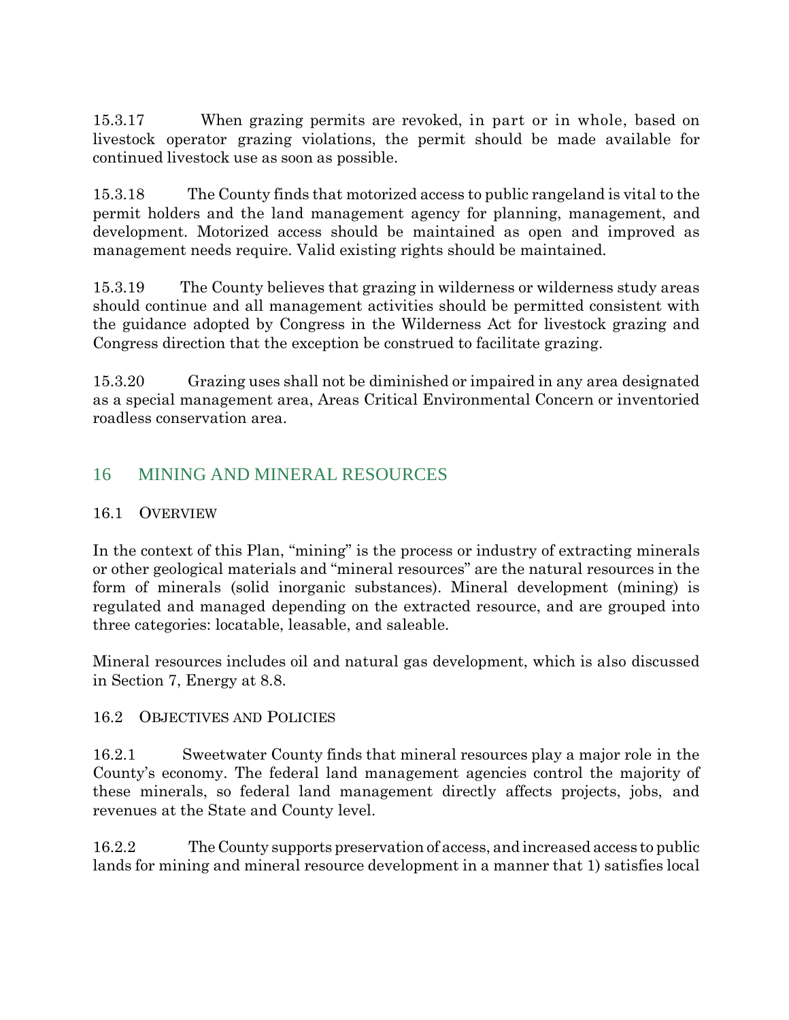15.3.17 When grazing permits are revoked, in part or in whole, based on livestock operator grazing violations, the permit should be made available for continued livestock use as soon as possible.

15.3.18 The County finds that motorized access to public rangeland is vital to the permit holders and the land management agency for planning, management, and development. Motorized access should be maintained as open and improved as management needs require. Valid existing rights should be maintained.

15.3.19 The County believes that grazing in wilderness or wilderness study areas should continue and all management activities should be permitted consistent with the guidance adopted by Congress in the Wilderness Act for livestock grazing and Congress direction that the exception be construed to facilitate grazing.

15.3.20 Grazing uses shall not be diminished or impaired in any area designated as a special management area, Areas Critical Environmental Concern or inventoried roadless conservation area.

## 16 MINING AND MINERAL RESOURCES

## 16.1 OVERVIEW

In the context of this Plan, "mining" is the process or industry of extracting minerals or other geological materials and "mineral resources" are the natural resources in the form of minerals (solid inorganic substances). Mineral development (mining) is regulated and managed depending on the extracted resource, and are grouped into three categories: locatable, leasable, and saleable.

Mineral resources includes oil and natural gas development, which is also discussed in Section 7, Energy at 8.8.

## 16.2 OBJECTIVES AND POLICIES

16.2.1 Sweetwater County finds that mineral resources play a major role in the County's economy. The federal land management agencies control the majority of these minerals, so federal land management directly affects projects, jobs, and revenues at the State and County level.

16.2.2 The County supports preservation of access, and increased access to public lands for mining and mineral resource development in a manner that 1) satisfies local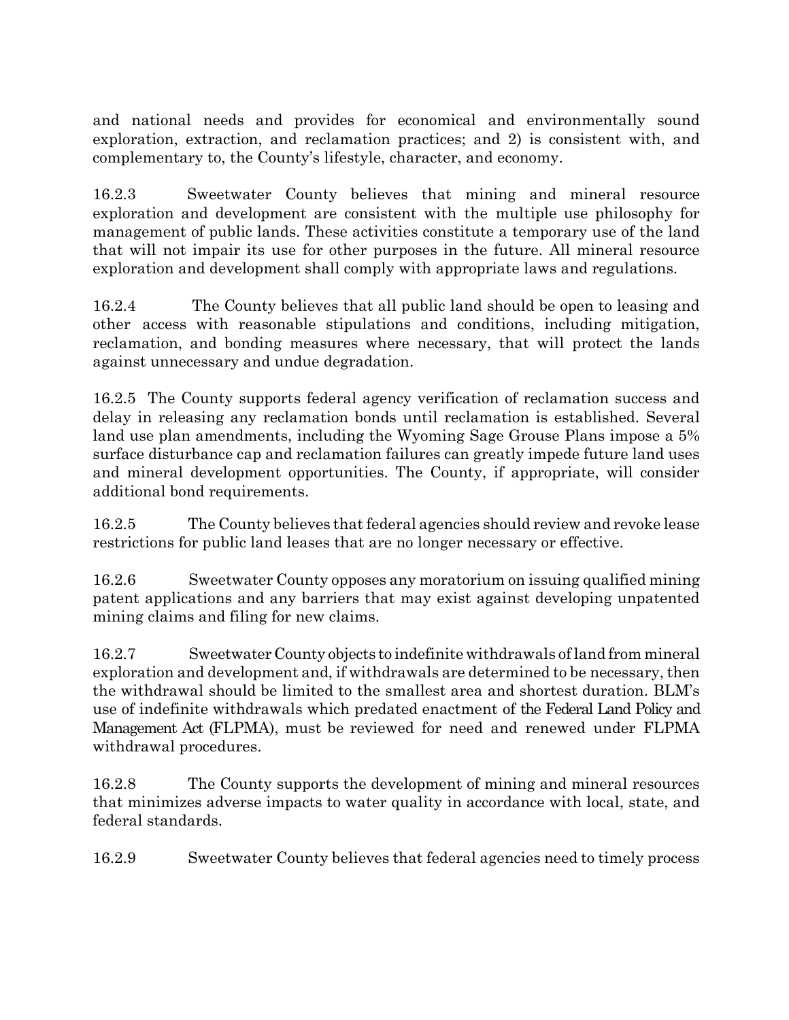and national needs and provides for economical and environmentally sound exploration, extraction, and reclamation practices; and 2) is consistent with, and complementary to, the County's lifestyle, character, and economy.

16.2.3 Sweetwater County believes that mining and mineral resource exploration and development are consistent with the multiple use philosophy for management of public lands. These activities constitute a temporary use of the land that will not impair its use for other purposes in the future. All mineral resource exploration and development shall comply with appropriate laws and regulations.

16.2.4 The County believes that all public land should be open to leasing and other access with reasonable stipulations and conditions, including mitigation, reclamation, and bonding measures where necessary, that will protect the lands against unnecessary and undue degradation.

16.2.5 The County supports federal agency verification of reclamation success and delay in releasing any reclamation bonds until reclamation is established. Several land use plan amendments, including the Wyoming Sage Grouse Plans impose a 5% surface disturbance cap and reclamation failures can greatly impede future land uses and mineral development opportunities. The County, if appropriate, will consider additional bond requirements.

16.2.5 The County believes that federal agencies should review and revoke lease restrictions for public land leases that are no longer necessary or effective.

16.2.6 Sweetwater County opposes any moratorium on issuing qualified mining patent applications and any barriers that may exist against developing unpatented mining claims and filing for new claims.

16.2.7 Sweetwater County objects to indefinite withdrawals of land from mineral exploration and development and, if withdrawals are determined to be necessary, then the withdrawal should be limited to the smallest area and shortest duration. BLM's use of indefinite withdrawals which predated enactment of the Federal Land Policy and Management Act (FLPMA), must be reviewed for need and renewed under FLPMA withdrawal procedures.

16.2.8 The County supports the development of mining and mineral resources that minimizes adverse impacts to water quality in accordance with local, state, and federal standards.

16.2.9 Sweetwater County believes that federal agencies need to timely process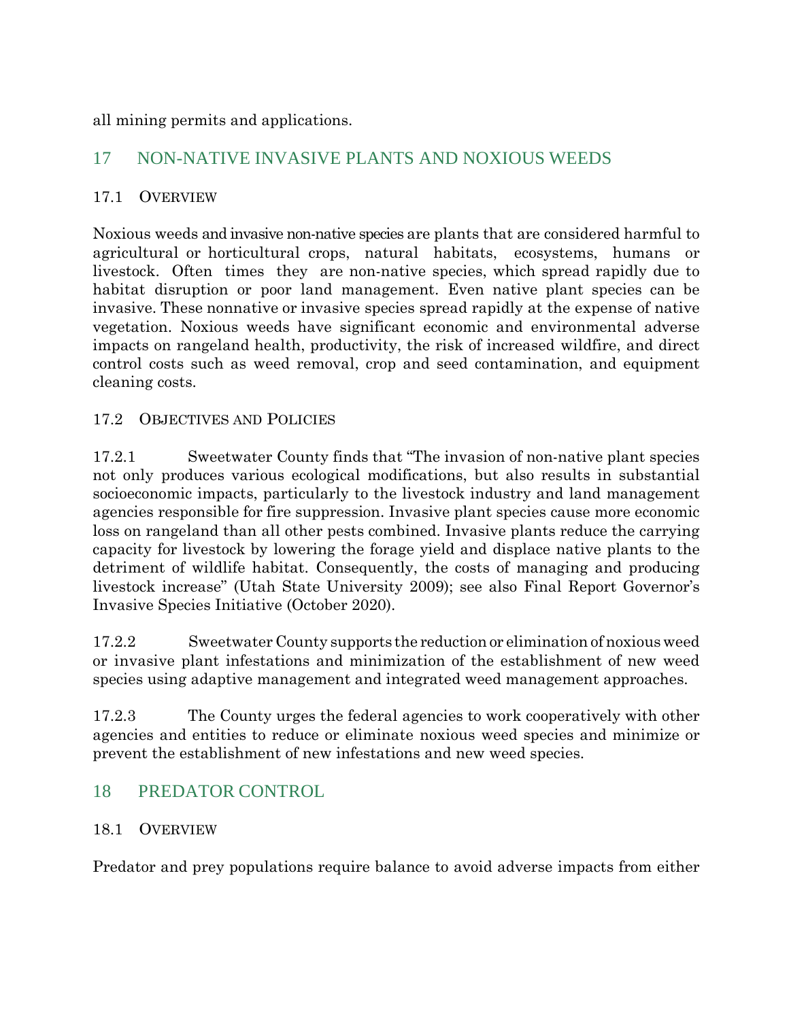all mining permits and applications.

## 17 NON-NATIVE INVASIVE PLANTS AND NOXIOUS WEEDS

#### 17.1 OVERVIEW

Noxious weeds and invasive non-native species are plants that are considered harmful to agricultural or horticultural crops, natural habitats, ecosystems, humans or livestock. Often times they are non-native species, which spread rapidly due to habitat disruption or poor land management. Even native plant species can be invasive. These nonnative or invasive species spread rapidly at the expense of native vegetation. Noxious weeds have significant economic and environmental adverse impacts on rangeland health, productivity, the risk of increased wildfire, and direct control costs such as weed removal, crop and seed contamination, and equipment cleaning costs.

#### 17.2 OBJECTIVES AND POLICIES

17.2.1 Sweetwater County finds that "The invasion of non-native plant species not only produces various ecological modifications, but also results in substantial socioeconomic impacts, particularly to the livestock industry and land management agencies responsible for fire suppression. Invasive plant species cause more economic loss on rangeland than all other pests combined. Invasive plants reduce the carrying capacity for livestock by lowering the forage yield and displace native plants to the detriment of wildlife habitat. Consequently, the costs of managing and producing livestock increase" (Utah State University 2009); see also Final Report Governor's Invasive Species Initiative (October 2020).

17.2.2 Sweetwater County supports the reduction or elimination of noxious weed or invasive plant infestations and minimization of the establishment of new weed species using adaptive management and integrated weed management approaches.

17.2.3 The County urges the federal agencies to work cooperatively with other agencies and entities to reduce or eliminate noxious weed species and minimize or prevent the establishment of new infestations and new weed species.

## 18 PREDATOR CONTROL

#### 18.1 OVERVIEW

Predator and prey populations require balance to avoid adverse impacts from either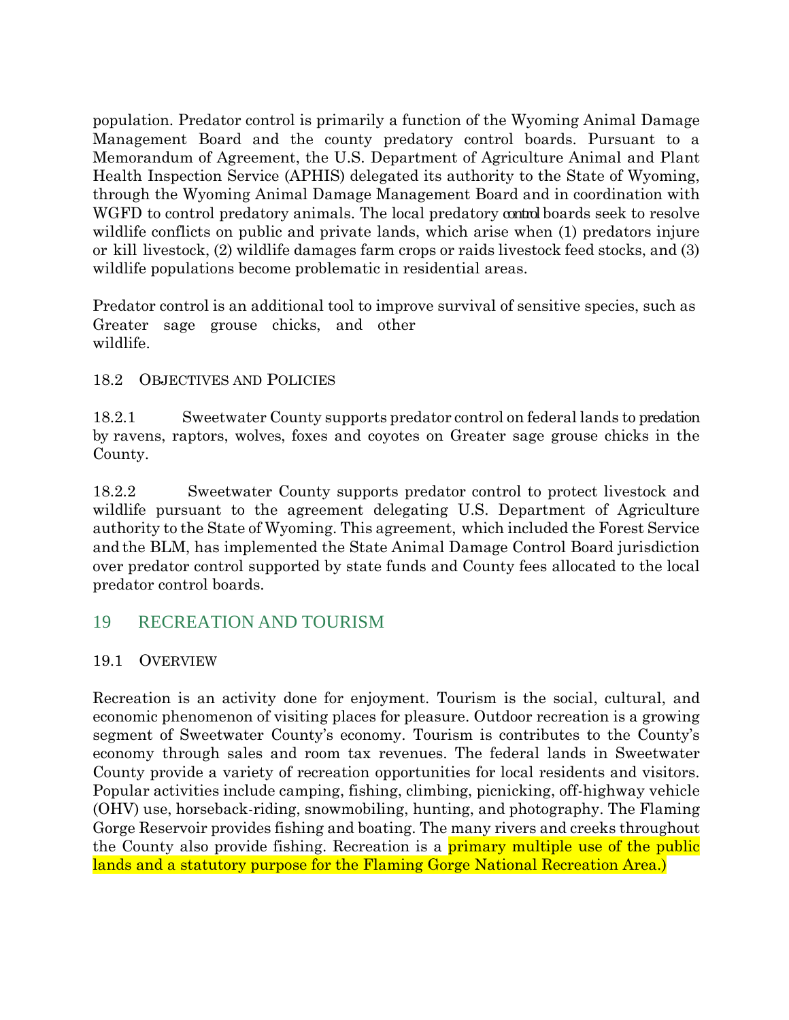population. Predator control is primarily a function of the Wyoming Animal Damage Management Board and the county predatory control boards. Pursuant to a Memorandum of Agreement, the U.S. Department of Agriculture Animal and Plant Health Inspection Service (APHIS) delegated its authority to the State of Wyoming, through the Wyoming Animal Damage Management Board and in coordination with WGFD to control predatory animals. The local predatory control boards seek to resolve wildlife conflicts on public and private lands, which arise when (1) predators injure or kill livestock, (2) wildlife damages farm crops or raids livestock feed stocks, and (3) wildlife populations become problematic in residential areas.

Predator control is an additional tool to improve survival of sensitive species, such as Greater sage grouse chicks, and other wildlife.

## 18.2 OBJECTIVES AND POLICIES

18.2.1 Sweetwater County supports predator control on federal lands to predation by ravens, raptors, wolves, foxes and coyotes on Greater sage grouse chicks in the County.

18.2.2 Sweetwater County supports predator control to protect livestock and wildlife pursuant to the agreement delegating U.S. Department of Agriculture authority to the State of Wyoming. This agreement, which included the Forest Service and the BLM, has implemented the State Animal Damage Control Board jurisdiction over predator control supported by state funds and County fees allocated to the local predator control boards.

## 19 RECREATION AND TOURISM

## 19.1 OVERVIEW

Recreation is an activity done for enjoyment. Tourism is the social, cultural, and economic phenomenon of visiting places for pleasure. Outdoor recreation is a growing segment of Sweetwater County's economy. Tourism is contributes to the County's economy through sales and room tax revenues. The federal lands in Sweetwater County provide a variety of recreation opportunities for local residents and visitors. Popular activities include camping, fishing, climbing, picnicking, off-highway vehicle (OHV) use, horseback-riding, snowmobiling, hunting, and photography. The Flaming Gorge Reservoir provides fishing and boating. The many rivers and creeks throughout the County also provide fishing. Recreation is a **primary multiple use of the public** lands and a statutory purpose for the Flaming Gorge National Recreation Area.)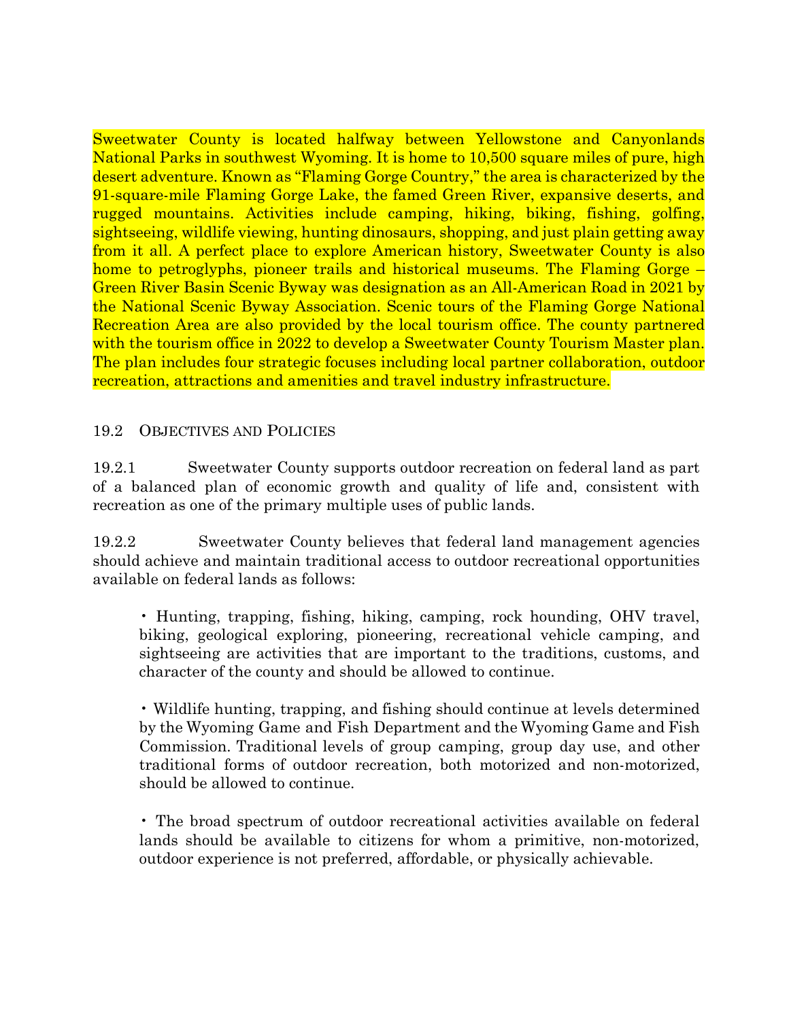Sweetwater County is located halfway between Yellowstone and Canyonlands National Parks in southwest Wyoming. It is home to 10,500 square miles of pure, high desert adventure. Known as "Flaming Gorge Country," the area is characterized by the 91-square-mile Flaming Gorge Lake, the famed Green River, expansive deserts, and rugged mountains. Activities include camping, hiking, biking, fishing, golfing, sightseeing, wildlife viewing, hunting dinosaurs, shopping, and just plain getting away from it all. A perfect place to explore American history, Sweetwater County is also home to petroglyphs, pioneer trails and historical museums. The Flaming Gorge – Green River Basin Scenic Byway was designation as an All-American Road in 2021 by the National Scenic Byway Association. Scenic tours of the Flaming Gorge National Recreation Area are also provided by the local tourism office. The county partnered with the tourism office in 2022 to develop a Sweetwater County Tourism Master plan. The plan includes four strategic focuses including local partner collaboration, outdoor recreation, attractions and amenities and travel industry infrastructure.

#### 19.2 OBJECTIVES AND POLICIES

19.2.1 Sweetwater County supports outdoor recreation on federal land as part of a balanced plan of economic growth and quality of life and, consistent with recreation as one of the primary multiple uses of public lands.

19.2.2 Sweetwater County believes that federal land management agencies should achieve and maintain traditional access to outdoor recreational opportunities available on federal lands as follows:

• Hunting, trapping, fishing, hiking, camping, rock hounding, OHV travel, biking, geological exploring, pioneering, recreational vehicle camping, and sightseeing are activities that are important to the traditions, customs, and character of the county and should be allowed to continue.

• Wildlife hunting, trapping, and fishing should continue at levels determined by the Wyoming Game and Fish Department and the Wyoming Game and Fish Commission. Traditional levels of group camping, group day use, and other traditional forms of outdoor recreation, both motorized and non-motorized, should be allowed to continue.

• The broad spectrum of outdoor recreational activities available on federal lands should be available to citizens for whom a primitive, non-motorized, outdoor experience is not preferred, affordable, or physically achievable.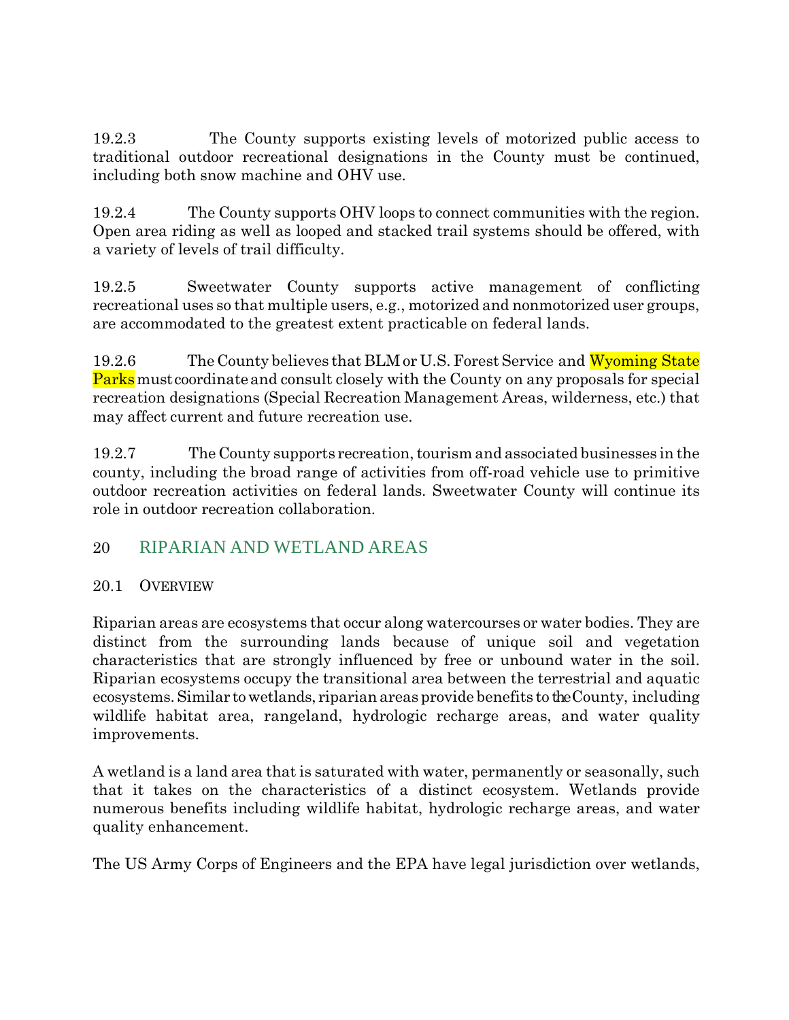19.2.3 The County supports existing levels of motorized public access to traditional outdoor recreational designations in the County must be continued, including both snow machine and OHV use.

19.2.4 The County supports OHV loops to connect communities with the region. Open area riding as well as looped and stacked trail systems should be offered, with a variety of levels of trail difficulty.

19.2.5 Sweetwater County supports active management of conflicting recreational uses so that multiple users, e.g., motorized and nonmotorized user groups, are accommodated to the greatest extent practicable on federal lands.

19.2.6 The County believes that BLM or U.S. Forest Service and Wyoming State **Parks** must coordinate and consult closely with the County on any proposals for special recreation designations (Special Recreation Management Areas, wilderness, etc.) that may affect current and future recreation use.

19.2.7 The County supports recreation,tourism and associated businesses in the county, including the broad range of activities from off-road vehicle use to primitive outdoor recreation activities on federal lands. Sweetwater County will continue its role in outdoor recreation collaboration.

## 20 RIPARIAN AND WETLAND AREAS

## 20.1 OVERVIEW

Riparian areas are ecosystems that occur along watercourses or water bodies. They are distinct from the surrounding lands because of unique soil and vegetation characteristics that are strongly influenced by free or unbound water in the soil. Riparian ecosystems occupy the transitional area between the terrestrial and aquatic ecosystems.Similar towetlands, riparian areas provide benefits to the County, including wildlife habitat area, rangeland, hydrologic recharge areas, and water quality improvements.

A wetland is a land area that is saturated with water, permanently or seasonally, such that it takes on the characteristics of a distinct ecosystem. Wetlands provide numerous benefits including wildlife habitat, hydrologic recharge areas, and water quality enhancement.

The US Army Corps of Engineers and the EPA have legal jurisdiction over wetlands,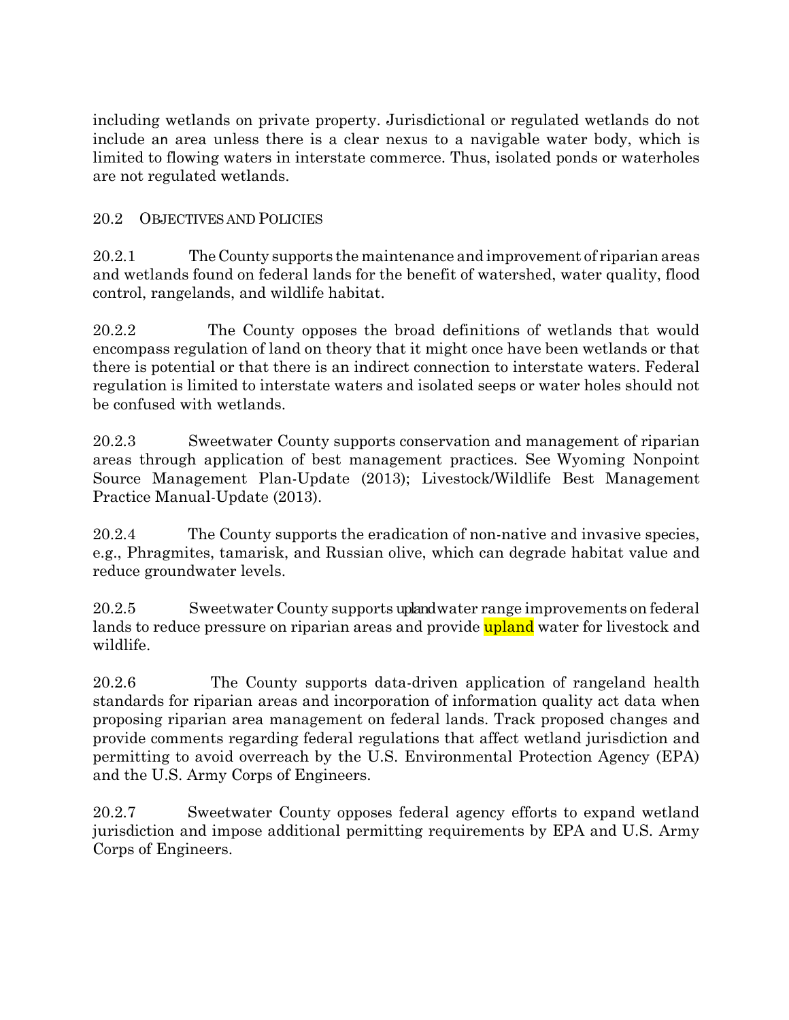including wetlands on private property. Jurisdictional or regulated wetlands do not include an area unless there is a clear nexus to a navigable water body, which is limited to flowing waters in interstate commerce. Thus, isolated ponds or waterholes are not regulated wetlands.

## 20.2 OBJECTIVES AND POLICIES

20.2.1 The County supports the maintenance and improvement of riparian areas and wetlands found on federal lands for the benefit of watershed, water quality, flood control, rangelands, and wildlife habitat.

20.2.2 The County opposes the broad definitions of wetlands that would encompass regulation of land on theory that it might once have been wetlands or that there is potential or that there is an indirect connection to interstate waters. Federal regulation is limited to interstate waters and isolated seeps or water holes should not be confused with wetlands.

20.2.3 Sweetwater County supports conservation and management of riparian areas through application of best management practices. See Wyoming Nonpoint Source Management Plan-Update (2013); Livestock/Wildlife Best Management Practice Manual-Update (2013).

20.2.4 The County supports the eradication of non-native and invasive species, e.g., Phragmites, tamarisk, and Russian olive, which can degrade habitat value and reduce groundwater levels.

20.2.5 Sweetwater County supports upland water range improvements on federal lands to reduce pressure on riparian areas and provide upland water for livestock and wildlife.

20.2.6 The County supports data-driven application of rangeland health standards for riparian areas and incorporation of information quality act data when proposing riparian area management on federal lands. Track proposed changes and provide comments regarding federal regulations that affect wetland jurisdiction and permitting to avoid overreach by the U.S. Environmental Protection Agency (EPA) and the U.S. Army Corps of Engineers.

20.2.7 Sweetwater County opposes federal agency efforts to expand wetland jurisdiction and impose additional permitting requirements by EPA and U.S. Army Corps of Engineers.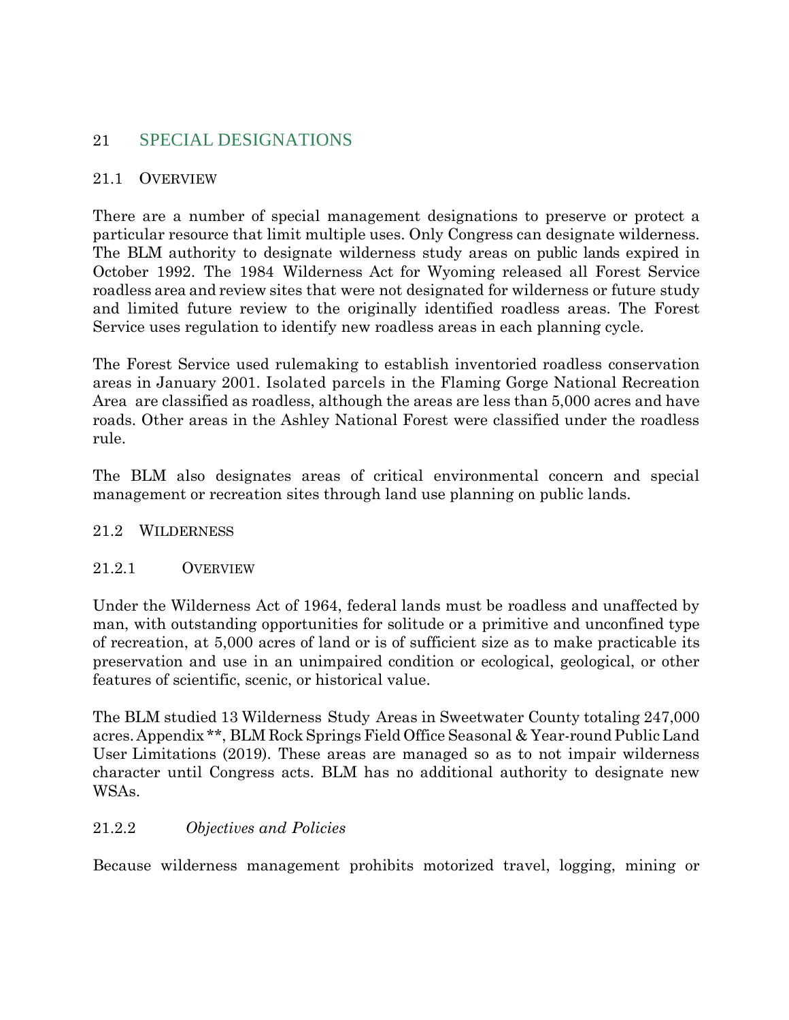## 21 SPECIAL DESIGNATIONS

#### 21.1 OVERVIEW

There are a number of special management designations to preserve or protect a particular resource that limit multiple uses. Only Congress can designate wilderness. The BLM authority to designate wilderness study areas on public lands expired in October 1992. The 1984 Wilderness Act for Wyoming released all Forest Service roadless area and review sites that were not designated for wilderness or future study and limited future review to the originally identified roadless areas. The Forest Service uses regulation to identify new roadless areas in each planning cycle.

The Forest Service used rulemaking to establish inventoried roadless conservation areas in January 2001. Isolated parcels in the Flaming Gorge National Recreation Area are classified as roadless, although the areas are less than 5,000 acres and have roads. Other areas in the Ashley National Forest were classified under the roadless rule.

The BLM also designates areas of critical environmental concern and special management or recreation sites through land use planning on public lands.

#### 21.2 WILDERNESS

#### 21.2.1 OVERVIEW

Under the Wilderness Act of 1964, federal lands must be roadless and unaffected by man, with outstanding opportunities for solitude or a primitive and unconfined type of recreation, at 5,000 acres of land or is of sufficient size as to make practicable its preservation and use in an unimpaired condition or ecological, geological, or other features of scientific, scenic, or historical value.

The BLM studied 13 Wilderness Study Areas in Sweetwater County totaling 247,000 acres. Appendix \*\*, BLM Rock Springs Field Office Seasonal & Year-round Public Land User Limitations (2019). These areas are managed so as to not impair wilderness character until Congress acts. BLM has no additional authority to designate new WSAs.

## 21.2.2 *Objectives and Policies*

Because wilderness management prohibits motorized travel, logging, mining or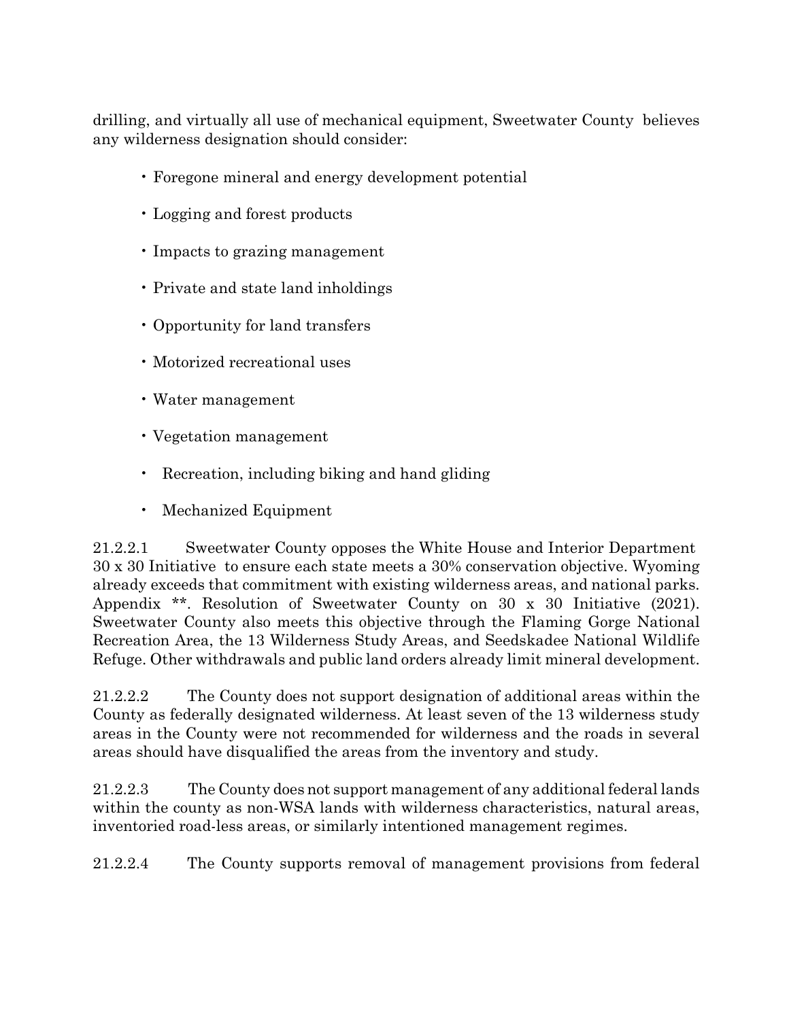drilling, and virtually all use of mechanical equipment, Sweetwater County believes any wilderness designation should consider:

- Foregone mineral and energy development potential
- Logging and forest products
- Impacts to grazing management
- Private and state land inholdings
- Opportunity for land transfers
- Motorized recreational uses
- Water management
- Vegetation management
- Recreation, including biking and hand gliding
- Mechanized Equipment

21.2.2.1 Sweetwater County opposes the White House and Interior Department 30 x 30 Initiative to ensure each state meets a 30% conservation objective. Wyoming already exceeds that commitment with existing wilderness areas, and national parks. Appendix \*\*. Resolution of Sweetwater County on 30 x 30 Initiative (2021). Sweetwater County also meets this objective through the Flaming Gorge National Recreation Area, the 13 Wilderness Study Areas, and Seedskadee National Wildlife Refuge. Other withdrawals and public land orders already limit mineral development.

21.2.2.2 The County does not support designation of additional areas within the County as federally designated wilderness. At least seven of the 13 wilderness study areas in the County were not recommended for wilderness and the roads in several areas should have disqualified the areas from the inventory and study.

21.2.2.3 The County does not support management of any additional federal lands within the county as non-WSA lands with wilderness characteristics, natural areas, inventoried road-less areas, or similarly intentioned management regimes.

21.2.2.4 The County supports removal of management provisions from federal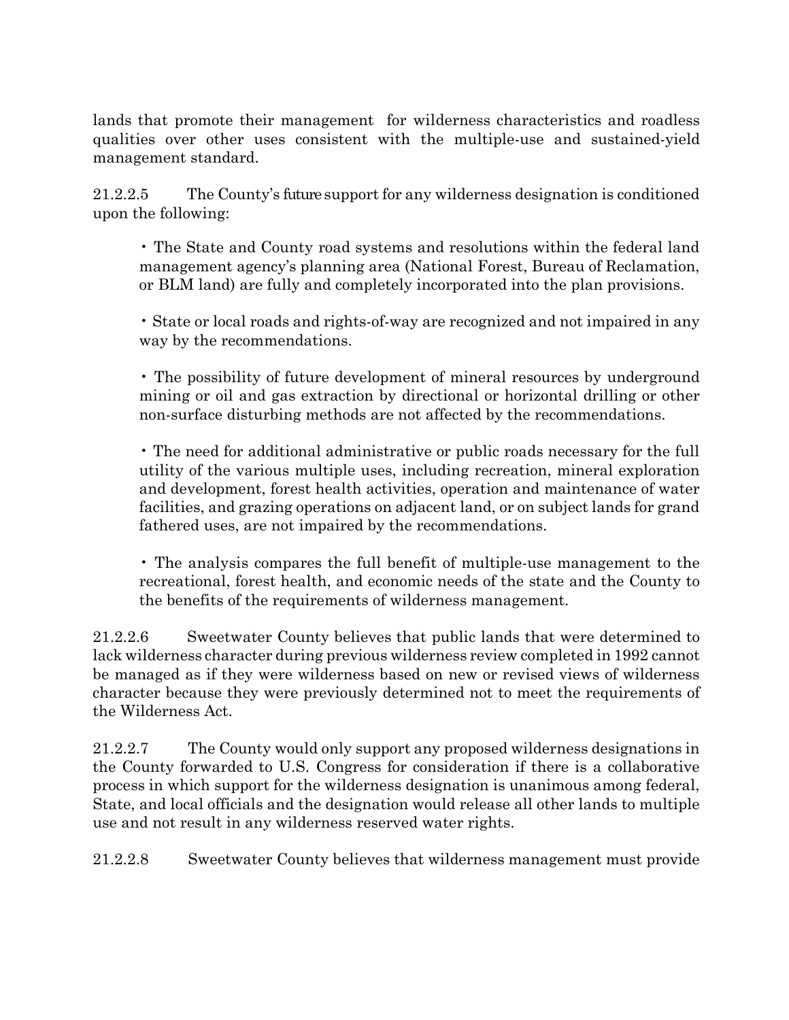lands that promote their management for wilderness characteristics and roadless qualities over other uses consistent with the multiple-use and sustained-yield management standard.

21.2.2.5 The County's future support for any wilderness designation is conditioned upon the following:

• The State and County road systems and resolutions within the federal land management agency's planning area (National Forest, Bureau of Reclamation, or BLM land) are fully and completely incorporated into the plan provisions.

• State or local roads and rights-of-way are recognized and not impaired in any way by the recommendations.

• The possibility of future development of mineral resources by underground mining or oil and gas extraction by directional or horizontal drilling or other non-surface disturbing methods are not affected by the recommendations.

• The need for additional administrative or public roads necessary for the full utility of the various multiple uses, including recreation, mineral exploration and development, forest health activities, operation and maintenance of water facilities, and grazing operations on adjacent land, or on subject lands for grand fathered uses, are not impaired by the recommendations.

• The analysis compares the full benefit of multiple-use management to the recreational, forest health, and economic needs of the state and the County to the benefits of the requirements of wilderness management.

21.2.2.6 Sweetwater County believes that public lands that were determined to lack wilderness character during previous wilderness review completed in 1992 cannot be managed as if they were wilderness based on new or revised views of wilderness character because they were previously determined not to meet the requirements of the Wilderness Act.

21.2.2.7 The County would only support any proposed wilderness designations in the County forwarded to U.S. Congress for consideration if there is a collaborative process in which support for the wilderness designation is unanimous among federal, State, and local officials and the designation would release all other lands to multiple use and not result in any wilderness reserved water rights.

21.2.2.8 Sweetwater County believes that wilderness management must provide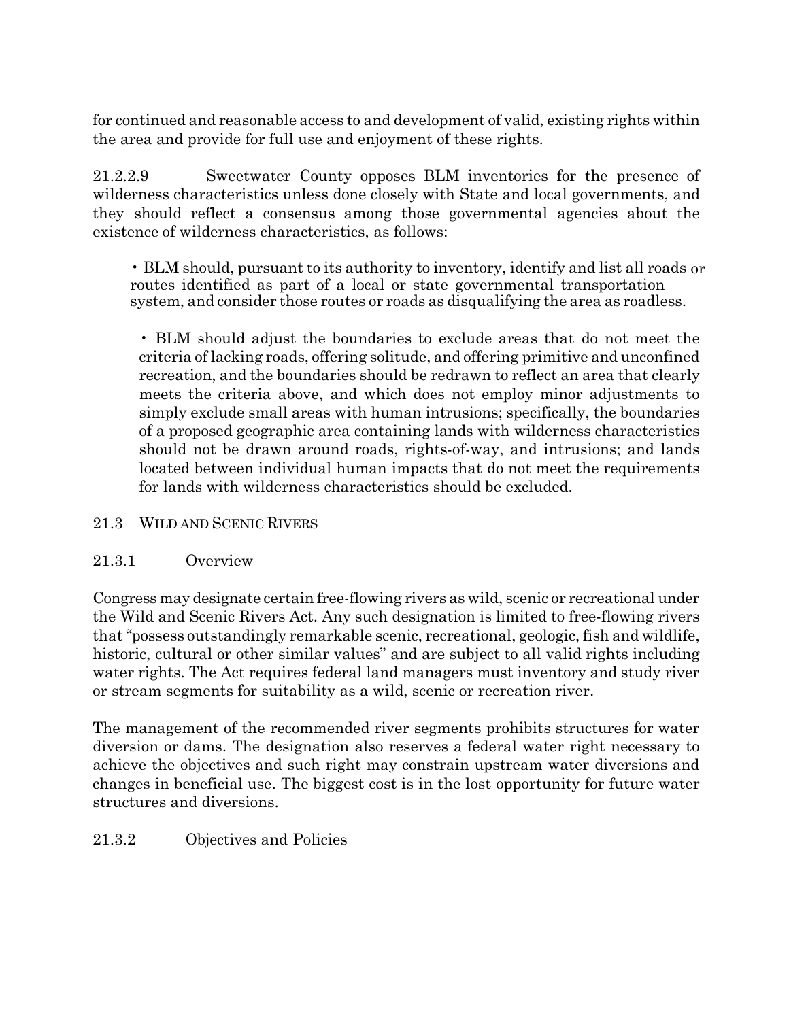for continued and reasonable access to and development of valid, existing rights within the area and provide for full use and enjoyment of these rights.

21.2.2.9 Sweetwater County opposes BLM inventories for the presence of wilderness characteristics unless done closely with State and local governments, and they should reflect a consensus among those governmental agencies about the existence of wilderness characteristics, as follows:

• BLM should, pursuant to its authority to inventory, identify and list all roads or routes identified as part of a local or state governmental transportation system, and consider those routes or roads as disqualifying the area as roadless.

• BLM should adjust the boundaries to exclude areas that do not meet the criteria of lacking roads, offering solitude, and offering primitive and unconfined recreation, and the boundaries should be redrawn to reflect an area that clearly meets the criteria above, and which does not employ minor adjustments to simply exclude small areas with human intrusions; specifically, the boundaries of a proposed geographic area containing lands with wilderness characteristics should not be drawn around roads, rights-of-way, and intrusions; and lands located between individual human impacts that do not meet the requirements for lands with wilderness characteristics should be excluded.

## 21.3 WILD AND SCENIC RIVERS

## 21.3.1 Overview

Congress may designate certain free-flowing rivers as wild, scenic or recreational under the Wild and Scenic Rivers Act. Any such designation is limited to free-flowing rivers that "possess outstandingly remarkable scenic, recreational, geologic, fish and wildlife, historic, cultural or other similar values" and are subject to all valid rights including water rights. The Act requires federal land managers must inventory and study river or stream segments for suitability as a wild, scenic or recreation river.

The management of the recommended river segments prohibits structures for water diversion or dams. The designation also reserves a federal water right necessary to achieve the objectives and such right may constrain upstream water diversions and changes in beneficial use. The biggest cost is in the lost opportunity for future water structures and diversions.

## 21.3.2 Objectives and Policies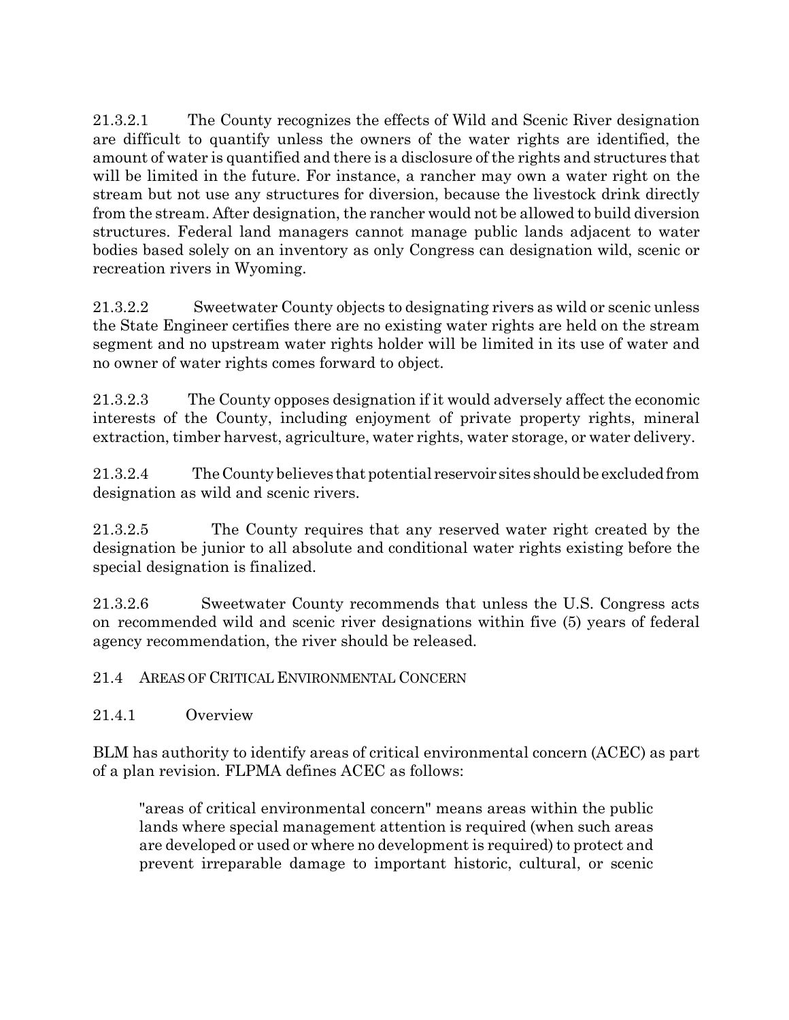21.3.2.1 The County recognizes the effects of Wild and Scenic River designation are difficult to quantify unless the owners of the water rights are identified, the amount of water is quantified and there is a disclosure of the rights and structures that will be limited in the future. For instance, a rancher may own a water right on the stream but not use any structures for diversion, because the livestock drink directly from the stream. After designation, the rancher would not be allowed to build diversion structures. Federal land managers cannot manage public lands adjacent to water bodies based solely on an inventory as only Congress can designation wild, scenic or recreation rivers in Wyoming.

21.3.2.2 Sweetwater County objects to designating rivers as wild or scenic unless the State Engineer certifies there are no existing water rights are held on the stream segment and no upstream water rights holder will be limited in its use of water and no owner of water rights comes forward to object.

21.3.2.3 The County opposes designation if it would adversely affect the economic interests of the County, including enjoyment of private property rights, mineral extraction, timber harvest, agriculture, water rights, water storage, or water delivery.

21.3.2.4 TheCounty believes that potential reservoir sites shouldbe excludedfrom designation as wild and scenic rivers.

21.3.2.5 The County requires that any reserved water right created by the designation be junior to all absolute and conditional water rights existing before the special designation is finalized.

21.3.2.6 Sweetwater County recommends that unless the U.S. Congress acts on recommended wild and scenic river designations within five (5) years of federal agency recommendation, the river should be released.

## 21.4 AREAS OF CRITICAL ENVIRONMENTAL CONCERN

## 21.4.1 Overview

BLM has authority to identify areas of critical environmental concern (ACEC) as part of a plan revision. FLPMA defines ACEC as follows:

"areas of critical environmental concern" means areas within the public lands where special management attention is required (when such areas are developed or used or where no development is required) to protect and prevent irreparable damage to important historic, cultural, or scenic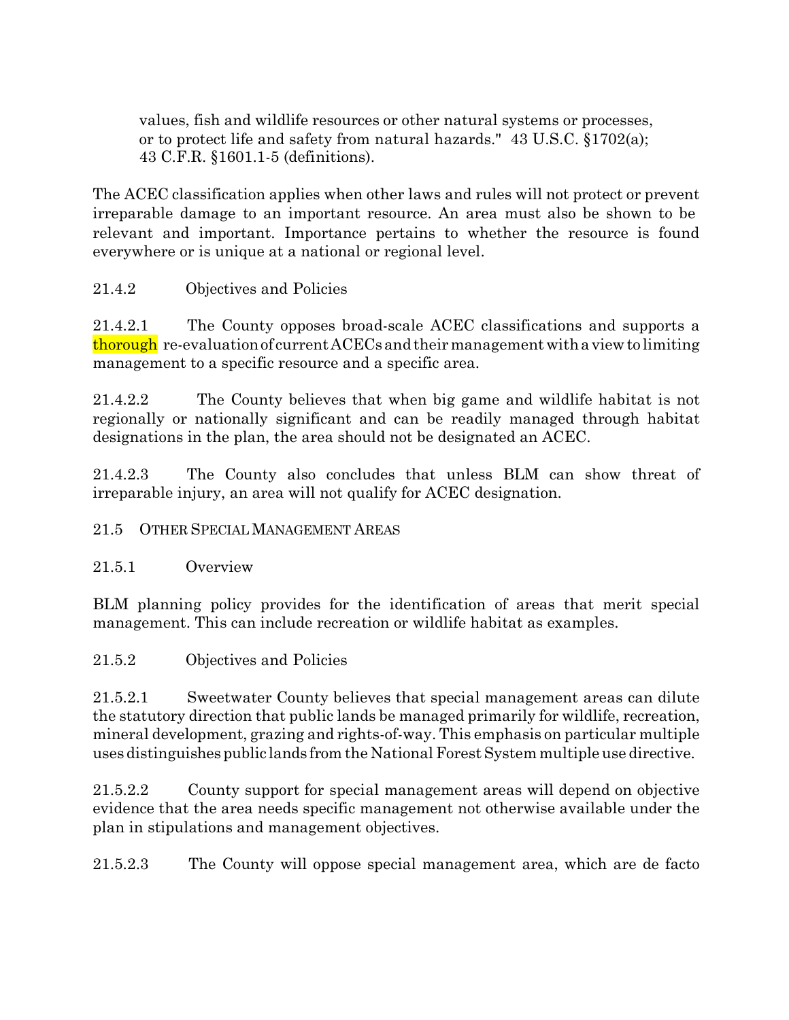values, fish and wildlife resources or other natural systems or processes, or to protect life and safety from natural hazards." 43 U.S.C. §1702(a); 43 C.F.R. §1601.1-5 (definitions).

The ACEC classification applies when other laws and rules will not protect or prevent irreparable damage to an important resource. An area must also be shown to be relevant and important. Importance pertains to whether the resource is found everywhere or is unique at a national or regional level.

21.4.2 Objectives and Policies

21.4.2.1 The County opposes broad-scale ACEC classifications and supports a thorough re-evaluation of current ACECs and their management with a view to limiting management to a specific resource and a specific area.

21.4.2.2 The County believes that when big game and wildlife habitat is not regionally or nationally significant and can be readily managed through habitat designations in the plan, the area should not be designated an ACEC.

21.4.2.3 The County also concludes that unless BLM can show threat of irreparable injury, an area will not qualify for ACEC designation.

## 21.5 OTHER SPECIAL MANAGEMENT AREAS

21.5.1 Overview

BLM planning policy provides for the identification of areas that merit special management. This can include recreation or wildlife habitat as examples.

## 21.5.2 Objectives and Policies

21.5.2.1 Sweetwater County believes that special management areas can dilute the statutory direction that public lands be managed primarily for wildlife, recreation, mineral development, grazing and rights-of-way. This emphasis on particular multiple uses distinguishes public lands from the National Forest System multiple use directive.

21.5.2.2 County support for special management areas will depend on objective evidence that the area needs specific management not otherwise available under the plan in stipulations and management objectives.

21.5.2.3 The County will oppose special management area, which are de facto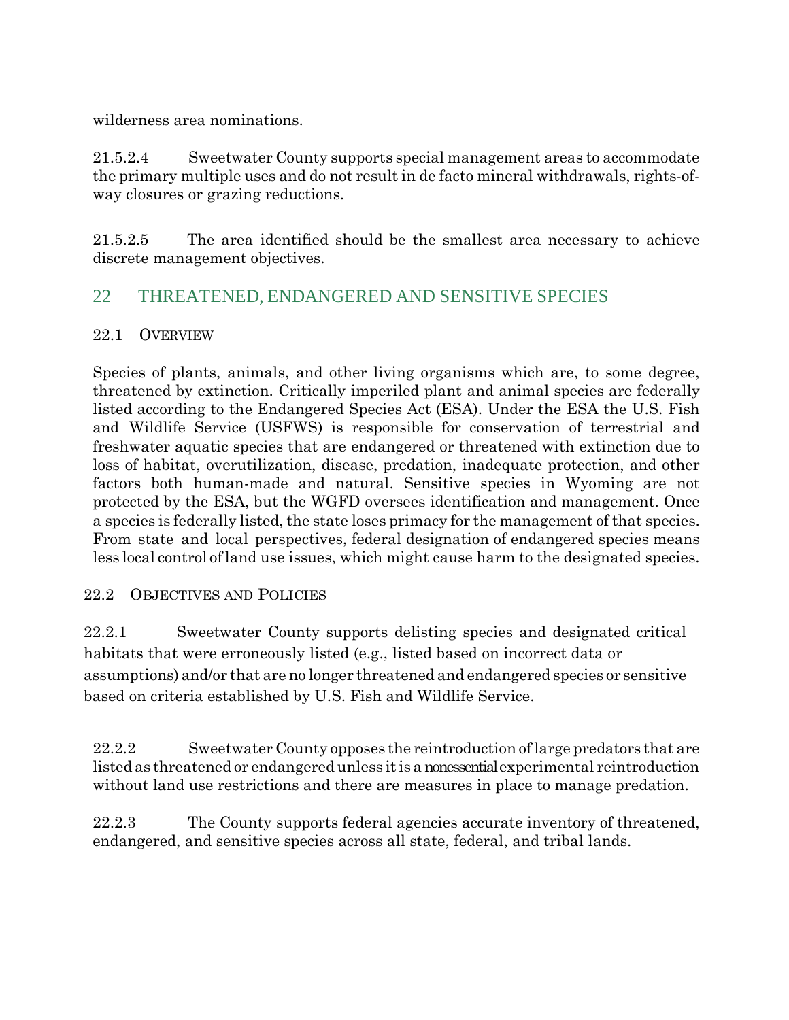wilderness area nominations.

21.5.2.4 Sweetwater County supports special management areas to accommodate the primary multiple uses and do not result in de facto mineral withdrawals, rights-ofway closures or grazing reductions.

21.5.2.5 The area identified should be the smallest area necessary to achieve discrete management objectives.

## 22 THREATENED, ENDANGERED AND SENSITIVE SPECIES

#### 22.1 OVERVIEW

Species of plants, animals, and other living organisms which are, to some degree, threatened by extinction. Critically imperiled plant and animal species are federally listed according to the Endangered Species Act (ESA). Under the ESA the U.S. Fish and Wildlife Service (USFWS) is responsible for conservation of terrestrial and freshwater aquatic species that are endangered or threatened with extinction due to loss of habitat, overutilization, disease, predation, inadequate protection, and other factors both human-made and natural. Sensitive species in Wyoming are not protected by the ESA, but the WGFD oversees identification and management. Once a species is federally listed, the state loses primacy for the management of that species. From state and local perspectives, federal designation of endangered species means less local control ofland use issues, which might cause harm to the designated species.

## 22.2 OBJECTIVES AND POLICIES

22.2.1 Sweetwater County supports delisting species and designated critical habitats that were erroneously listed (e.g., listed based on incorrect data or assumptions) and/or that are no longer threatened and endangered species or sensitive based on criteria established by U.S. Fish and Wildlife Service.

22.2.2 Sweetwater County opposes the reintroduction of large predators that are listed as threatened or endangered unless itis a nonessential experimental reintroduction without land use restrictions and there are measures in place to manage predation.

22.2.3 The County supports federal agencies accurate inventory of threatened, endangered, and sensitive species across all state, federal, and tribal lands.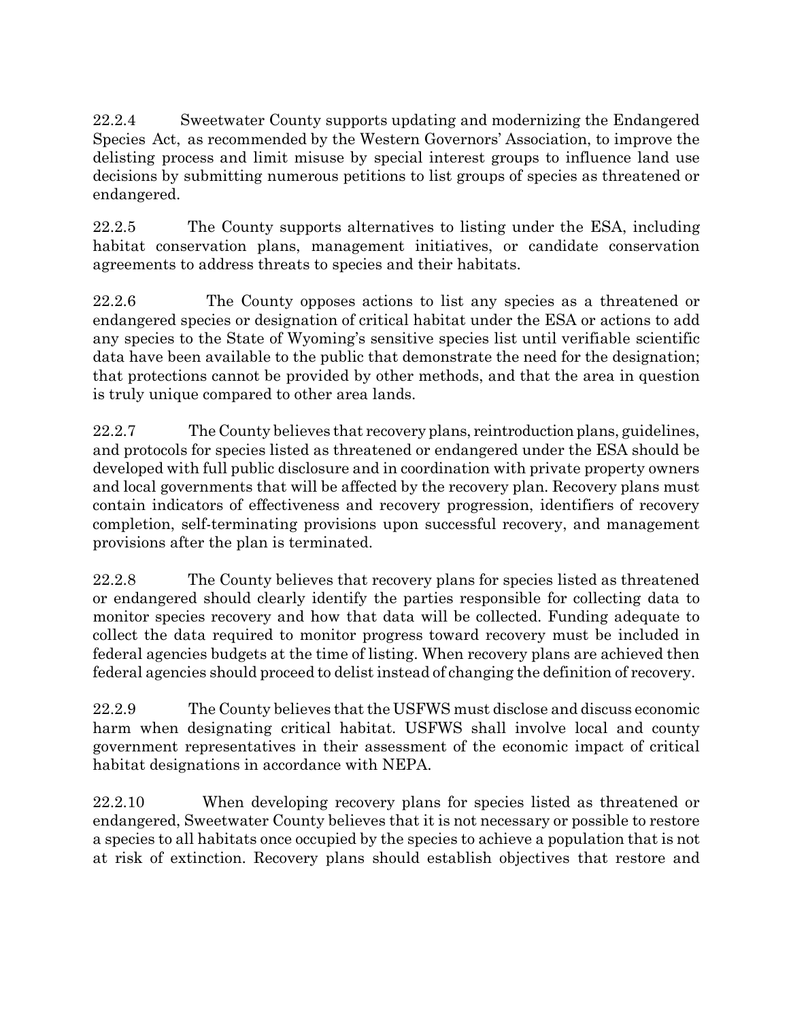22.2.4 Sweetwater County supports updating and modernizing the Endangered Species Act, as recommended by the Western Governors' Association, to improve the delisting process and limit misuse by special interest groups to influence land use decisions by submitting numerous petitions to list groups of species as threatened or endangered.

22.2.5 The County supports alternatives to listing under the ESA, including habitat conservation plans, management initiatives, or candidate conservation agreements to address threats to species and their habitats.

22.2.6 The County opposes actions to list any species as a threatened or endangered species or designation of critical habitat under the ESA or actions to add any species to the State of Wyoming's sensitive species list until verifiable scientific data have been available to the public that demonstrate the need for the designation; that protections cannot be provided by other methods, and that the area in question is truly unique compared to other area lands.

22.2.7 The County believes that recovery plans, reintroduction plans, guidelines, and protocols for species listed as threatened or endangered under the ESA should be developed with full public disclosure and in coordination with private property owners and local governments that will be affected by the recovery plan. Recovery plans must contain indicators of effectiveness and recovery progression, identifiers of recovery completion, self-terminating provisions upon successful recovery, and management provisions after the plan is terminated.

22.2.8 The County believes that recovery plans for species listed as threatened or endangered should clearly identify the parties responsible for collecting data to monitor species recovery and how that data will be collected. Funding adequate to collect the data required to monitor progress toward recovery must be included in federal agencies budgets at the time of listing. When recovery plans are achieved then federal agencies should proceed to delist instead of changing the definition of recovery.

22.2.9 The County believes that the USFWS must disclose and discuss economic harm when designating critical habitat. USFWS shall involve local and county government representatives in their assessment of the economic impact of critical habitat designations in accordance with NEPA.

22.2.10 When developing recovery plans for species listed as threatened or endangered, Sweetwater County believes that it is not necessary or possible to restore a species to all habitats once occupied by the species to achieve a population that is not at risk of extinction. Recovery plans should establish objectives that restore and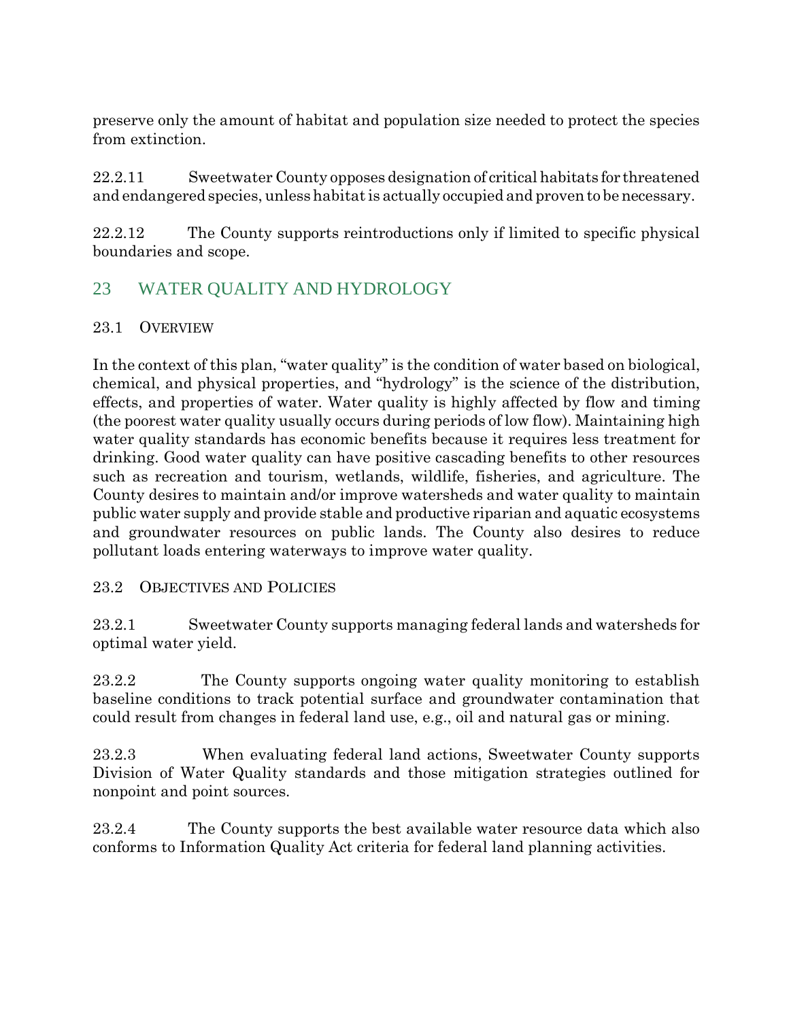preserve only the amount of habitat and population size needed to protect the species from extinction.

22.2.11 Sweetwater County opposes designation of critical habitats for threatened and endangered species, unlesshabitatis actually occupied and provento benecessary.

22.2.12 The County supports reintroductions only if limited to specific physical boundaries and scope.

## 23 WATER QUALITY AND HYDROLOGY

## 23.1 OVERVIEW

In the context of this plan, "water quality" is the condition of water based on biological, chemical, and physical properties, and "hydrology" is the science of the distribution, effects, and properties of water. Water quality is highly affected by flow and timing (the poorest water quality usually occurs during periods of low flow). Maintaining high water quality standards has economic benefits because it requires less treatment for drinking. Good water quality can have positive cascading benefits to other resources such as recreation and tourism, wetlands, wildlife, fisheries, and agriculture. The County desires to maintain and/or improve watersheds and water quality to maintain public water supply and provide stable and productive riparian and aquatic ecosystems and groundwater resources on public lands. The County also desires to reduce pollutant loads entering waterways to improve water quality.

## 23.2 OBJECTIVES AND POLICIES

23.2.1 Sweetwater County supports managing federal lands and watersheds for optimal water yield.

23.2.2 The County supports ongoing water quality monitoring to establish baseline conditions to track potential surface and groundwater contamination that could result from changes in federal land use, e.g., oil and natural gas or mining.

23.2.3 When evaluating federal land actions, Sweetwater County supports Division of Water Quality standards and those mitigation strategies outlined for nonpoint and point sources.

23.2.4 The County supports the best available water resource data which also conforms to Information Quality Act criteria for federal land planning activities.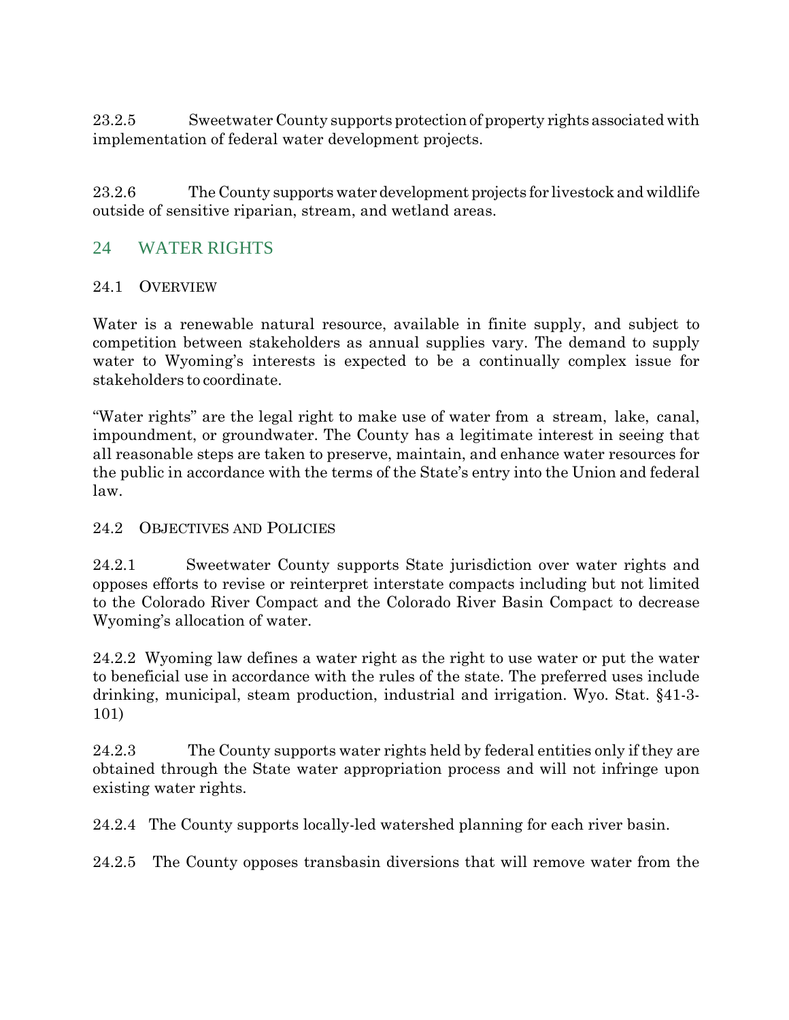23.2.5 Sweetwater County supports protection of property rights associated with implementation of federal water development projects.

23.2.6 The County supports water development projects for livestock and wildlife outside of sensitive riparian, stream, and wetland areas.

## 24 WATER RIGHTS

## 24.1 OVERVIEW

Water is a renewable natural resource, available in finite supply, and subject to competition between stakeholders as annual supplies vary. The demand to supply water to Wyoming's interests is expected to be a continually complex issue for stakeholders to coordinate.

"Water rights" are the legal right to make use of water from a stream, lake, canal, impoundment, or groundwater. The County has a legitimate interest in seeing that all reasonable steps are taken to preserve, maintain, and enhance water resources for the public in accordance with the terms of the State's entry into the Union and federal law.

#### 24.2 OBJECTIVES AND POLICIES

24.2.1 Sweetwater County supports State jurisdiction over water rights and opposes efforts to revise or reinterpret interstate compacts including but not limited to the Colorado River Compact and the Colorado River Basin Compact to decrease Wyoming's allocation of water.

24.2.2 Wyoming law defines a water right as the right to use water or put the water to beneficial use in accordance with the rules of the state. The preferred uses include drinking, municipal, steam production, industrial and irrigation. Wyo. Stat. §41-3- 101)

24.2.3 The County supports water rights held by federal entities only if they are obtained through the State water appropriation process and will not infringe upon existing water rights.

24.2.4 The County supports locally-led watershed planning for each river basin.

24.2.5 The County opposes transbasin diversions that will remove water from the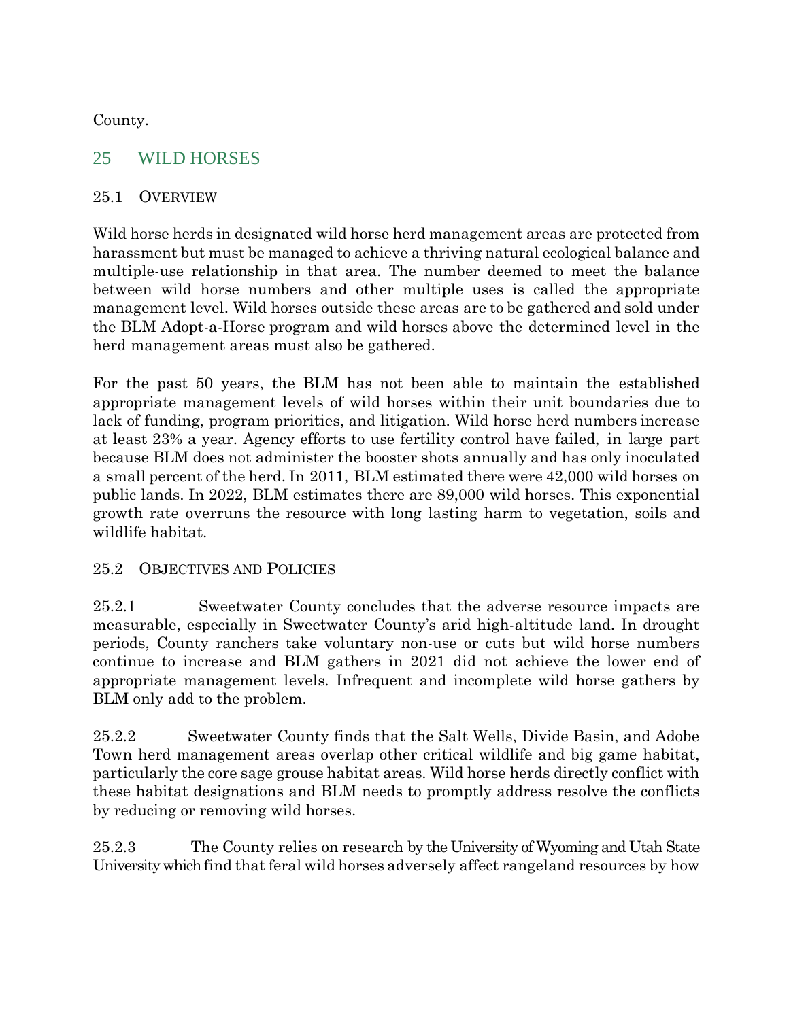County.

## 25 WILD HORSES

## 25.1 OVERVIEW

Wild horse herds in designated wild horse herd management areas are protected from harassment but must be managed to achieve a thriving natural ecological balance and multiple-use relationship in that area. The number deemed to meet the balance between wild horse numbers and other multiple uses is called the appropriate management level. Wild horses outside these areas are to be gathered and sold under the BLM Adopt-a-Horse program and wild horses above the determined level in the herd management areas must also be gathered.

For the past 50 years, the BLM has not been able to maintain the established appropriate management levels of wild horses within their unit boundaries due to lack of funding, program priorities, and litigation. Wild horse herd numbers increase at least 23% a year. Agency efforts to use fertility control have failed, in large part because BLM does not administer the booster shots annually and has only inoculated a small percent of the herd. In 2011, BLM estimated there were 42,000 wild horses on public lands. In 2022, BLM estimates there are 89,000 wild horses. This exponential growth rate overruns the resource with long lasting harm to vegetation, soils and wildlife habitat.

## 25.2 OBJECTIVES AND POLICIES

25.2.1 Sweetwater County concludes that the adverse resource impacts are measurable, especially in Sweetwater County's arid high-altitude land. In drought periods, County ranchers take voluntary non-use or cuts but wild horse numbers continue to increase and BLM gathers in 2021 did not achieve the lower end of appropriate management levels. Infrequent and incomplete wild horse gathers by BLM only add to the problem.

25.2.2 Sweetwater County finds that the Salt Wells, Divide Basin, and Adobe Town herd management areas overlap other critical wildlife and big game habitat, particularly the core sage grouse habitat areas. Wild horse herds directly conflict with these habitat designations and BLM needs to promptly address resolve the conflicts by reducing or removing wild horses.

25.2.3 The County relies on research by the University of Wyoming and Utah State University which find that feral wild horses adversely affect rangeland resources by how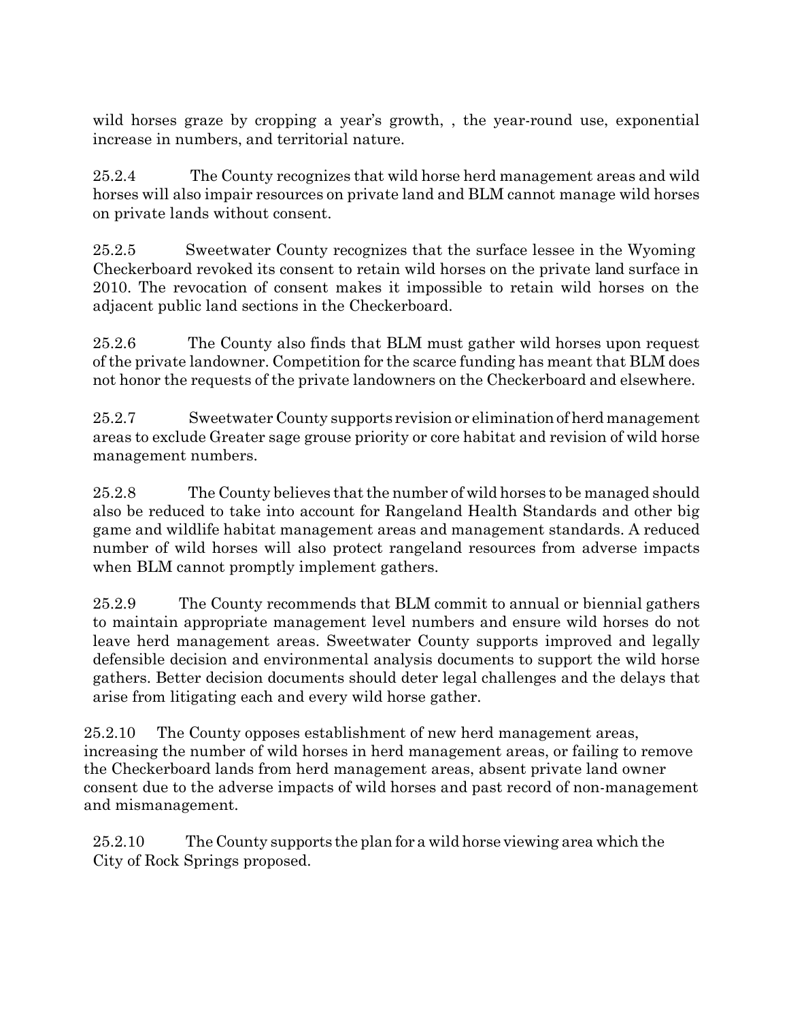wild horses graze by cropping a year's growth, , the year-round use, exponential increase in numbers, and territorial nature.

25.2.4 The County recognizes that wild horse herd management areas and wild horses will also impair resources on private land and BLM cannot manage wild horses on private lands without consent.

25.2.5 Sweetwater County recognizes that the surface lessee in the Wyoming Checkerboard revoked its consent to retain wild horses on the private land surface in 2010. The revocation of consent makes it impossible to retain wild horses on the adjacent public land sections in the Checkerboard.

25.2.6 The County also finds that BLM must gather wild horses upon request of the private landowner. Competition for the scarce funding has meant that BLM does not honor the requests of the private landowners on the Checkerboard and elsewhere.

25.2.7 Sweetwater County supports revision or eliminationof herd management areas to exclude Greater sage grouse priority or core habitat and revision of wild horse management numbers.

25.2.8 The County believes that the number of wild horses to be managed should also be reduced to take into account for Rangeland Health Standards and other big game and wildlife habitat management areas and management standards. A reduced number of wild horses will also protect rangeland resources from adverse impacts when BLM cannot promptly implement gathers.

25.2.9 The County recommends that BLM commit to annual or biennial gathers to maintain appropriate management level numbers and ensure wild horses do not leave herd management areas. Sweetwater County supports improved and legally defensible decision and environmental analysis documents to support the wild horse gathers. Better decision documents should deter legal challenges and the delays that arise from litigating each and every wild horse gather.

25.2.10 The County opposes establishment of new herd management areas, increasing the number of wild horses in herd management areas, or failing to remove the Checkerboard lands from herd management areas, absent private land owner consent due to the adverse impacts of wild horses and past record of non-management and mismanagement.

25.2.10 The County supports the plan for a wild horse viewing area which the City of Rock Springs proposed.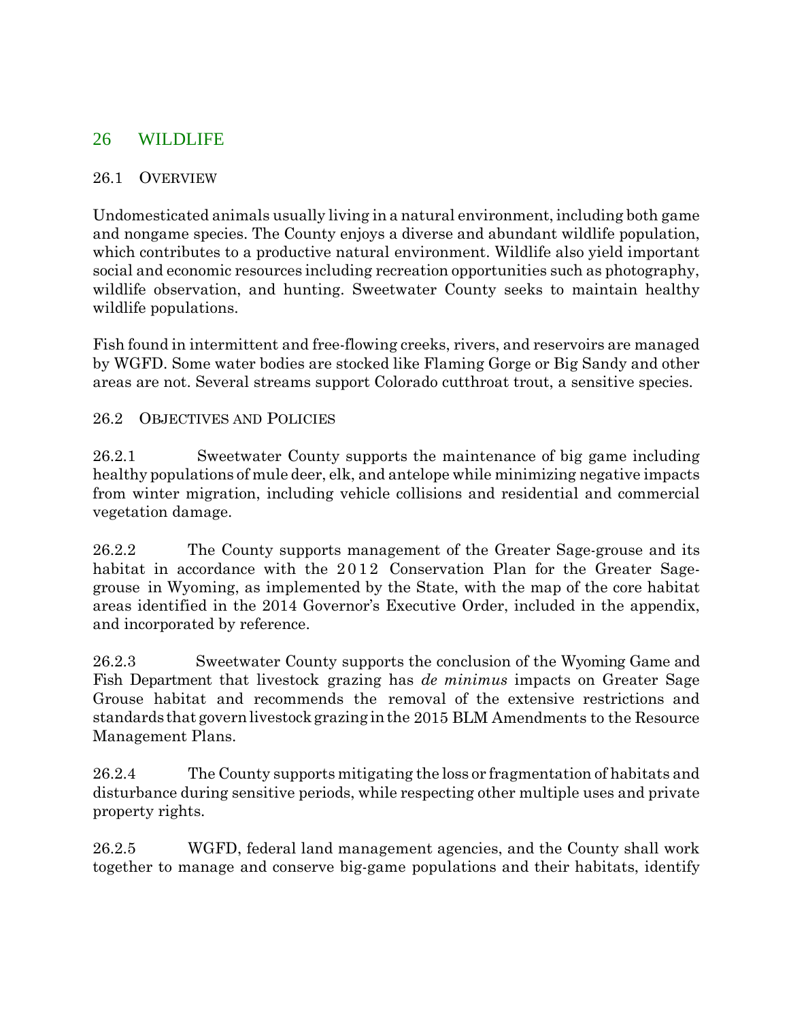## 26 WILDLIFE

#### 26.1 OVERVIEW

Undomesticated animals usually living in a natural environment, including both game and nongame species. The County enjoys a diverse and abundant wildlife population, which contributes to a productive natural environment. Wildlife also yield important social and economic resources including recreation opportunities such as photography, wildlife observation, and hunting. Sweetwater County seeks to maintain healthy wildlife populations.

Fish found in intermittent and free-flowing creeks, rivers, and reservoirs are managed by WGFD. Some water bodies are stocked like Flaming Gorge or Big Sandy and other areas are not. Several streams support Colorado cutthroat trout, a sensitive species.

#### 26.2 OBJECTIVES AND POLICIES

26.2.1 Sweetwater County supports the maintenance of big game including healthy populations of mule deer, elk, and antelope while minimizing negative impacts from winter migration, including vehicle collisions and residential and commercial vegetation damage.

26.2.2 The County supports management of the Greater Sage-grouse and its habitat in accordance with the 2012 Conservation Plan for the Greater Sagegrouse in Wyoming, as implemented by the State, with the map of the core habitat areas identified in the 2014 Governor's Executive Order, included in the appendix, and incorporated by reference.

26.2.3 Sweetwater County supports the conclusion of the Wyoming Game and Fish Department that livestock grazing has *de minimus* impacts on Greater Sage Grouse habitat and recommends the removal of the extensive restrictions and standards that governlivestockgrazing inthe 2015 BLM Amendments to the Resource Management Plans.

26.2.4 The County supports mitigating the loss or fragmentation of habitats and disturbance during sensitive periods, while respecting other multiple uses and private property rights.

26.2.5 WGFD, federal land management agencies, and the County shall work together to manage and conserve big-game populations and their habitats, identify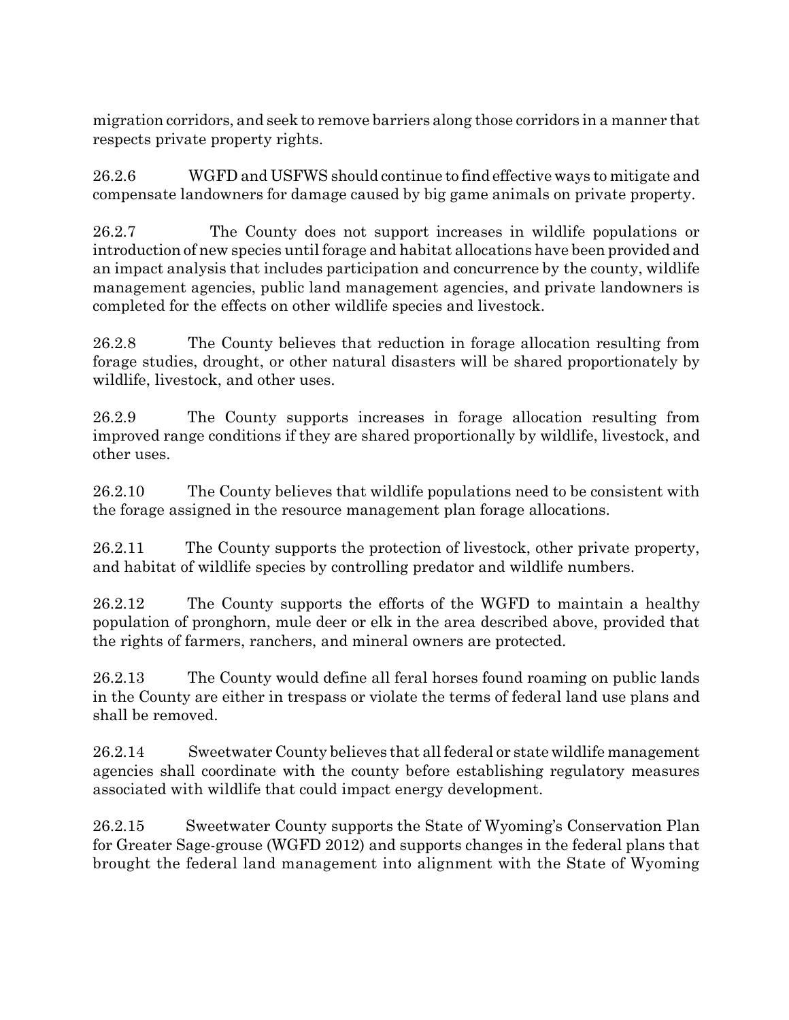migration corridors, and seek to remove barriers along those corridors in a manner that respects private property rights.

26.2.6 WGFD and USFWS should continue to find effective ways to mitigate and compensate landowners for damage caused by big game animals on private property.

26.2.7 The County does not support increases in wildlife populations or introduction of new species until forage and habitat allocations have been provided and an impact analysis that includes participation and concurrence by the county, wildlife management agencies, public land management agencies, and private landowners is completed for the effects on other wildlife species and livestock.

26.2.8 The County believes that reduction in forage allocation resulting from forage studies, drought, or other natural disasters will be shared proportionately by wildlife, livestock, and other uses.

26.2.9 The County supports increases in forage allocation resulting from improved range conditions if they are shared proportionally by wildlife, livestock, and other uses.

26.2.10 The County believes that wildlife populations need to be consistent with the forage assigned in the resource management plan forage allocations.

26.2.11 The County supports the protection of livestock, other private property, and habitat of wildlife species by controlling predator and wildlife numbers.

26.2.12 The County supports the efforts of the WGFD to maintain a healthy population of pronghorn, mule deer or elk in the area described above, provided that the rights of farmers, ranchers, and mineral owners are protected.

26.2.13 The County would define all feral horses found roaming on public lands in the County are either in trespass or violate the terms of federal land use plans and shall be removed.

26.2.14 Sweetwater County believes that all federal or state wildlife management agencies shall coordinate with the county before establishing regulatory measures associated with wildlife that could impact energy development.

26.2.15 Sweetwater County supports the State of Wyoming's Conservation Plan for Greater Sage-grouse (WGFD 2012) and supports changes in the federal plans that brought the federal land management into alignment with the State of Wyoming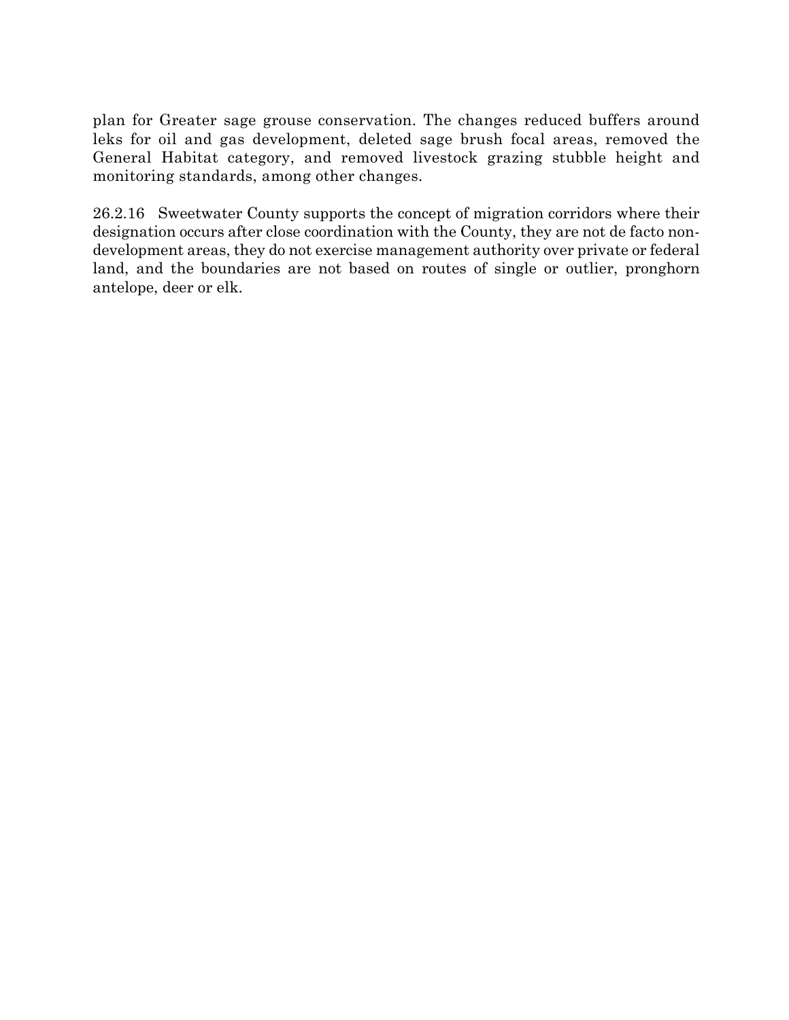plan for Greater sage grouse conservation. The changes reduced buffers around leks for oil and gas development, deleted sage brush focal areas, removed the General Habitat category, and removed livestock grazing stubble height and monitoring standards, among other changes.

26.2.16 Sweetwater County supports the concept of migration corridors where their designation occurs after close coordination with the County, they are not de facto nondevelopment areas, they do not exercise management authority over private or federal land, and the boundaries are not based on routes of single or outlier, pronghorn antelope, deer or elk.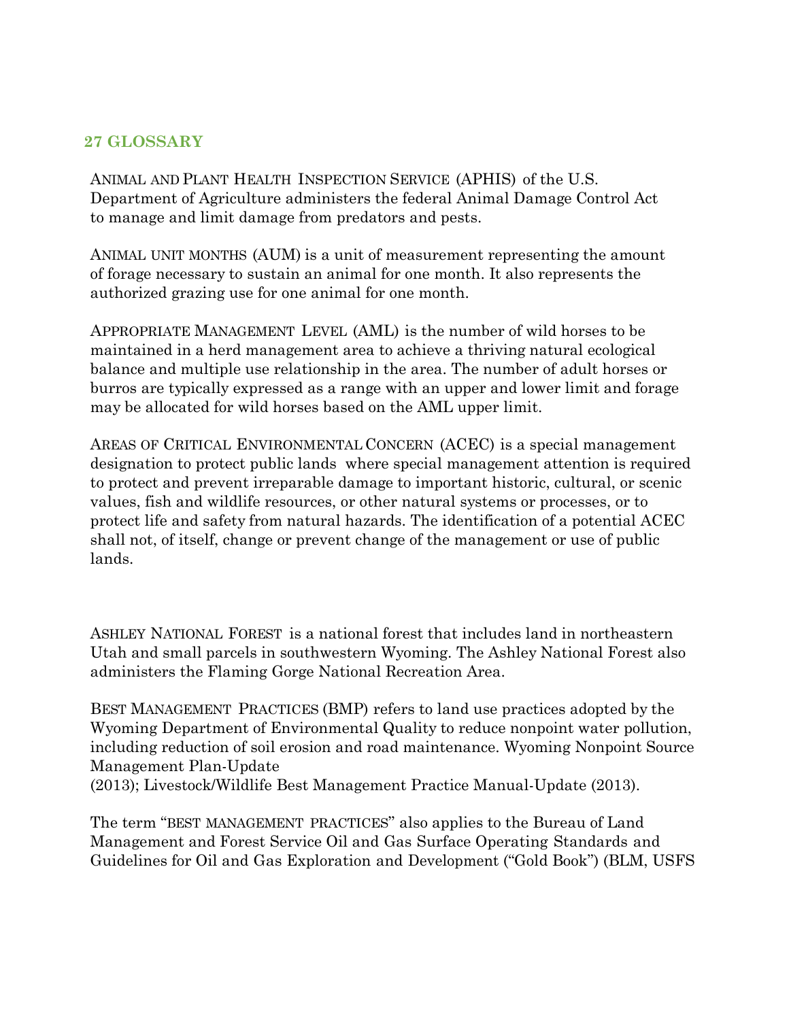## **27 GLOSSARY**

ANIMAL AND PLANT HEALTH INSPECTION SERVICE (APHIS) of the U.S. Department of Agriculture administers the federal Animal Damage Control Act to manage and limit damage from predators and pests.

ANIMAL UNIT MONTHS (AUM) is a unit of measurement representing the amount of forage necessary to sustain an animal for one month. It also represents the authorized grazing use for one animal for one month.

APPROPRIATE MANAGEMENT LEVEL (AML) is the number of wild horses to be maintained in a herd management area to achieve a thriving natural ecological balance and multiple use relationship in the area. The number of adult horses or burros are typically expressed as a range with an upper and lower limit and forage may be allocated for wild horses based on the AML upper limit.

AREAS OF CRITICAL ENVIRONMENTAL CONCERN (ACEC) is a special management designation to protect public lands where special management attention is required to protect and prevent irreparable damage to important historic, cultural, or scenic values, fish and wildlife resources, or other natural systems or processes, or to protect life and safety from natural hazards. The identification of a potential ACEC shall not, of itself, change or prevent change of the management or use of public lands.

ASHLEY NATIONAL FOREST is a national forest that includes land in northeastern Utah and small parcels in southwestern Wyoming. The Ashley National Forest also administers the Flaming Gorge National Recreation Area.

BEST MANAGEMENT PRACTICES (BMP) refers to land use practices adopted by the Wyoming Department of Environmental Quality to reduce nonpoint water pollution, including reduction of soil erosion and road maintenance. Wyoming Nonpoint Source Management Plan-Update

(2013); Livestock/Wildlife Best Management Practice Manual-Update (2013).

The term "BEST MANAGEMENT PRACTICES" also applies to the Bureau of Land Management and Forest Service Oil and Gas Surface Operating Standards and Guidelines for Oil and Gas Exploration and Development ("Gold Book") (BLM, USFS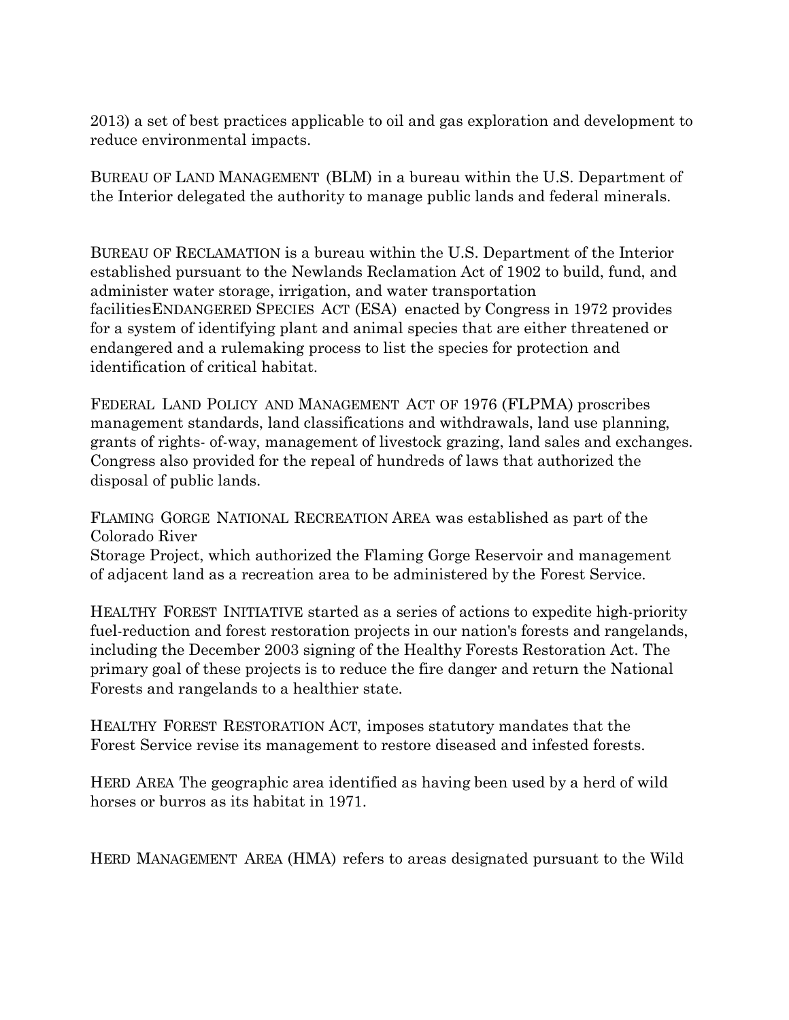2013) a set of best practices applicable to oil and gas exploration and development to reduce environmental impacts.

BUREAU OF LAND MANAGEMENT (BLM) in a bureau within the U.S. Department of the Interior delegated the authority to manage public lands and federal minerals.

BUREAU OF RECLAMATION is a bureau within the U.S. Department of the Interior established pursuant to the Newlands Reclamation Act of 1902 to build, fund, and administer water storage, irrigation, and water transportation facilitiesENDANGERED SPECIES ACT (ESA) enacted by Congress in 1972 provides for a system of identifying plant and animal species that are either threatened or endangered and a rulemaking process to list the species for protection and identification of critical habitat.

FEDERAL LAND POLICY AND MANAGEMENT ACT OF 1976 (FLPMA) proscribes management standards, land classifications and withdrawals, land use planning, grants of rights- of-way, management of livestock grazing, land sales and exchanges. Congress also provided for the repeal of hundreds of laws that authorized the disposal of public lands.

FLAMING GORGE NATIONAL RECREATION AREA was established as part of the Colorado River Storage Project, which authorized the Flaming Gorge Reservoir and management of adjacent land as a recreation area to be administered by the Forest Service.

HEALTHY FOREST INITIATIVE started as a series of actions to expedite high-priority fuel-reduction and forest restoration projects in our nation's forests and rangelands, including the December 2003 signing of the Healthy Forests Restoration Act. The primary goal of these projects is to reduce the fire danger and return the National Forests and rangelands to a healthier state.

HEALTHY FOREST RESTORATION ACT, imposes statutory mandates that the Forest Service revise its management to restore diseased and infested forests.

HERD AREA The geographic area identified as having been used by a herd of wild horses or burros as its habitat in 1971.

HERD MANAGEMENT AREA (HMA) refers to areas designated pursuant to the Wild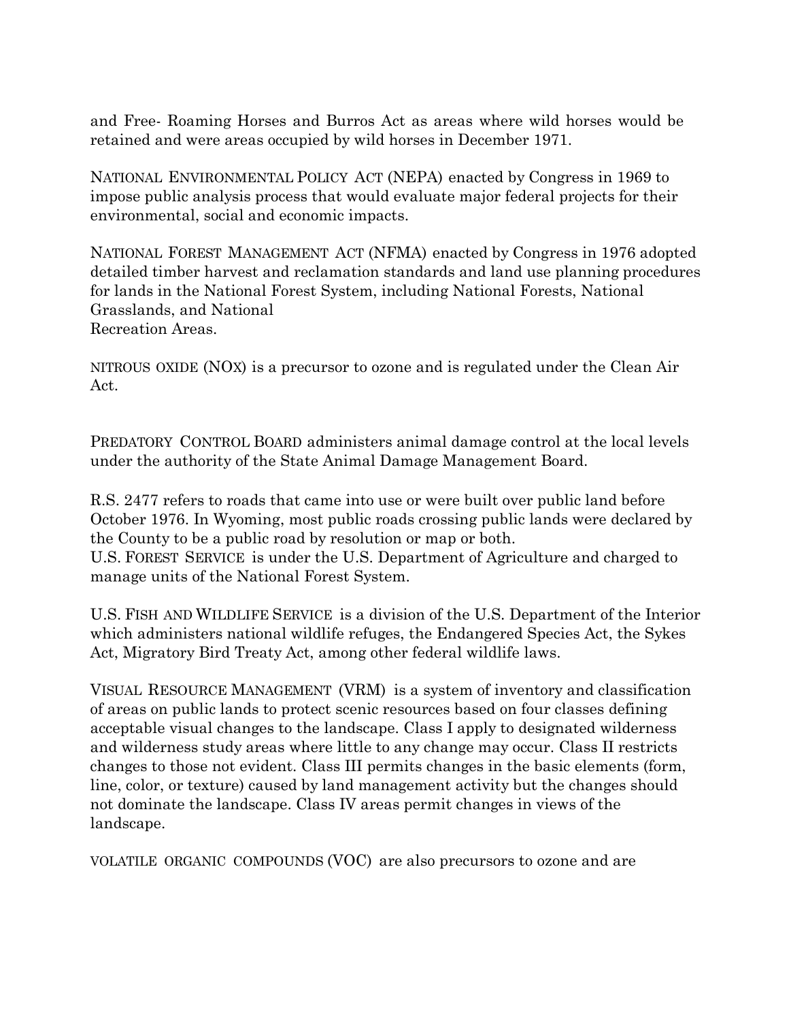and Free- Roaming Horses and Burros Act as areas where wild horses would be retained and were areas occupied by wild horses in December 1971.

NATIONAL ENVIRONMENTAL POLICY ACT (NEPA) enacted by Congress in 1969 to impose public analysis process that would evaluate major federal projects for their environmental, social and economic impacts.

NATIONAL FOREST MANAGEMENT ACT (NFMA) enacted by Congress in 1976 adopted detailed timber harvest and reclamation standards and land use planning procedures for lands in the National Forest System, including National Forests, National Grasslands, and National Recreation Areas.

NITROUS OXIDE (NOX) is a precursor to ozone and is regulated under the Clean Air Act.

PREDATORY CONTROL BOARD administers animal damage control at the local levels under the authority of the State Animal Damage Management Board.

R.S. 2477 refers to roads that came into use or were built over public land before October 1976. In Wyoming, most public roads crossing public lands were declared by the County to be a public road by resolution or map or both. U.S. FOREST SERVICE is under the U.S. Department of Agriculture and charged to manage units of the National Forest System.

U.S. FISH AND WILDLIFE SERVICE is a division of the U.S. Department of the Interior which administers national wildlife refuges, the Endangered Species Act, the Sykes Act, Migratory Bird Treaty Act, among other federal wildlife laws.

VISUAL RESOURCE MANAGEMENT (VRM) is a system of inventory and classification of areas on public lands to protect scenic resources based on four classes defining acceptable visual changes to the landscape. Class I apply to designated wilderness and wilderness study areas where little to any change may occur. Class II restricts changes to those not evident. Class III permits changes in the basic elements (form, line, color, or texture) caused by land management activity but the changes should not dominate the landscape. Class IV areas permit changes in views of the landscape.

VOLATILE ORGANIC COMPOUNDS (VOC) are also precursors to ozone and are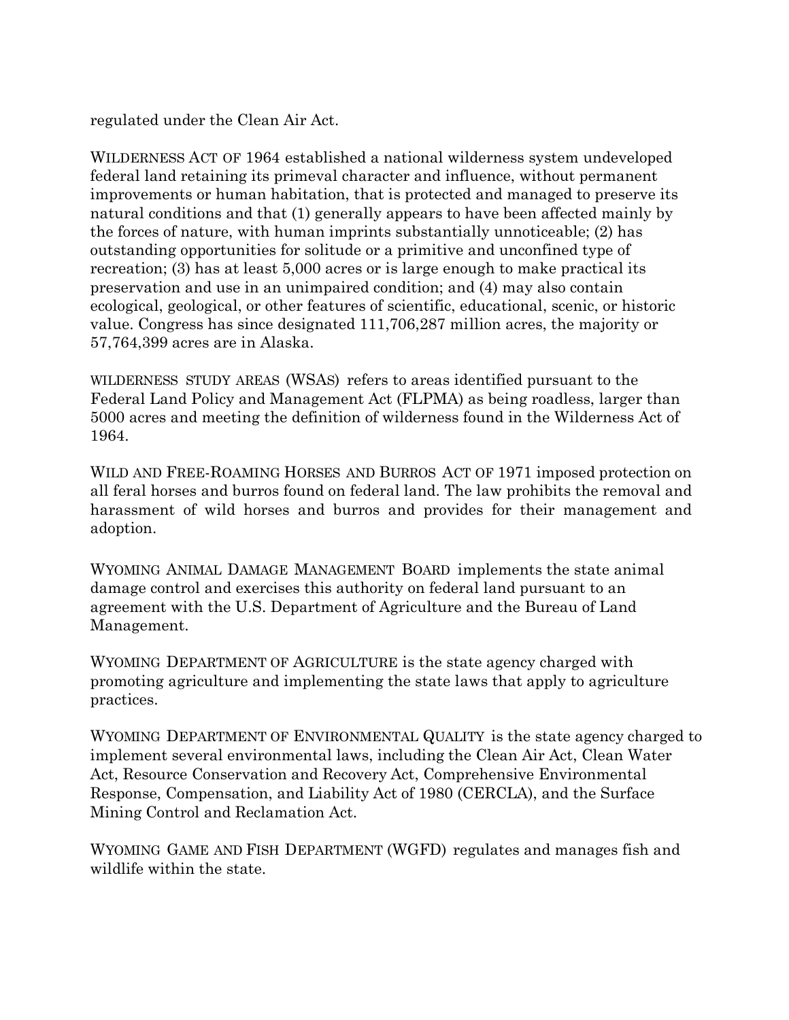regulated under the Clean Air Act.

WILDERNESS ACT OF 1964 established a national wilderness system undeveloped federal land retaining its primeval character and influence, without permanent improvements or human habitation, that is protected and managed to preserve its natural conditions and that (1) generally appears to have been affected mainly by the forces of nature, with human imprints substantially unnoticeable; (2) has outstanding opportunities for solitude or a primitive and unconfined type of recreation; (3) has at least 5,000 acres or is large enough to make practical its preservation and use in an unimpaired condition; and (4) may also contain ecological, geological, or other features of scientific, educational, scenic, or historic value. Congress has since designated 111,706,287 million acres, the majority or 57,764,399 acres are in Alaska.

WILDERNESS STUDY AREAS (WSAS) refers to areas identified pursuant to the Federal Land Policy and Management Act (FLPMA) as being roadless, larger than 5000 acres and meeting the definition of wilderness found in the Wilderness Act of 1964.

WILD AND FREE-ROAMING HORSES AND BURROS ACT OF 1971 imposed protection on all feral horses and burros found on federal land. The law prohibits the removal and harassment of wild horses and burros and provides for their management and adoption.

WYOMING ANIMAL DAMAGE MANAGEMENT BOARD implements the state animal damage control and exercises this authority on federal land pursuant to an agreement with the U.S. Department of Agriculture and the Bureau of Land Management.

WYOMING DEPARTMENT OF AGRICULTURE is the state agency charged with promoting agriculture and implementing the state laws that apply to agriculture practices.

WYOMING DEPARTMENT OF ENVIRONMENTAL QUALITY is the state agency charged to implement several environmental laws, including the Clean Air Act, Clean Water Act, Resource Conservation and Recovery Act, Comprehensive Environmental Response, Compensation, and Liability Act of 1980 (CERCLA), and the Surface Mining Control and Reclamation Act.

WYOMING GAME AND FISH DEPARTMENT (WGFD) regulates and manages fish and wildlife within the state.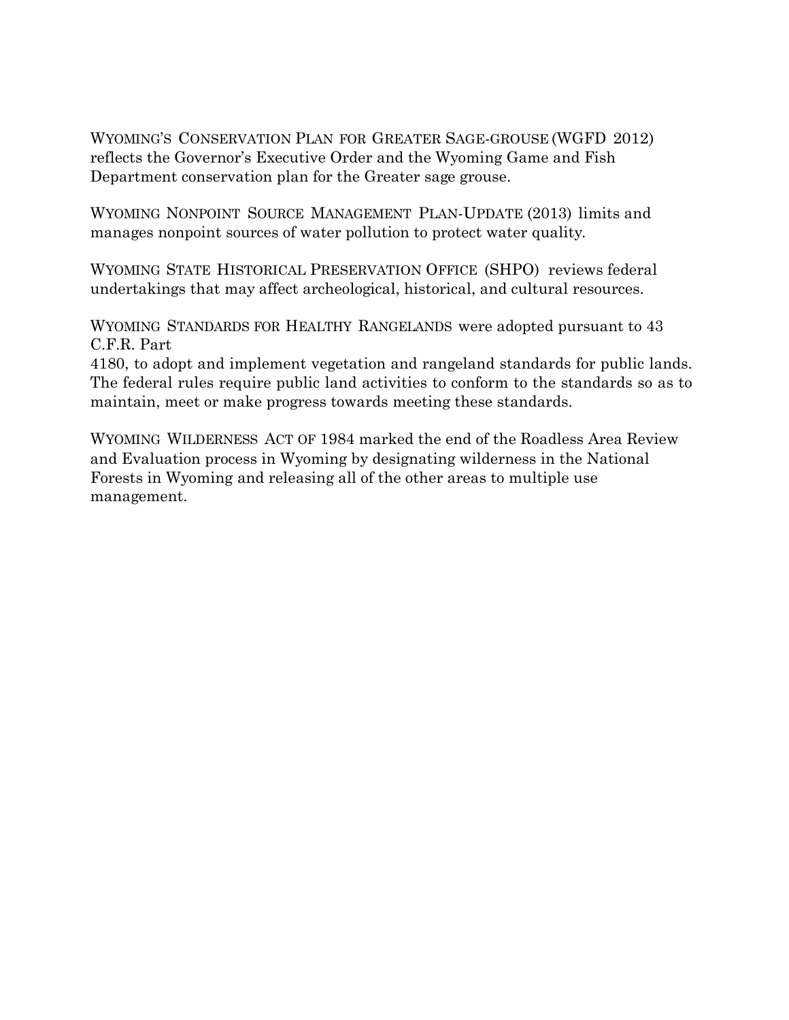WYOMING'S CONSERVATION PLAN FOR GREATER SAGE-GROUSE (WGFD 2012) reflects the Governor's Executive Order and the Wyoming Game and Fish Department conservation plan for the Greater sage grouse.

WYOMING NONPOINT SOURCE MANAGEMENT PLAN-UPDATE (2013) limits and manages nonpoint sources of water pollution to protect water quality.

WYOMING STATE HISTORICAL PRESERVATION OFFICE (SHPO) reviews federal undertakings that may affect archeological, historical, and cultural resources.

WYOMING STANDARDS FOR HEALTHY RANGELANDS were adopted pursuant to 43 C.F.R. Part

4180, to adopt and implement vegetation and rangeland standards for public lands. The federal rules require public land activities to conform to the standards so as to maintain, meet or make progress towards meeting these standards.

WYOMING WILDERNESS ACT OF 1984 marked the end of the Roadless Area Review and Evaluation process in Wyoming by designating wilderness in the National Forests in Wyoming and releasing all of the other areas to multiple use management.